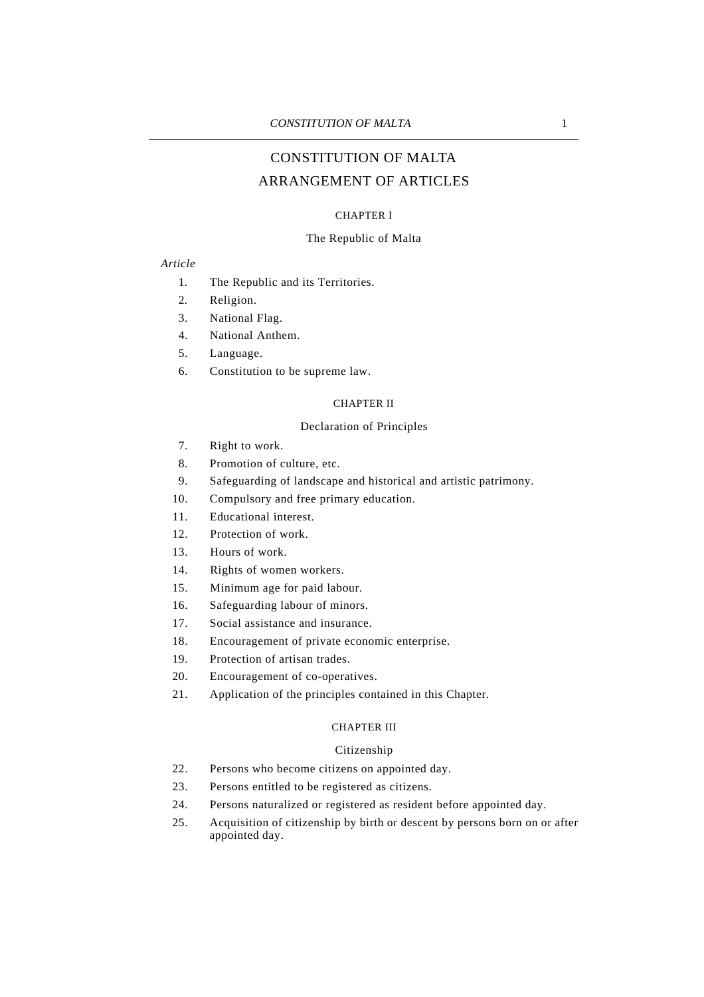# CONSTITUTION OF MALTA ARRANGEMENT OF ARTICLES

## CHAPTER I

### The Republic of Malta

### *Article*

- 1. The Republic and its Territories.
- 2. Religion.
- 3. National Flag.
- 4. National Anthem.
- 5. Language.
- 6. Constitution to be supreme law.

### CHAPTER II

#### Declaration of Principles

- 7. Right to work.
- 8. Promotion of culture, etc.
- 9. Safeguarding of landscape and historical and artistic patrimony.
- 10. Compulsory and free primary education.
- 11. Educational interest.
- 12. Protection of work.
- 13. Hours of work.
- 14. Rights of women workers.
- 15. Minimum age for paid labour.
- 16. Safeguarding labour of minors.
- 17. Social assistance and insurance.
- 18. Encouragement of private economic enterprise.
- 19. Protection of artisan trades.
- 20. Encouragement of co-operatives.
- 21. Application of the principles contained in this Chapter.

### CHAPTER III

#### Citizenship

- 22. Persons who become citizens on appointed day.
- 23. Persons entitled to be registered as citizens.
- 24. Persons naturalized or registered as resident before appointed day.
- 25. Acquisition of citizenship by birth or descent by persons born on or after appointed day.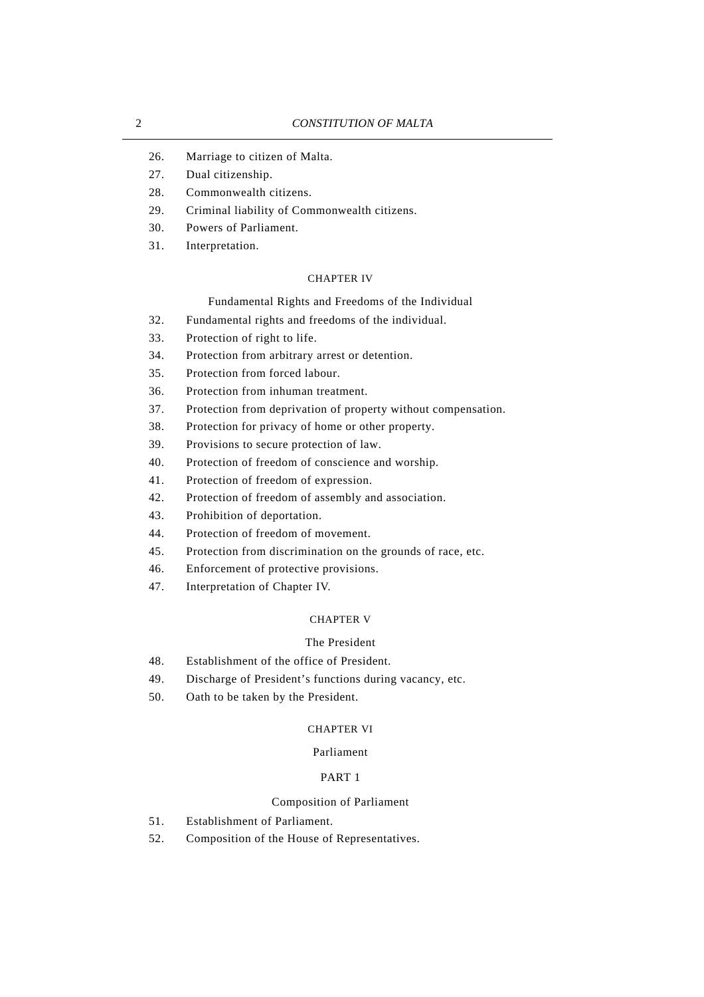- 26. Marriage to citizen of Malta.
- 27. Dual citizenship.
- 28. Commonwealth citizens.
- 29. Criminal liability of Commonwealth citizens.
- 30. Powers of Parliament.
- 31. Interpretation.

# CHAPTER IV

#### Fundamental Rights and Freedoms of the Individual

- 32. Fundamental rights and freedoms of the individual.
- 33. Protection of right to life.
- 34. Protection from arbitrary arrest or detention.
- 35. Protection from forced labour.
- 36. Protection from inhuman treatment.
- 37. Protection from deprivation of property without compensation.
- 38. Protection for privacy of home or other property.
- 39. Provisions to secure protection of law.
- 40. Protection of freedom of conscience and worship.
- 41. Protection of freedom of expression.
- 42. Protection of freedom of assembly and association.
- 43. Prohibition of deportation.
- 44. Protection of freedom of movement.
- 45. Protection from discrimination on the grounds of race, etc.
- 46. Enforcement of protective provisions.
- 47. Interpretation of Chapter IV.

# CHAPTER V

# The President

- 48. Establishment of the office of President.
- 49. Discharge of President's functions during vacancy, etc.
- 50. Oath to be taken by the President.

# CHAPTER VI

### Parliament

# PART 1

## Composition of Parliament

- 51. Establishment of Parliament.
- 52. Composition of the House of Representatives.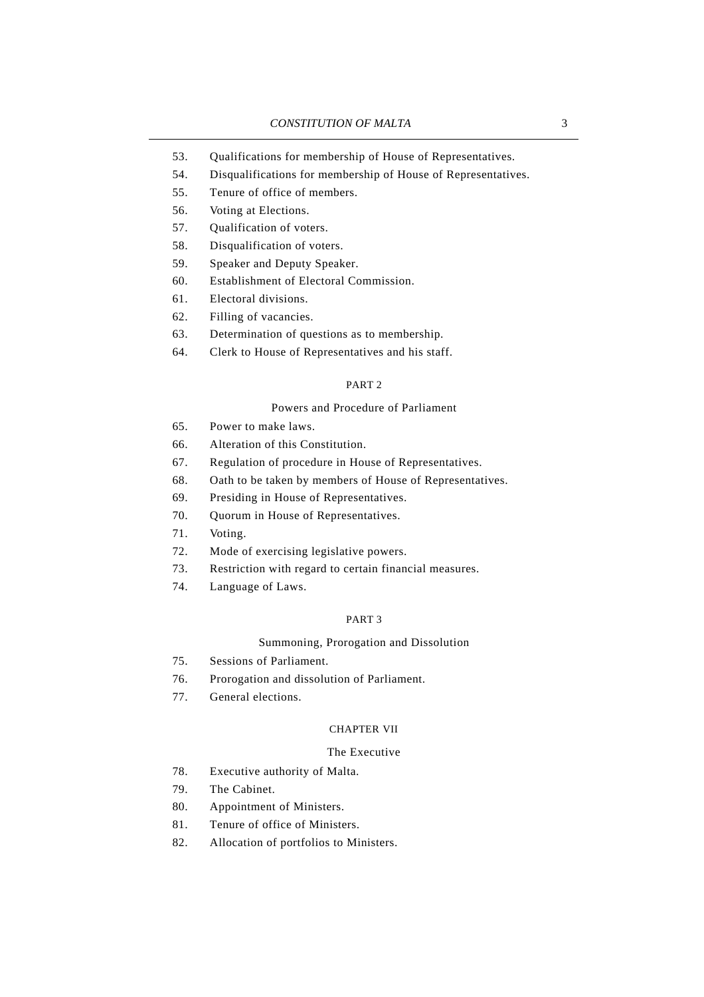- 53. Qualifications for membership of House of Representatives.
- 54. Disqualifications for membership of House of Representatives.
- 55. Tenure of office of members.
- 56. Voting at Elections.
- 57. Qualification of voters.
- 58. Disqualification of voters.
- 59. Speaker and Deputy Speaker.
- 60. Establishment of Electoral Commission.
- 61. Electoral divisions.
- 62. Filling of vacancies.
- 63. Determination of questions as to membership.
- 64. Clerk to House of Representatives and his staff.

### PART 2

### Powers and Procedure of Parliament

- 65. Power to make laws.
- 66. Alteration of this Constitution.
- 67. Regulation of procedure in House of Representatives.
- 68. Oath to be taken by members of House of Representatives.
- 69. Presiding in House of Representatives.
- 70. Quorum in House of Representatives.
- 71. Voting.
- 72. Mode of exercising legislative powers.
- 73. Restriction with regard to certain financial measures.
- 74. Language of Laws.

#### PART 3

# Summoning, Prorogation and Dissolution

- 75. Sessions of Parliament.
- 76. Prorogation and dissolution of Parliament.
- 77. General elections.

### CHAPTER VII

### The Executive

- 78. Executive authority of Malta.
- 79. The Cabinet.
- 80. Appointment of Ministers.
- 81. Tenure of office of Ministers.
- 82. Allocation of portfolios to Ministers.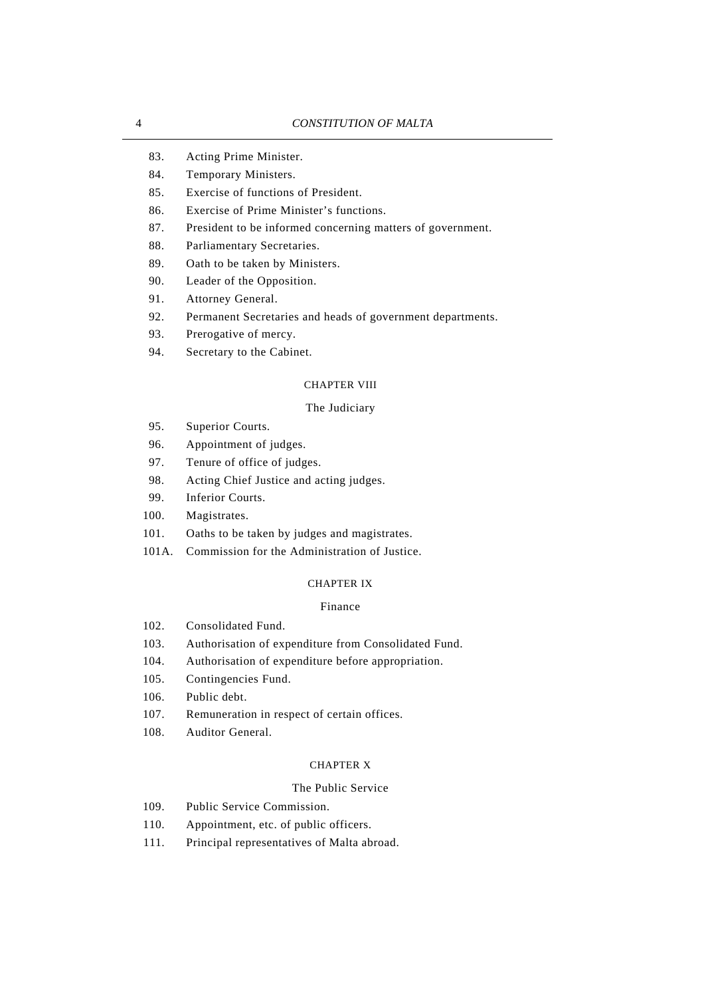- 83. Acting Prime Minister.
- 84. Temporary Ministers.
- 85. Exercise of functions of President.
- 86. Exercise of Prime Minister's functions.
- 87. President to be informed concerning matters of government.
- 88. Parliamentary Secretaries.
- 89. Oath to be taken by Ministers.
- 90. Leader of the Opposition.
- 91. Attorney General.
- 92. Permanent Secretaries and heads of government departments.
- 93. Prerogative of mercy.
- 94. Secretary to the Cabinet.

# CHAPTER VIII

#### The Judiciary

- 95. Superior Courts.
- 96. Appointment of judges.
- 97. Tenure of office of judges.
- 98. Acting Chief Justice and acting judges.
- 99. Inferior Courts.
- 100. Magistrates.
- 101. Oaths to be taken by judges and magistrates.
- 101A. Commission for the Administration of Justice.

# CHAPTER IX

### Finance

- 102. Consolidated Fund.
- 103. Authorisation of expenditure from Consolidated Fund.
- 104. Authorisation of expenditure before appropriation.
- 105. Contingencies Fund.
- 106. Public debt.
- 107. Remuneration in respect of certain offices.
- 108. Auditor General.

#### CHAPTER X

### The Public Service

- 109. Public Service Commission.
- 110. Appointment, etc. of public officers.
- 111. Principal representatives of Malta abroad.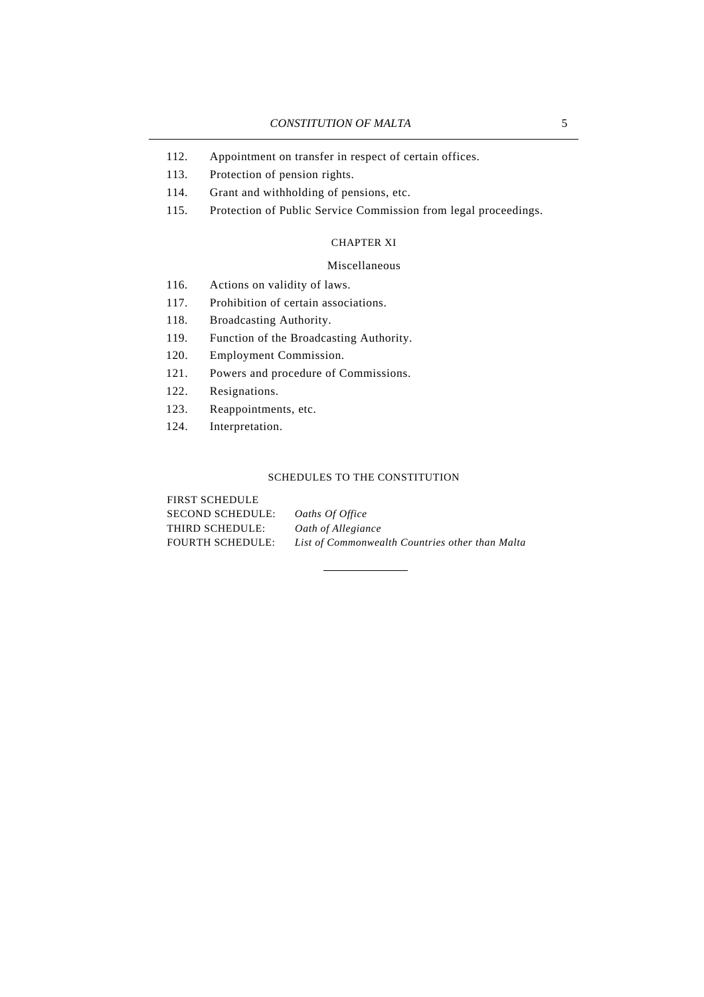- 112. Appointment on transfer in respect of certain offices.
- 113. Protection of pension rights.
- 114. Grant and withholding of pensions, etc.
- 115. Protection of Public Service Commission from legal proceedings.

# CHAPTER XI

#### Miscellaneous

- 116. Actions on validity of laws.
- 117. Prohibition of certain associations.
- 118. Broadcasting Authority.
- 119. Function of the Broadcasting Authority.
- 120. Employment Commission.
- 121. Powers and procedure of Commissions.
- 122. Resignations.
- 123. Reappointments, etc.
- 124. Interpretation.

# SCHEDULES TO THE CONSTITUTION

| FIRST SCHEDULE   |                                                 |
|------------------|-------------------------------------------------|
| SECOND SCHEDULE: | Oaths Of Office                                 |
| THIRD SCHEDULE:  | Oath of Allegiance                              |
| FOURTH SCHEDULE: | List of Commonwealth Countries other than Malta |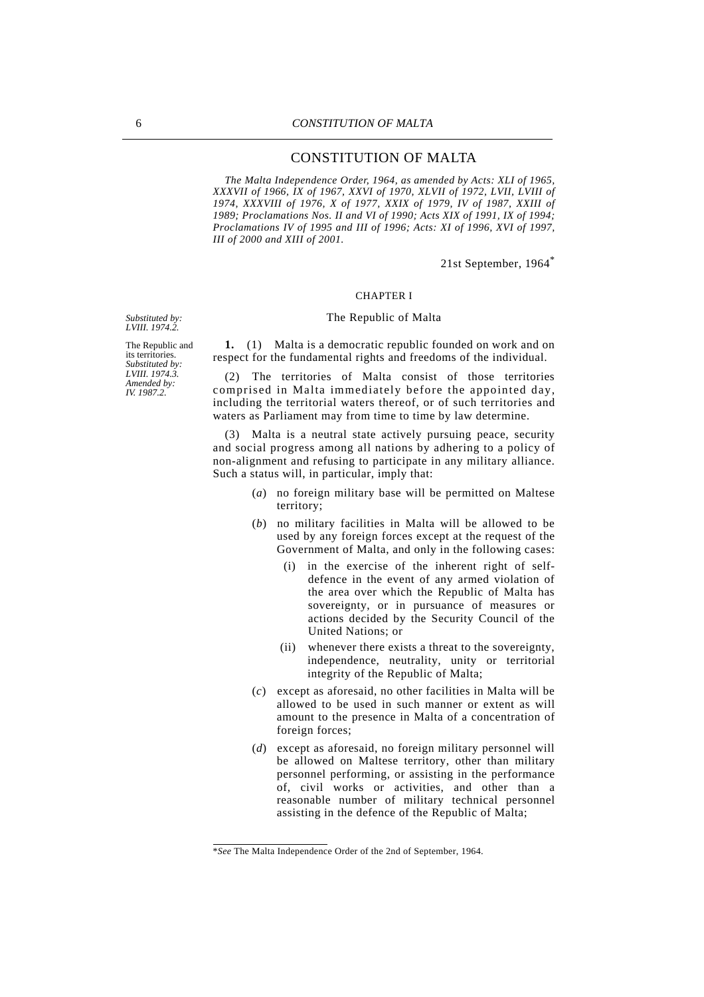## CONSTITUTION OF MALTA

*The Malta Independence Order, 1964, as amended by Acts: XLI of 1965, XXXVII of 1966, IX of 1967, XXVI of 1970, XLVII of 1972, LVII, LVIII of 1974, XXXVIII of 1976, X of 1977, XXIX of 1979, IV of 1987, XXIII of 1989; Proclamations Nos. II and VI of 1990; Acts XIX of 1991, IX of 1994; Proclamations IV of 1995 and III of 1996; Acts: XI of 1996, XVI of 1997, III of 2000 and XIII of 2001.*

21st September, 1964\*

#### CHAPTER I

#### The Republic of Malta

*Substituted by: LVIII. 1974.2.*

> **1.** (1) Malta is a democratic republic founded on work and on respect for the fundamental rights and freedoms of the individual.

> (2) The territories of Malta consist of those territories comprised in Malta immediately before the appointed day, including the territorial waters thereof, or of such territories and waters as Parliament may from time to time by law determine.

> (3) Malta is a neutral state actively pursuing peace, security and social progress among all nations by adhering to a policy of non-alignment and refusing to participate in any military alliance. Such a status will, in particular, imply that:

- (*a*) no foreign military base will be permitted on Maltese territory;
- (*b*) no military facilities in Malta will be allowed to be used by any foreign forces except at the request of the Government of Malta, and only in the following cases:
	- (i) in the exercise of the inherent right of selfdefence in the event of any armed violation of the area over which the Republic of Malta has sovereignty, or in pursuance of measures or actions decided by the Security Council of the United Nations; or
	- (ii) whenever there exists a threat to the sovereignty, independence, neutrality, unity or territorial integrity of the Republic of Malta;
- (*c*) except as aforesaid, no other facilities in Malta will be allowed to be used in such manner or extent as will amount to the presence in Malta of a concentration of foreign forces;
- (*d*) except as aforesaid, no foreign military personnel will be allowed on Maltese territory, other than military personnel performing, or assisting in the performance of, civil works or activities, and other than a reasonable number of military technical personnel assisting in the defence of the Republic of Malta;

The Republic and its territories. *Substituted by: LVIII. 1974.3. Amended by: IV. 1987.2.*

<sup>\*</sup>*See* The Malta Independence Order of the 2nd of September, 1964.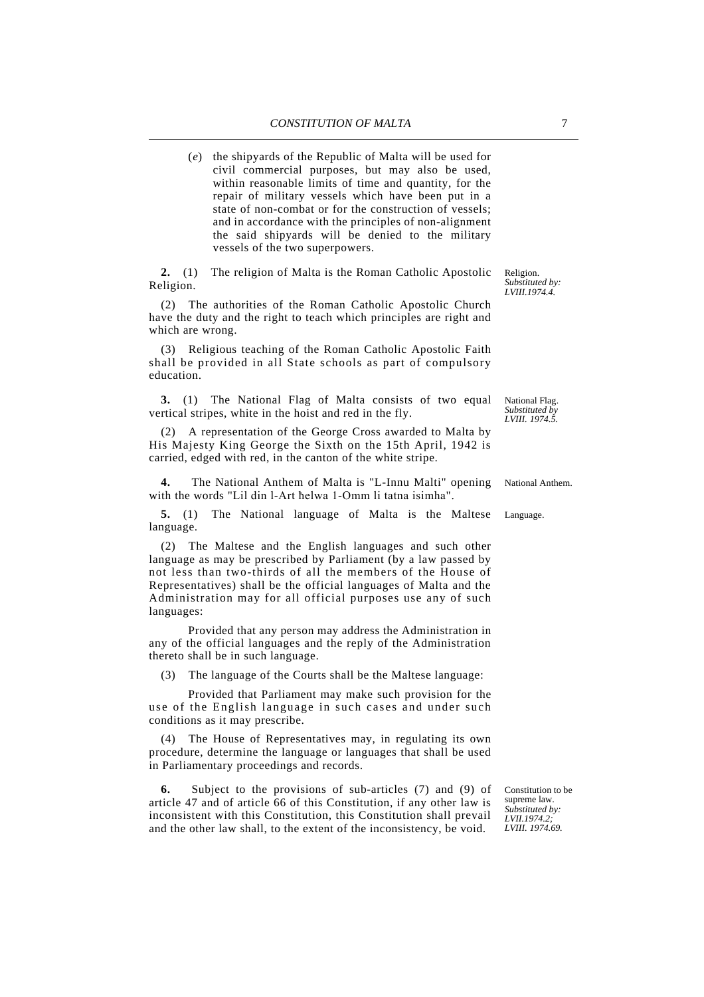(*e*) the shipyards of the Republic of Malta will be used for civil commercial purposes, but may also be used, within reasonable limits of time and quantity, for the repair of military vessels which have been put in a state of non-combat or for the construction of vessels; and in accordance with the principles of non-alignment the said shipyards will be denied to the military vessels of the two superpowers.

**2.** (1) The religion of Malta is the Roman Catholic Apostolic Religion.

(2) The authorities of the Roman Catholic Apostolic Church have the duty and the right to teach which principles are right and which are wrong.

(3) Religious teaching of the Roman Catholic Apostolic Faith shall be provided in all State schools as part of compulsory education.

**3.** (1) The National Flag of Malta consists of two equal vertical stripes, white in the hoist and red in the fly.

(2) A representation of the George Cross awarded to Malta by His Majesty King George the Sixth on the 15th April, 1942 is carried, edged with red, in the canton of the white stripe.

**4.** The National Anthem of Malta is "L-Innu Malti" opening National Anthem. with the words "Lil din l-Art helwa 1-Omm li tatna isimha".

**5.** (1) The National language of Malta is the Maltese Language. language.

(2) The Maltese and the English languages and such other language as may be prescribed by Parliament (by a law passed by not less than two-thirds of all the members of the House of Representatives) shall be the official languages of Malta and the Administration may for all official purposes use any of such languages:

Provided that any person may address the Administration in any of the official languages and the reply of the Administration thereto shall be in such language.

(3) The language of the Courts shall be the Maltese language:

Provided that Parliament may make such provision for the use of the English language in such cases and under such conditions as it may prescribe.

(4) The House of Representatives may, in regulating its own procedure, determine the language or languages that shall be used in Parliamentary proceedings and records.

**6.** Subject to the provisions of sub-articles (7) and (9) of article 47 and of article 66 of this Constitution, if any other law is inconsistent with this Constitution, this Constitution shall prevail and the other law shall, to the extent of the inconsistency, be void.

Constitution to be supreme law *Substituted by: LVII.1974.2; LVIII. 1974.69.*

National Flag*. Substituted by LVIII. 1974.5.*

Religion. *Substituted by: LVIII.1974.4.*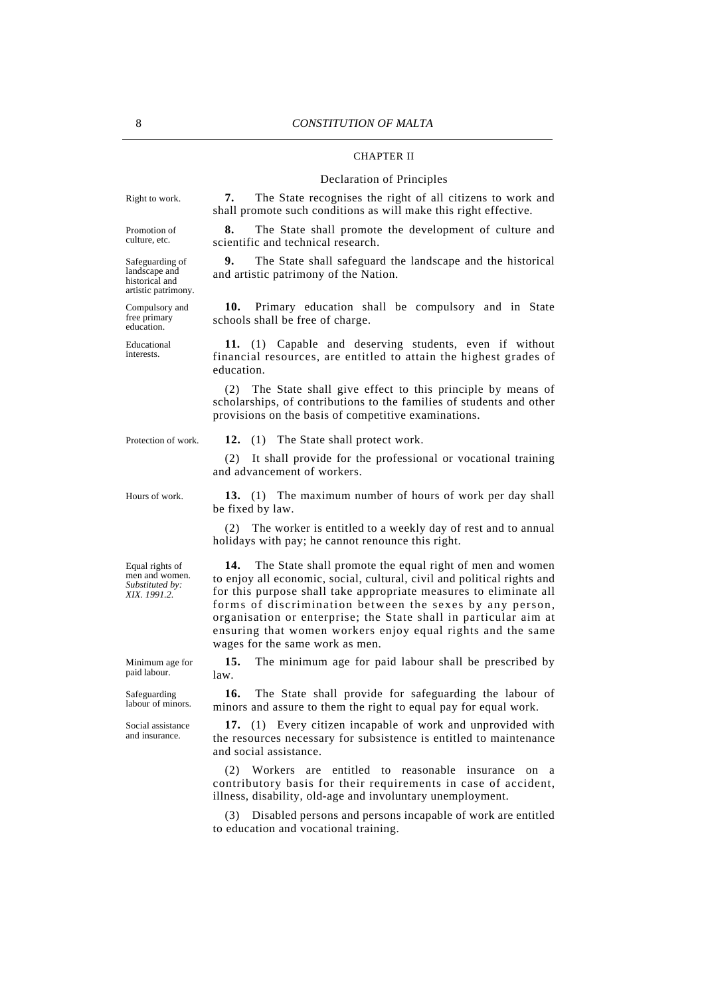#### CHAPTER II

#### Declaration of Principles

Promotion of culture, etc.

Safeguarding of landscape and historical and artistic patrimony.

Compulsory and free primary education.

Educational interests.

Right to work. **7.** The State recognises the right of all citizens to work and shall promote such conditions as will make this right effective.

> **8.** The State shall promote the development of culture and scientific and technical research.

> **9.** The State shall safeguard the landscape and the historical and artistic patrimony of the Nation.

> **10.** Primary education shall be compulsory and in State schools shall be free of charge.

> **11.** (1) Capable and deserving students, even if without financial resources, are entitled to attain the highest grades of education.

(2) The State shall give effect to this principle by means of scholarships, of contributions to the families of students and other provisions on the basis of competitive examinations.

(2) It shall provide for the professional or vocational training

Protection of work. **12.** (1) The State shall protect work.

Hours of work. **13.** (1) The maximum number of hours of work per day shall be fixed by law.

and advancement of workers.

(2) The worker is entitled to a weekly day of rest and to annual holidays with pay; he cannot renounce this right.

Equal rights of men and women. *Substituted by: XIX. 1991.2.*

**14.** The State shall promote the equal right of men and women to enjoy all economic, social, cultural, civil and political rights and for this purpose shall take appropriate measures to eliminate all forms of discrimination between the sexes by any person, organisation or enterprise; the State shall in particular aim at ensuring that women workers enjoy equal rights and the same wages for the same work as men.

**15.** The minimum age for paid labour shall be prescribed by law.

**16.** The State shall provide for safeguarding the labour of minors and assure to them the right to equal pay for equal work.

**17.** (1) Every citizen incapable of work and unprovided with the resources necessary for subsistence is entitled to maintenance and social assistance.

(2) Workers are entitled to reasonable insurance on a contributory basis for their requirements in case of accident, illness, disability, old-age and involuntary unemployment.

(3) Disabled persons and persons incapable of work are entitled to education and vocational training.

Minimum age for paid labour.

Safeguarding labour of minors.

Social assistance and insurance.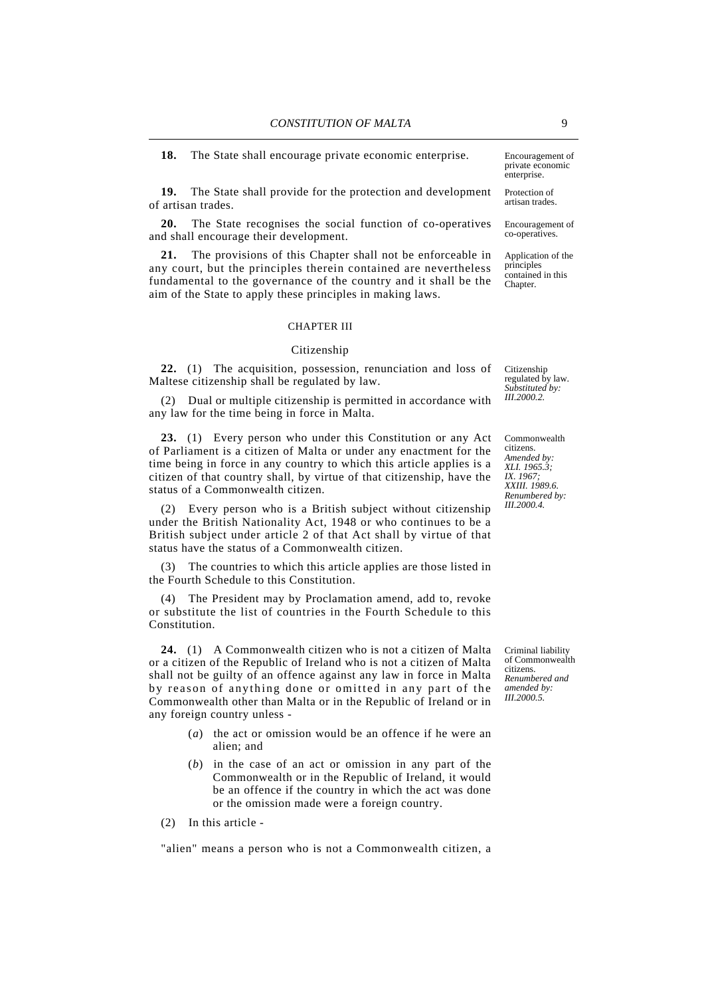**18.** The State shall encourage private economic enterprise.

**19.** The State shall provide for the protection and development of artisan trades.

**20.** The State recognises the social function of co-operatives and shall encourage their development.

**21.** The provisions of this Chapter shall not be enforceable in any court, but the principles therein contained are nevertheless fundamental to the governance of the country and it shall be the aim of the State to apply these principles in making laws.

#### CHAPTER III

#### Citizenship

**22.** (1) The acquisition, possession, renunciation and loss of Maltese citizenship shall be regulated by law.

(2) Dual or multiple citizenship is permitted in accordance with any law for the time being in force in Malta.

**23.** (1) Every person who under this Constitution or any Act of Parliament is a citizen of Malta or under any enactment for the time being in force in any country to which this article applies is a citizen of that country shall, by virtue of that citizenship, have the status of a Commonwealth citizen.

(2) Every person who is a British subject without citizenship under the British Nationality Act, 1948 or who continues to be a British subject under article 2 of that Act shall by virtue of that status have the status of a Commonwealth citizen.

The countries to which this article applies are those listed in the Fourth Schedule to this Constitution.

(4) The President may by Proclamation amend, add to, revoke or substitute the list of countries in the Fourth Schedule to this Constitution.

**24.** (1) A Commonwealth citizen who is not a citizen of Malta or a citizen of the Republic of Ireland who is not a citizen of Malta shall not be guilty of an offence against any law in force in Malta by reason of anything done or omitted in any part of the Commonwealth other than Malta or in the Republic of Ireland or in any foreign country unless -

- (*a*) the act or omission would be an offence if he were an alien; and
- (*b*) in the case of an act or omission in any part of the Commonwealth or in the Republic of Ireland, it would be an offence if the country in which the act was done or the omission made were a foreign country.
- (2) In this article -

"alien" means a person who is not a Commonwealth citizen, a

Criminal liability of Commonwealth citizens. *Renumbered and amended by: III.2000.5.*

Citizenship regulated by law. *Substituted by: III.2000.2.*

Commonwealth citizens. *Amended by: XLI. 1965.3; IX. 1967; XXIII. 1989.6. Renumbered by: III.2000.4.*

enterprise. Protection of artisan trades.

> Encouragement of co-operatives.

Encouragement of private economic

Application of the principles contained in this Chapter.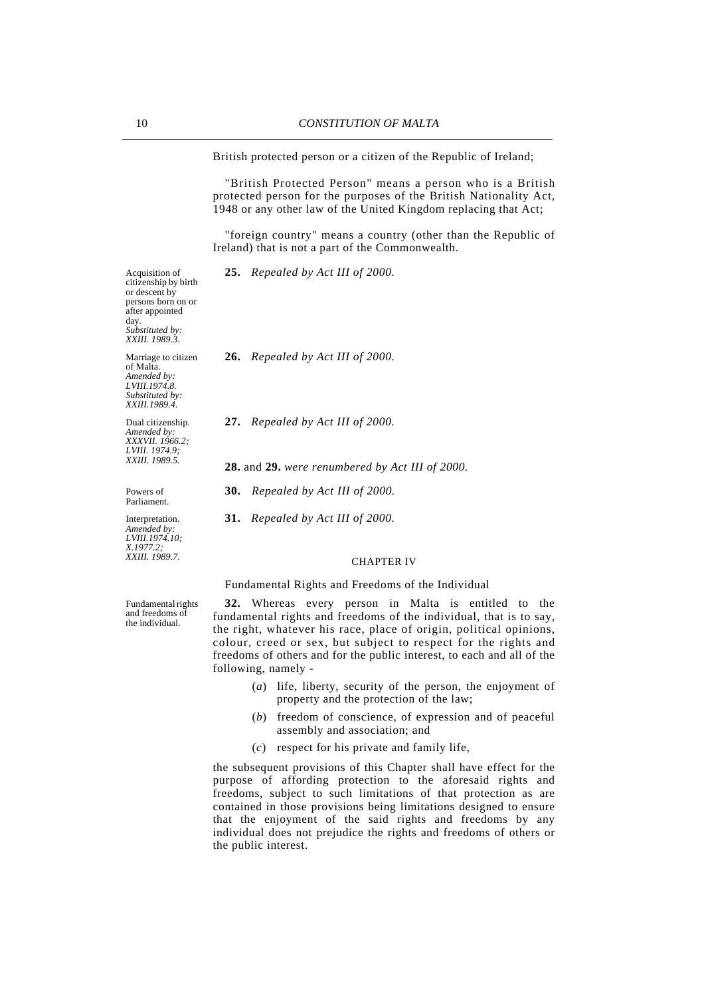British protected person or a citizen of the Republic of Ireland;

"British Protected Person" means a person who is a British protected person for the purposes of the British Nationality Act, 1948 or any other law of the United Kingdom replacing that Act;

"foreign country" means a country (other than the Republic of Ireland) that is not a part of the Commonwealth.

**25.** *Repealed by Act III of 2000.* 

Acquisition of citizenship by birth or descent by persons born on or after appointed day. *Substituted by: XXIII. 1989.3.*

Marriage to citizen of Malta. *Amended by: LVIII.1974.8. Substituted by: XXIII.1989.4.*

**26.** *Repealed by Act III of 2000.* 

Dual citizenship. *Amended by: XXXVII. 1966.2; LVIII. 1974.9; XXIII. 1989.5.*

Powers of Parliament.

Interpretation. *Amended by: LVIII.1974.10; X.1977.2; XXIII. 1989.7.*

Fundamental rights and freedoms of the individual.

**27.** *Repealed by Act III of 2000.* 

**28.** and **29.** *were renumbered by Act III of 2000.* 

**30.** *Repealed by Act III of 2000.* 

**31.** *Repealed by Act III of 2000.* 

#### CHAPTER IV

Fundamental Rights and Freedoms of the Individual

**32.** Whereas every person in Malta is entitled to the fundamental rights and freedoms of the individual, that is to say, the right, whatever his race, place of origin, political opinions, colour, creed or sex, but subject to respect for the rights and freedoms of others and for the public interest, to each and all of the following, namely -

- (*a*) life, liberty, security of the person, the enjoyment of property and the protection of the law;
- (*b*) freedom of conscience, of expression and of peaceful assembly and association; and
- (*c*) respect for his private and family life,

the subsequent provisions of this Chapter shall have effect for the purpose of affording protection to the aforesaid rights and freedoms, subject to such limitations of that protection as are contained in those provisions being limitations designed to ensure that the enjoyment of the said rights and freedoms by any individual does not prejudice the rights and freedoms of others or the public interest.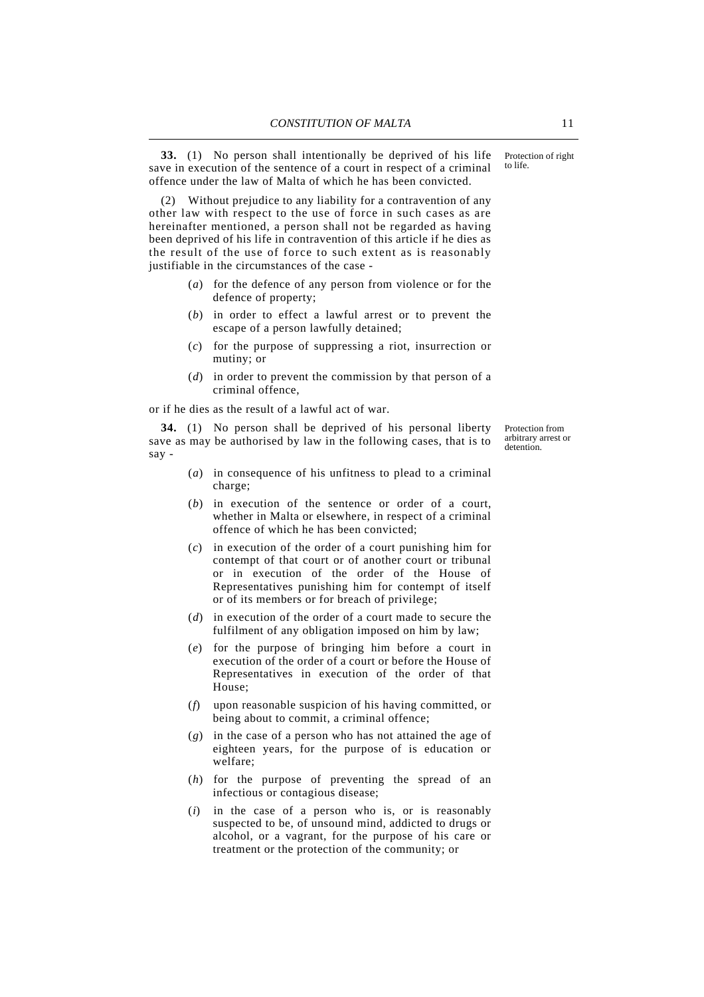**33.** (1) No person shall intentionally be deprived of his life save in execution of the sentence of a court in respect of a criminal offence under the law of Malta of which he has been convicted.

(2) Without prejudice to any liability for a contravention of any other law with respect to the use of force in such cases as are hereinafter mentioned, a person shall not be regarded as having been deprived of his life in contravention of this article if he dies as the result of the use of force to such extent as is reasonably justifiable in the circumstances of the case -

- (*a*) for the defence of any person from violence or for the defence of property;
- (*b*) in order to effect a lawful arrest or to prevent the escape of a person lawfully detained;
- (*c*) for the purpose of suppressing a riot, insurrection or mutiny; or
- (*d*) in order to prevent the commission by that person of a criminal offence,

or if he dies as the result of a lawful act of war.

**34.** (1) No person shall be deprived of his personal liberty save as may be authorised by law in the following cases, that is to say -

- Protection from arbitrary arrest or detention.
- (*a*) in consequence of his unfitness to plead to a criminal charge;
- (*b*) in execution of the sentence or order of a court, whether in Malta or elsewhere, in respect of a criminal offence of which he has been convicted;
- (*c*) in execution of the order of a court punishing him for contempt of that court or of another court or tribunal or in execution of the order of the House of Representatives punishing him for contempt of itself or of its members or for breach of privilege;
- (*d*) in execution of the order of a court made to secure the fulfilment of any obligation imposed on him by law;
- (*e*) for the purpose of bringing him before a court in execution of the order of a court or before the House of Representatives in execution of the order of that House;
- (*f*) upon reasonable suspicion of his having committed, or being about to commit, a criminal offence;
- (*g*) in the case of a person who has not attained the age of eighteen years, for the purpose of is education or welfare;
- (*h*) for the purpose of preventing the spread of an infectious or contagious disease;
- (*i*) in the case of a person who is, or is reasonably suspected to be, of unsound mind, addicted to drugs or alcohol, or a vagrant, for the purpose of his care or treatment or the protection of the community; or

Protection of right to life.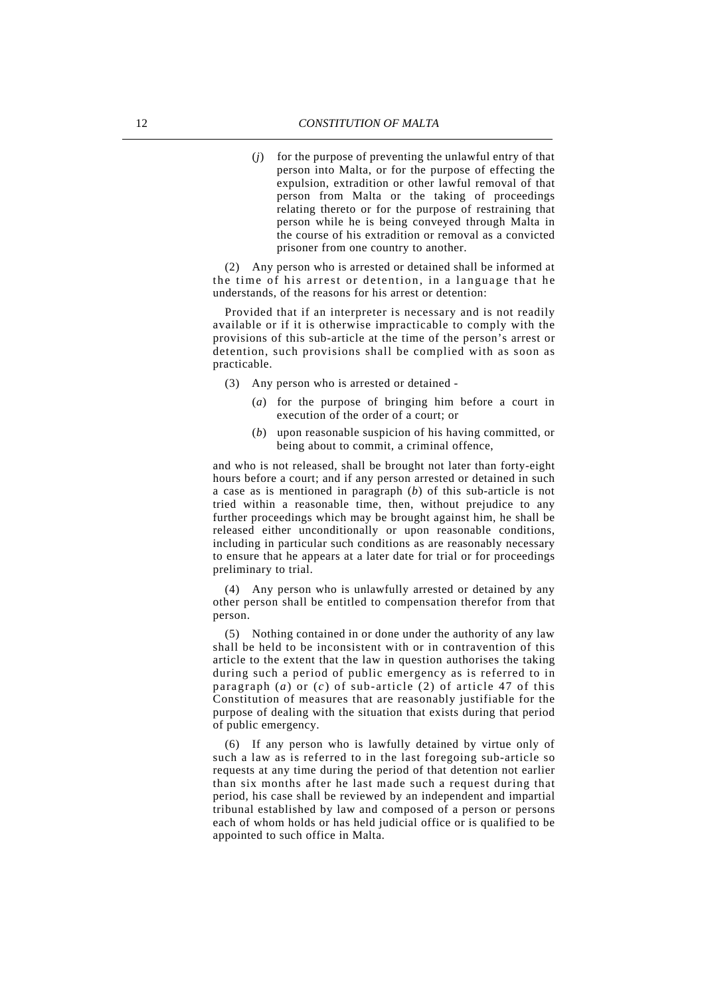(*j*) for the purpose of preventing the unlawful entry of that person into Malta, or for the purpose of effecting the expulsion, extradition or other lawful removal of that person from Malta or the taking of proceedings relating thereto or for the purpose of restraining that person while he is being conveyed through Malta in the course of his extradition or removal as a convicted prisoner from one country to another.

(2) Any person who is arrested or detained shall be informed at the time of his arrest or detention, in a language that he understands, of the reasons for his arrest or detention:

Provided that if an interpreter is necessary and is not readily available or if it is otherwise impracticable to comply with the provisions of this sub-article at the time of the person's arrest or detention, such provisions shall be complied with as soon as practicable.

- (3) Any person who is arrested or detained
	- (*a*) for the purpose of bringing him before a court in execution of the order of a court; or
	- (*b*) upon reasonable suspicion of his having committed, or being about to commit, a criminal offence,

and who is not released, shall be brought not later than forty-eight hours before a court; and if any person arrested or detained in such a case as is mentioned in paragraph (*b*) of this sub-article is not tried within a reasonable time, then, without prejudice to any further proceedings which may be brought against him, he shall be released either unconditionally or upon reasonable conditions, including in particular such conditions as are reasonably necessary to ensure that he appears at a later date for trial or for proceedings preliminary to trial.

(4) Any person who is unlawfully arrested or detained by any other person shall be entitled to compensation therefor from that person.

(5) Nothing contained in or done under the authority of any law shall be held to be inconsistent with or in contravention of this article to the extent that the law in question authorises the taking during such a period of public emergency as is referred to in paragraph (*a*) or (*c*) of sub-article (2) of article 47 of this Constitution of measures that are reasonably justifiable for the purpose of dealing with the situation that exists during that period of public emergency.

(6) If any person who is lawfully detained by virtue only of such a law as is referred to in the last foregoing sub-article so requests at any time during the period of that detention not earlier than six months after he last made such a request during that period, his case shall be reviewed by an independent and impartial tribunal established by law and composed of a person or persons each of whom holds or has held judicial office or is qualified to be appointed to such office in Malta.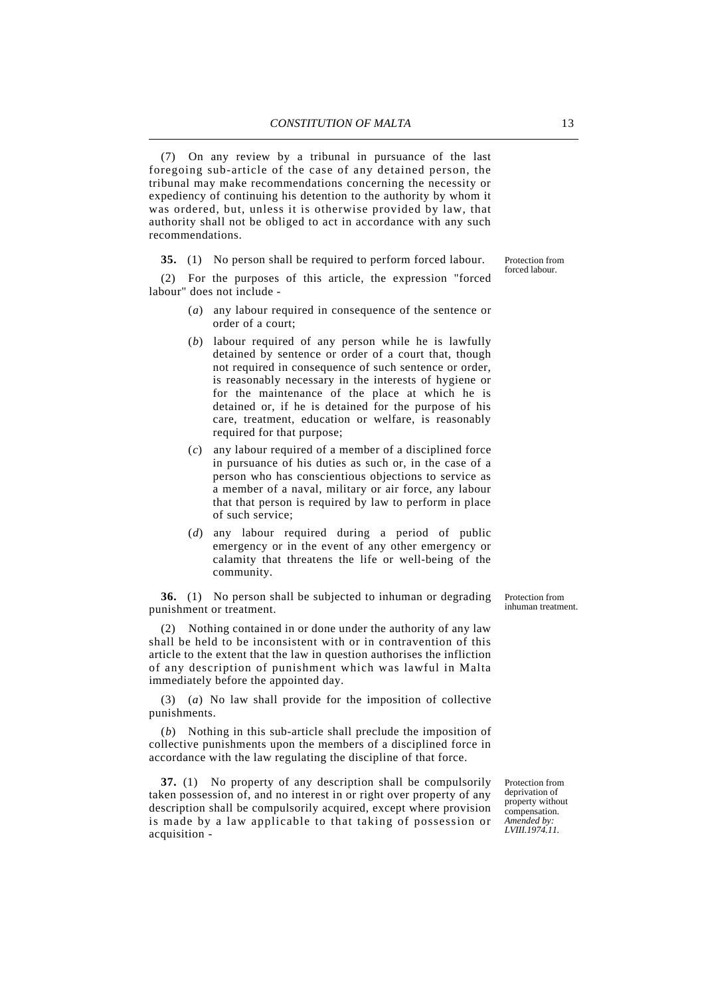(7) On any review by a tribunal in pursuance of the last foregoing sub-article of the case of any detained person, the tribunal may make recommendations concerning the necessity or expediency of continuing his detention to the authority by whom it was ordered, but, unless it is otherwise provided by law, that authority shall not be obliged to act in accordance with any such recommendations.

**35.** (1) No person shall be required to perform forced labour.

(2) For the purposes of this article, the expression "forced labour" does not include -

- (*a*) any labour required in consequence of the sentence or order of a court;
- (*b*) labour required of any person while he is lawfully detained by sentence or order of a court that, though not required in consequence of such sentence or order, is reasonably necessary in the interests of hygiene or for the maintenance of the place at which he is detained or, if he is detained for the purpose of his care, treatment, education or welfare, is reasonably required for that purpose;
- (*c*) any labour required of a member of a disciplined force in pursuance of his duties as such or, in the case of a person who has conscientious objections to service as a member of a naval, military or air force, any labour that that person is required by law to perform in place of such service;
- (*d*) any labour required during a period of public emergency or in the event of any other emergency or calamity that threatens the life or well-being of the community.

**36.** (1) No person shall be subjected to inhuman or degrading punishment or treatment.

(2) Nothing contained in or done under the authority of any law shall be held to be inconsistent with or in contravention of this article to the extent that the law in question authorises the infliction of any description of punishment which was lawful in Malta immediately before the appointed day.

(3) (*a*) No law shall provide for the imposition of collective punishments.

(*b*) Nothing in this sub-article shall preclude the imposition of collective punishments upon the members of a disciplined force in accordance with the law regulating the discipline of that force.

**37.** (1) No property of any description shall be compulsorily taken possession of, and no interest in or right over property of any description shall be compulsorily acquired, except where provision is made by a law applicable to that taking of possession or acquisition -

Protection from deprivation of property without compensation. *Amended by: LVIII.1974.11.*

Protection from inhuman treatment.

Protection from forced labour.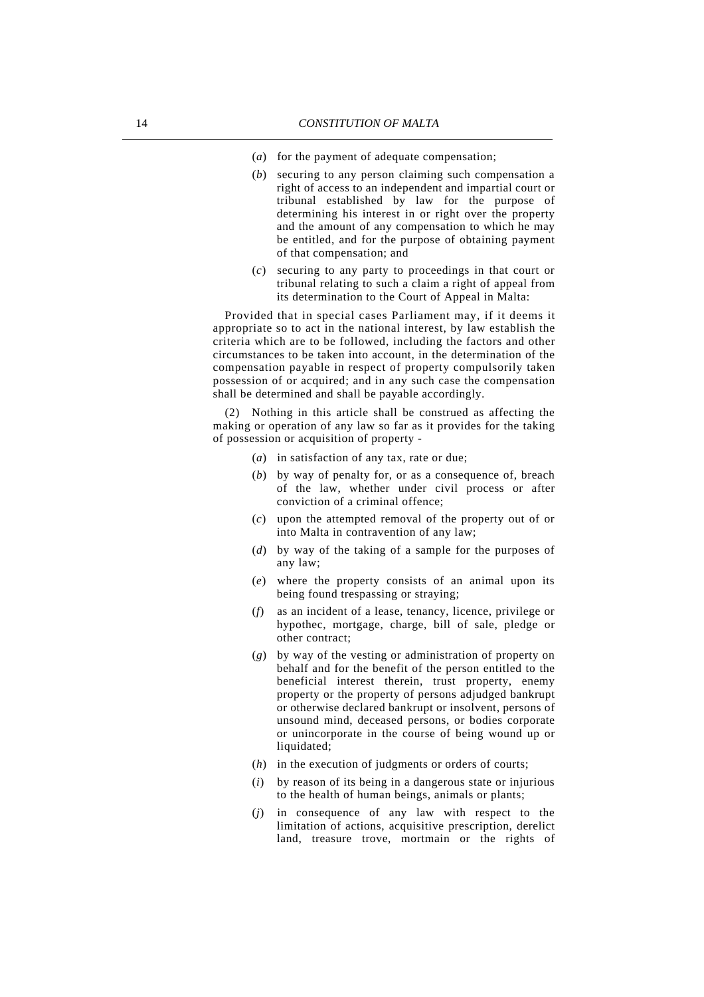- (*a*) for the payment of adequate compensation;
- (*b*) securing to any person claiming such compensation a right of access to an independent and impartial court or tribunal established by law for the purpose of determining his interest in or right over the property and the amount of any compensation to which he may be entitled, and for the purpose of obtaining payment of that compensation; and
- (*c*) securing to any party to proceedings in that court or tribunal relating to such a claim a right of appeal from its determination to the Court of Appeal in Malta:

Provided that in special cases Parliament may, if it deems it appropriate so to act in the national interest, by law establish the criteria which are to be followed, including the factors and other circumstances to be taken into account, in the determination of the compensation payable in respect of property compulsorily taken possession of or acquired; and in any such case the compensation shall be determined and shall be payable accordingly.

(2) Nothing in this article shall be construed as affecting the making or operation of any law so far as it provides for the taking of possession or acquisition of property -

- (*a*) in satisfaction of any tax, rate or due;
- (*b*) by way of penalty for, or as a consequence of, breach of the law, whether under civil process or after conviction of a criminal offence;
- (*c*) upon the attempted removal of the property out of or into Malta in contravention of any law;
- (*d*) by way of the taking of a sample for the purposes of any law;
- (*e*) where the property consists of an animal upon its being found trespassing or straying;
- (*f*) as an incident of a lease, tenancy, licence, privilege or hypothec, mortgage, charge, bill of sale, pledge or other contract;
- (*g*) by way of the vesting or administration of property on behalf and for the benefit of the person entitled to the beneficial interest therein, trust property, enemy property or the property of persons adjudged bankrupt or otherwise declared bankrupt or insolvent, persons of unsound mind, deceased persons, or bodies corporate or unincorporate in the course of being wound up or liquidated;
- (*h*) in the execution of judgments or orders of courts;
- (*i*) by reason of its being in a dangerous state or injurious to the health of human beings, animals or plants;
- (*j*) in consequence of any law with respect to the limitation of actions, acquisitive prescription, derelict land, treasure trove, mortmain or the rights of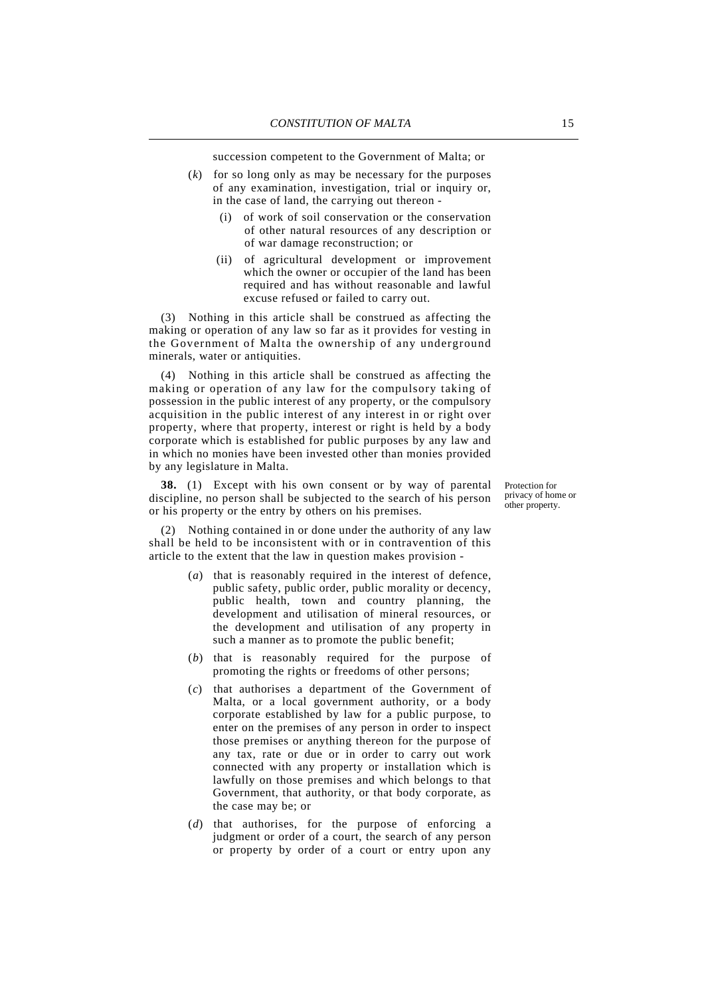succession competent to the Government of Malta; or

- (*k*) for so long only as may be necessary for the purposes of any examination, investigation, trial or inquiry or, in the case of land, the carrying out thereon -
	- (i) of work of soil conservation or the conservation of other natural resources of any description or of war damage reconstruction; or
	- (ii) of agricultural development or improvement which the owner or occupier of the land has been required and has without reasonable and lawful excuse refused or failed to carry out.

(3) Nothing in this article shall be construed as affecting the making or operation of any law so far as it provides for vesting in the Government of Malta the ownership of any underground minerals, water or antiquities.

(4) Nothing in this article shall be construed as affecting the making or operation of any law for the compulsory taking of possession in the public interest of any property, or the compulsory acquisition in the public interest of any interest in or right over property, where that property, interest or right is held by a body corporate which is established for public purposes by any law and in which no monies have been invested other than monies provided by any legislature in Malta.

**38.** (1) Except with his own consent or by way of parental discipline, no person shall be subjected to the search of his person or his property or the entry by others on his premises.

Protection for privacy of home or other property.

(2) Nothing contained in or done under the authority of any law shall be held to be inconsistent with or in contravention of this article to the extent that the law in question makes provision -

- (*a*) that is reasonably required in the interest of defence, public safety, public order, public morality or decency, public health, town and country planning, the development and utilisation of mineral resources, or the development and utilisation of any property in such a manner as to promote the public benefit;
- (*b*) that is reasonably required for the purpose of promoting the rights or freedoms of other persons;
- (*c*) that authorises a department of the Government of Malta, or a local government authority, or a body corporate established by law for a public purpose, to enter on the premises of any person in order to inspect those premises or anything thereon for the purpose of any tax, rate or due or in order to carry out work connected with any property or installation which is lawfully on those premises and which belongs to that Government, that authority, or that body corporate, as the case may be; or
- (*d*) that authorises, for the purpose of enforcing a judgment or order of a court, the search of any person or property by order of a court or entry upon any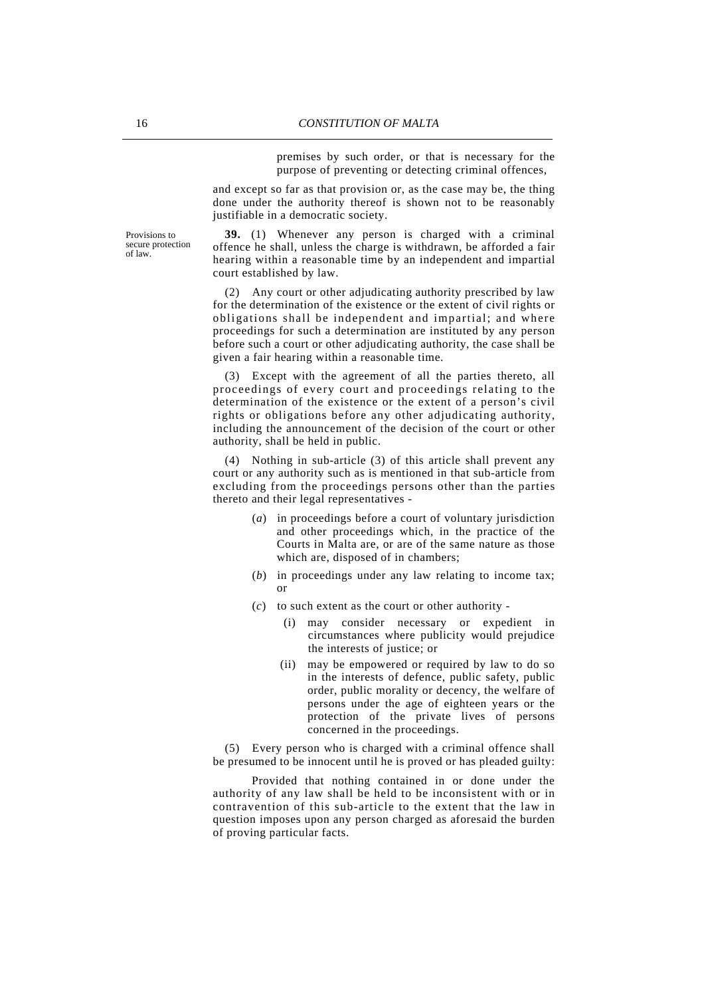premises by such order, or that is necessary for the purpose of preventing or detecting criminal offences,

and except so far as that provision or, as the case may be, the thing done under the authority thereof is shown not to be reasonably justifiable in a democratic society.

Provisions to secure protection of law.

**39.** (1) Whenever any person is charged with a criminal offence he shall, unless the charge is withdrawn, be afforded a fair hearing within a reasonable time by an independent and impartial court established by law.

(2) Any court or other adjudicating authority prescribed by law for the determination of the existence or the extent of civil rights or obligations shall be independent and impartial; and where proceedings for such a determination are instituted by any person before such a court or other adjudicating authority, the case shall be given a fair hearing within a reasonable time.

(3) Except with the agreement of all the parties thereto, all proceedings of every court and proceedings relating to the determination of the existence or the extent of a person's civil rights or obligations before any other adjudicating authority, including the announcement of the decision of the court or other authority, shall be held in public.

(4) Nothing in sub-article (3) of this article shall prevent any court or any authority such as is mentioned in that sub-article from excluding from the proceedings persons other than the parties thereto and their legal representatives -

- (*a*) in proceedings before a court of voluntary jurisdiction and other proceedings which, in the practice of the Courts in Malta are, or are of the same nature as those which are, disposed of in chambers;
- (*b*) in proceedings under any law relating to income tax; or
- (*c*) to such extent as the court or other authority
	- (i) may consider necessary or expedient in circumstances where publicity would prejudice the interests of justice; or
	- (ii) may be empowered or required by law to do so in the interests of defence, public safety, public order, public morality or decency, the welfare of persons under the age of eighteen years or the protection of the private lives of persons concerned in the proceedings.

(5) Every person who is charged with a criminal offence shall be presumed to be innocent until he is proved or has pleaded guilty:

Provided that nothing contained in or done under the authority of any law shall be held to be inconsistent with or in contravention of this sub-article to the extent that the law in question imposes upon any person charged as aforesaid the burden of proving particular facts.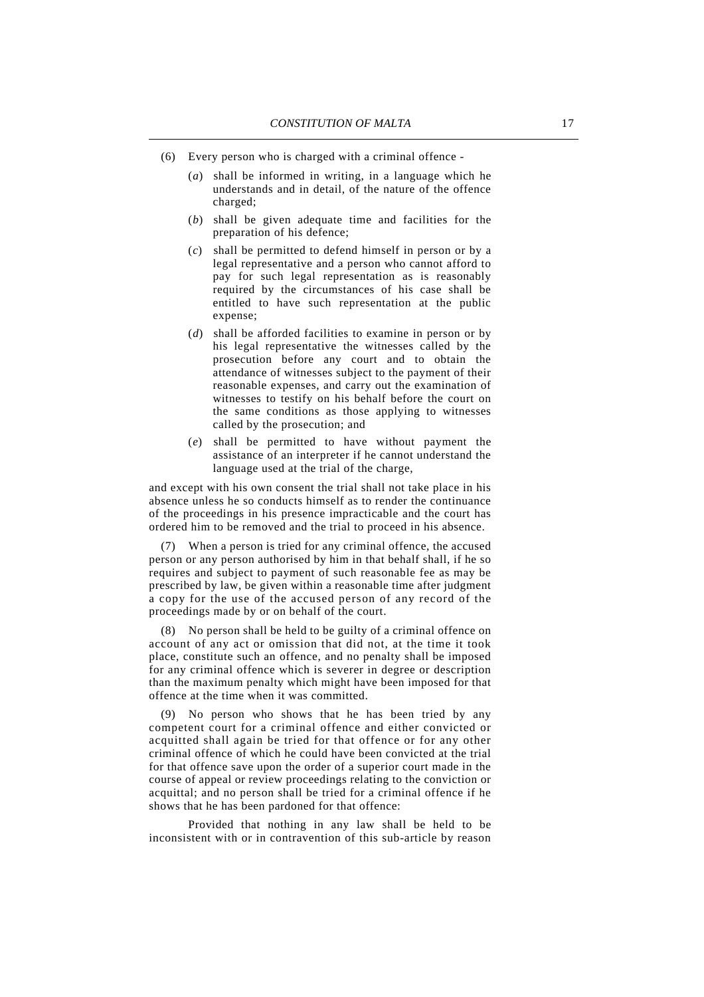- (6) Every person who is charged with a criminal offence
	- (*a*) shall be informed in writing, in a language which he understands and in detail, of the nature of the offence charged;
	- (*b*) shall be given adequate time and facilities for the preparation of his defence;
	- (*c*) shall be permitted to defend himself in person or by a legal representative and a person who cannot afford to pay for such legal representation as is reasonably required by the circumstances of his case shall be entitled to have such representation at the public expense;
	- (*d*) shall be afforded facilities to examine in person or by his legal representative the witnesses called by the prosecution before any court and to obtain the attendance of witnesses subject to the payment of their reasonable expenses, and carry out the examination of witnesses to testify on his behalf before the court on the same conditions as those applying to witnesses called by the prosecution; and
	- (*e*) shall be permitted to have without payment the assistance of an interpreter if he cannot understand the language used at the trial of the charge,

and except with his own consent the trial shall not take place in his absence unless he so conducts himself as to render the continuance of the proceedings in his presence impracticable and the court has ordered him to be removed and the trial to proceed in his absence.

(7) When a person is tried for any criminal offence, the accused person or any person authorised by him in that behalf shall, if he so requires and subject to payment of such reasonable fee as may be prescribed by law, be given within a reasonable time after judgment a copy for the use of the accused person of any record of the proceedings made by or on behalf of the court.

(8) No person shall be held to be guilty of a criminal offence on account of any act or omission that did not, at the time it took place, constitute such an offence, and no penalty shall be imposed for any criminal offence which is severer in degree or description than the maximum penalty which might have been imposed for that offence at the time when it was committed.

(9) No person who shows that he has been tried by any competent court for a criminal offence and either convicted or acquitted shall again be tried for that offence or for any other criminal offence of which he could have been convicted at the trial for that offence save upon the order of a superior court made in the course of appeal or review proceedings relating to the conviction or acquittal; and no person shall be tried for a criminal offence if he shows that he has been pardoned for that offence:

Provided that nothing in any law shall be held to be inconsistent with or in contravention of this sub-article by reason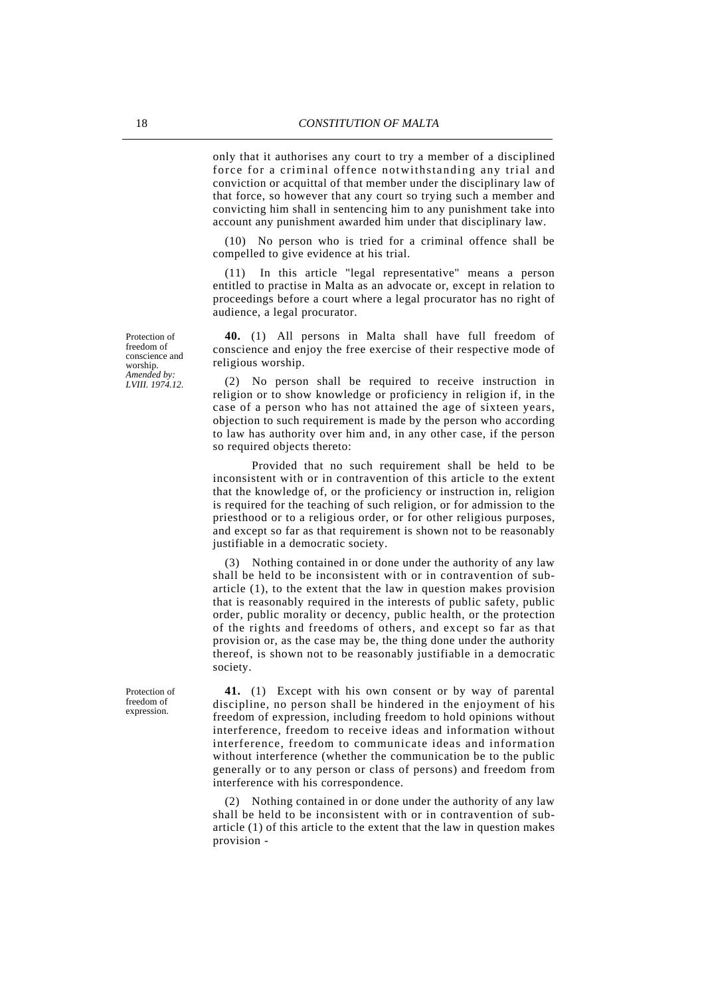only that it authorises any court to try a member of a disciplined force for a criminal offence notwithstanding any trial and conviction or acquittal of that member under the disciplinary law of that force, so however that any court so trying such a member and convicting him shall in sentencing him to any punishment take into account any punishment awarded him under that disciplinary law.

(10) No person who is tried for a criminal offence shall be compelled to give evidence at his trial.

(11) In this article "legal representative" means a person entitled to practise in Malta as an advocate or, except in relation to proceedings before a court where a legal procurator has no right of audience, a legal procurator.

**40.** (1) All persons in Malta shall have full freedom of conscience and enjoy the free exercise of their respective mode of religious worship.

(2) No person shall be required to receive instruction in religion or to show knowledge or proficiency in religion if, in the case of a person who has not attained the age of sixteen years, objection to such requirement is made by the person who according to law has authority over him and, in any other case, if the person so required objects thereto:

Provided that no such requirement shall be held to be inconsistent with or in contravention of this article to the extent that the knowledge of, or the proficiency or instruction in, religion is required for the teaching of such religion, or for admission to the priesthood or to a religious order, or for other religious purposes, and except so far as that requirement is shown not to be reasonably justifiable in a democratic society.

(3) Nothing contained in or done under the authority of any law shall be held to be inconsistent with or in contravention of subarticle (1), to the extent that the law in question makes provision that is reasonably required in the interests of public safety, public order, public morality or decency, public health, or the protection of the rights and freedoms of others, and except so far as that provision or, as the case may be, the thing done under the authority thereof, is shown not to be reasonably justifiable in a democratic society.

**41.** (1) Except with his own consent or by way of parental discipline, no person shall be hindered in the enjoyment of his freedom of expression, including freedom to hold opinions without interference, freedom to receive ideas and information without interference, freedom to communicate ideas and information without interference (whether the communication be to the public generally or to any person or class of persons) and freedom from interference with his correspondence.

(2) Nothing contained in or done under the authority of any law shall be held to be inconsistent with or in contravention of subarticle (1) of this article to the extent that the law in question makes provision -

Protection of freedom of conscience and worship. *Amended by: LVIII. 1974.12.*

Protection of freedom of expression.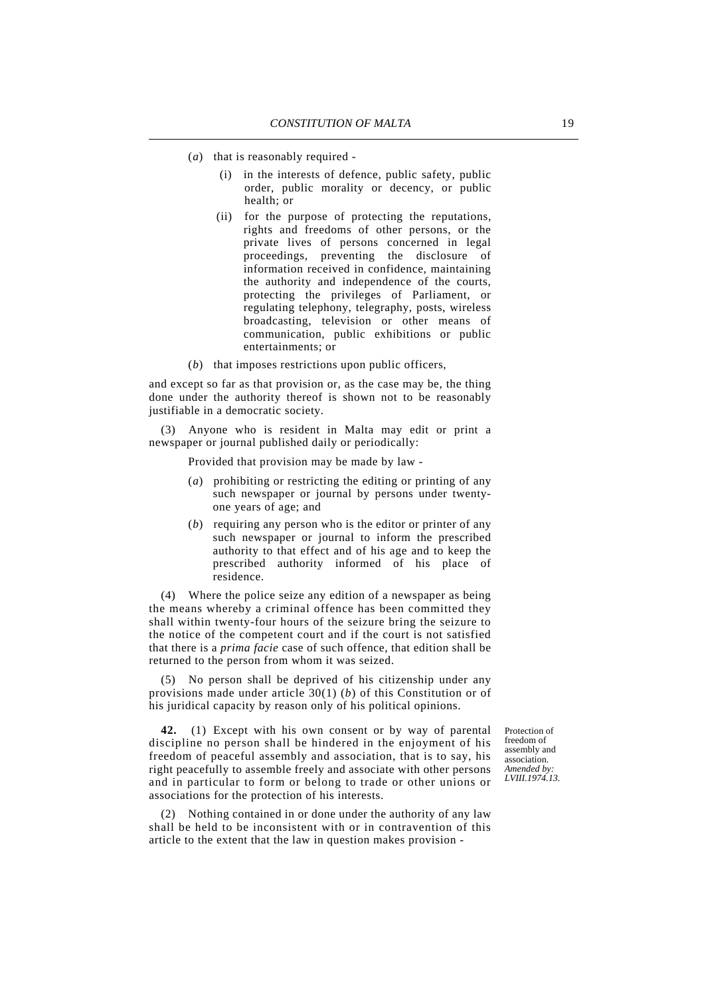- (*a*) that is reasonably required
	- (i) in the interests of defence, public safety, public order, public morality or decency, or public health; or
	- (ii) for the purpose of protecting the reputations, rights and freedoms of other persons, or the private lives of persons concerned in legal proceedings, preventing the disclosure of information received in confidence, maintaining the authority and independence of the courts, protecting the privileges of Parliament, or regulating telephony, telegraphy, posts, wireless broadcasting, television or other means of communication, public exhibitions or public entertainments; or
- (*b*) that imposes restrictions upon public officers,

and except so far as that provision or, as the case may be, the thing done under the authority thereof is shown not to be reasonably justifiable in a democratic society.

(3) Anyone who is resident in Malta may edit or print a newspaper or journal published daily or periodically:

Provided that provision may be made by law -

- (*a*) prohibiting or restricting the editing or printing of any such newspaper or journal by persons under twentyone years of age; and
- (*b*) requiring any person who is the editor or printer of any such newspaper or journal to inform the prescribed authority to that effect and of his age and to keep the prescribed authority informed of his place of residence.

(4) Where the police seize any edition of a newspaper as being the means whereby a criminal offence has been committed they shall within twenty-four hours of the seizure bring the seizure to the notice of the competent court and if the court is not satisfied that there is a *prima facie* case of such offence, that edition shall be returned to the person from whom it was seized.

(5) No person shall be deprived of his citizenship under any provisions made under article 30(1) (*b*) of this Constitution or of his juridical capacity by reason only of his political opinions.

**42.** (1) Except with his own consent or by way of parental discipline no person shall be hindered in the enjoyment of his freedom of peaceful assembly and association, that is to say, his right peacefully to assemble freely and associate with other persons and in particular to form or belong to trade or other unions or associations for the protection of his interests.

Protection of freedom of assembly and association. *Amended by: LVIII.1974.13.*

(2) Nothing contained in or done under the authority of any law shall be held to be inconsistent with or in contravention of this article to the extent that the law in question makes provision -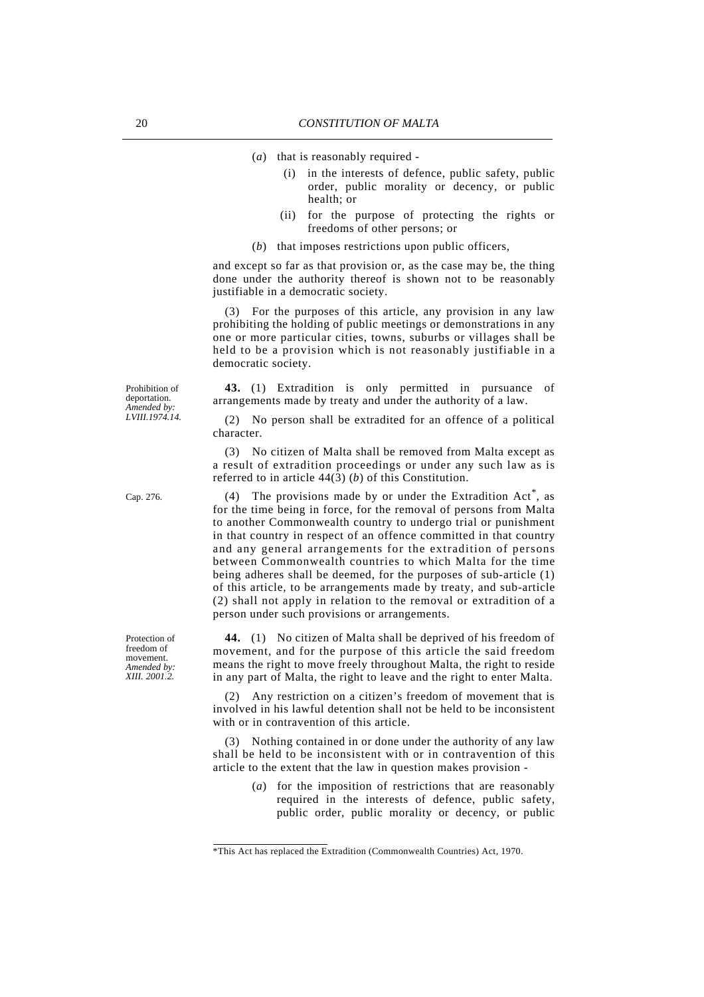- (*a*) that is reasonably required
	- (i) in the interests of defence, public safety, public order, public morality or decency, or public health; or
	- (ii) for the purpose of protecting the rights or freedoms of other persons; or
- (*b*) that imposes restrictions upon public officers,

and except so far as that provision or, as the case may be, the thing done under the authority thereof is shown not to be reasonably justifiable in a democratic society.

(3) For the purposes of this article, any provision in any law prohibiting the holding of public meetings or demonstrations in any one or more particular cities, towns, suburbs or villages shall be held to be a provision which is not reasonably justifiable in a democratic society.

**43.** (1) Extradition is only permitted in pursuance of arrangements made by treaty and under the authority of a law.

(2) No person shall be extradited for an offence of a political character.

(3) No citizen of Malta shall be removed from Malta except as a result of extradition proceedings or under any such law as is referred to in article 44(3) (*b*) of this Constitution.

Cap. 276. (4) The provisions made by or under the Extradition Act<sup>\*</sup>, as for the time being in force, for the removal of persons from Malta to another Commonwealth country to undergo trial or punishment in that country in respect of an offence committed in that country and any general arrangements for the extradition of persons between Commonwealth countries to which Malta for the time being adheres shall be deemed, for the purposes of sub-article (1) of this article, to be arrangements made by treaty, and sub-article (2) shall not apply in relation to the removal or extradition of a person under such provisions or arrangements.

> **44.** (1) No citizen of Malta shall be deprived of his freedom of movement, and for the purpose of this article the said freedom means the right to move freely throughout Malta, the right to reside in any part of Malta, the right to leave and the right to enter Malta.

> (2) Any restriction on a citizen's freedom of movement that is involved in his lawful detention shall not be held to be inconsistent with or in contravention of this article.

> (3) Nothing contained in or done under the authority of any law shall be held to be inconsistent with or in contravention of this article to the extent that the law in question makes provision -

> > (*a*) for the imposition of restrictions that are reasonably required in the interests of defence, public safety, public order, public morality or decency, or public

Prohibition of deportation. *Amended by: LVIII.1974.14.*

Protection of freedom of movement. *Amended by: XIII. 2001.2.*

<sup>\*</sup>This Act has replaced the Extradition (Commonwealth Countries) Act, 1970.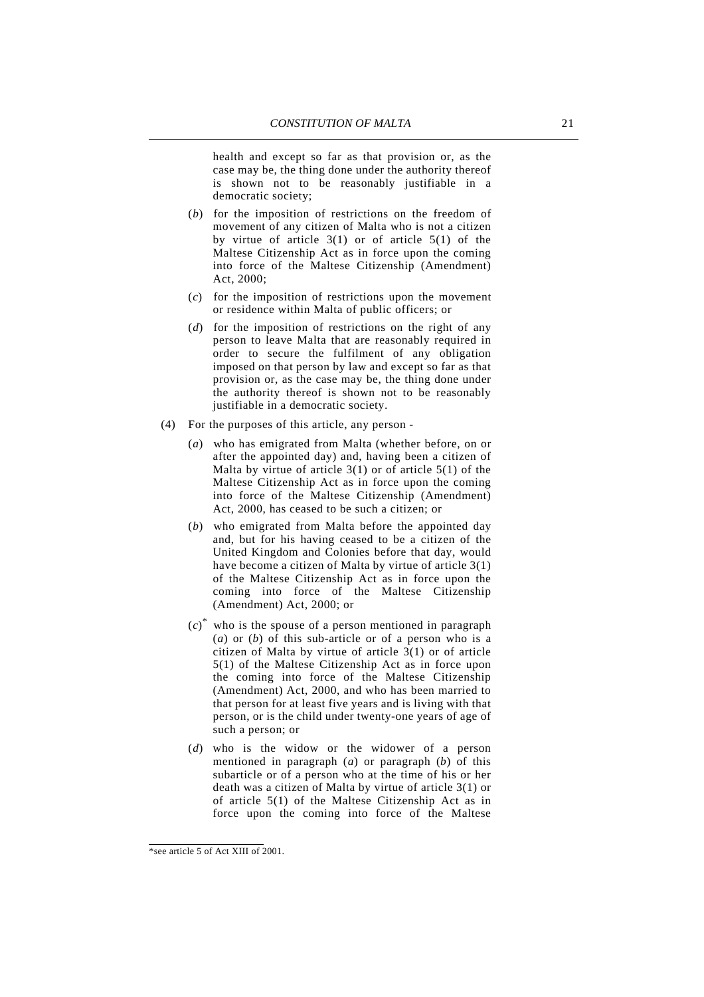health and except so far as that provision or, as the case may be, the thing done under the authority thereof is shown not to be reasonably justifiable in a democratic society;

- (*b*) for the imposition of restrictions on the freedom of movement of any citizen of Malta who is not a citizen by virtue of article  $3(1)$  or of article  $5(1)$  of the Maltese Citizenship Act as in force upon the coming into force of the Maltese Citizenship (Amendment) Act, 2000;
- (*c*) for the imposition of restrictions upon the movement or residence within Malta of public officers; or
- (*d*) for the imposition of restrictions on the right of any person to leave Malta that are reasonably required in order to secure the fulfilment of any obligation imposed on that person by law and except so far as that provision or, as the case may be, the thing done under the authority thereof is shown not to be reasonably justifiable in a democratic society.
- (4) For the purposes of this article, any person
	- (*a*) who has emigrated from Malta (whether before, on or after the appointed day) and, having been a citizen of Malta by virtue of article  $3(1)$  or of article  $5(1)$  of the Maltese Citizenship Act as in force upon the coming into force of the Maltese Citizenship (Amendment) Act, 2000, has ceased to be such a citizen; or
	- (*b*) who emigrated from Malta before the appointed day and, but for his having ceased to be a citizen of the United Kingdom and Colonies before that day, would have become a citizen of Malta by virtue of article 3(1) of the Maltese Citizenship Act as in force upon the coming into force of the Maltese Citizenship (Amendment) Act, 2000; or
	- $(c)$ <sup>\*</sup> who is the spouse of a person mentioned in paragraph (*a*) or (*b*) of this sub-article or of a person who is a citizen of Malta by virtue of article 3(1) or of article 5(1) of the Maltese Citizenship Act as in force upon the coming into force of the Maltese Citizenship (Amendment) Act, 2000, and who has been married to that person for at least five years and is living with that person, or is the child under twenty-one years of age of such a person; or
	- (*d*) who is the widow or the widower of a person mentioned in paragraph (*a*) or paragraph (*b*) of this subarticle or of a person who at the time of his or her death was a citizen of Malta by virtue of article 3(1) or of article 5(1) of the Maltese Citizenship Act as in force upon the coming into force of the Maltese

<sup>\*</sup>see article 5 of Act XIII of 2001.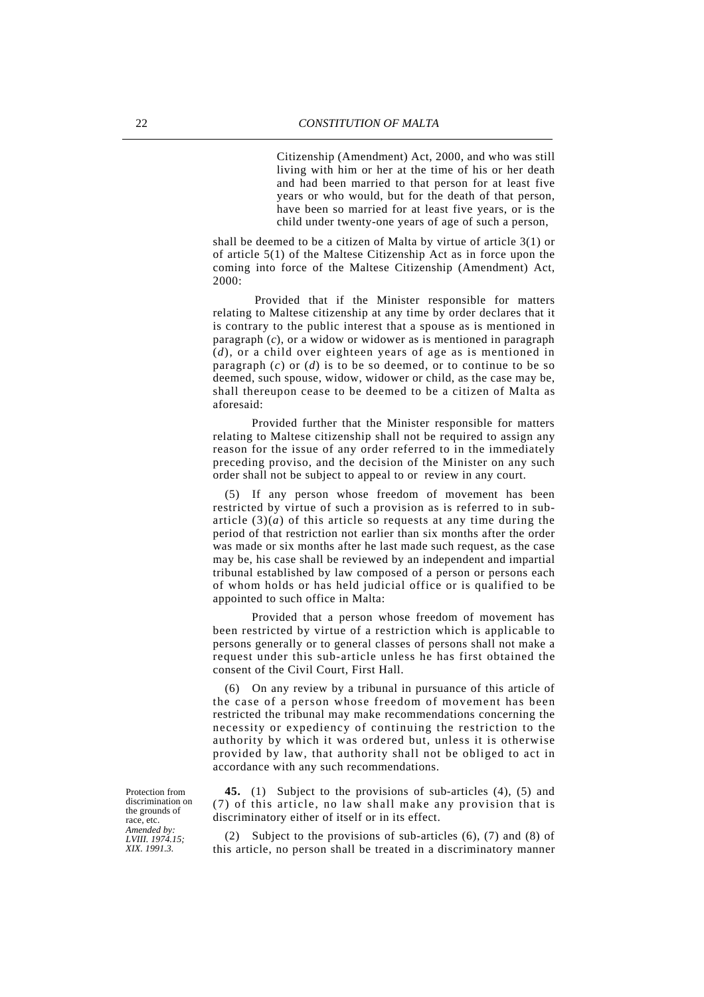Citizenship (Amendment) Act, 2000, and who was still living with him or her at the time of his or her death and had been married to that person for at least five years or who would, but for the death of that person, have been so married for at least five years, or is the child under twenty-one years of age of such a person,

shall be deemed to be a citizen of Malta by virtue of article 3(1) or of article 5(1) of the Maltese Citizenship Act as in force upon the coming into force of the Maltese Citizenship (Amendment) Act, 2000:

Provided that if the Minister responsible for matters relating to Maltese citizenship at any time by order declares that it is contrary to the public interest that a spouse as is mentioned in paragraph (*c*), or a widow or widower as is mentioned in paragraph (*d*), or a child over eighteen years of age as is mentioned in paragraph  $(c)$  or  $(d)$  is to be so deemed, or to continue to be so deemed, such spouse, widow, widower or child, as the case may be, shall thereupon cease to be deemed to be a citizen of Malta as aforesaid:

Provided further that the Minister responsible for matters relating to Maltese citizenship shall not be required to assign any reason for the issue of any order referred to in the immediately preceding proviso, and the decision of the Minister on any such order shall not be subject to appeal to or review in any court.

(5) If any person whose freedom of movement has been restricted by virtue of such a provision as is referred to in subarticle  $(3)(a)$  of this article so requests at any time during the period of that restriction not earlier than six months after the order was made or six months after he last made such request, as the case may be, his case shall be reviewed by an independent and impartial tribunal established by law composed of a person or persons each of whom holds or has held judicial office or is qualified to be appointed to such office in Malta:

Provided that a person whose freedom of movement has been restricted by virtue of a restriction which is applicable to persons generally or to general classes of persons shall not make a request under this sub-article unless he has first obtained the consent of the Civil Court, First Hall.

(6) On any review by a tribunal in pursuance of this article of the case of a person whose freedom of movement has been restricted the tribunal may make recommendations concerning the necessity or expediency of continuing the restriction to the authority by which it was ordered but, unless it is otherwise provided by law, that authority shall not be obliged to act in accordance with any such recommendations.

**45.** (1) Subject to the provisions of sub-articles (4), (5) and (7) of this article, no law shall make any provision that is discriminatory either of itself or in its effect.

(2) Subject to the provisions of sub-articles (6), (7) and (8) of this article, no person shall be treated in a discriminatory manner

Protection from discrimination on the grounds of race, etc. *Amended by: LVIII. 1974.15; XIX. 1991.3.*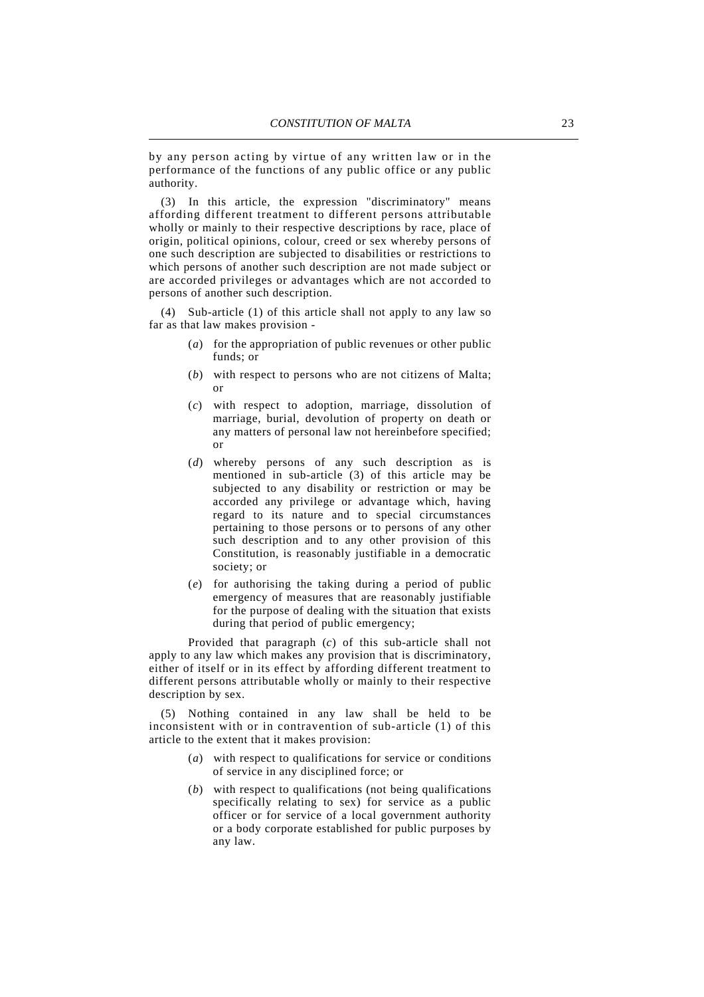by any person acting by virtue of any written law or in the performance of the functions of any public office or any public authority.

(3) In this article, the expression "discriminatory" means affording different treatment to different persons attributable wholly or mainly to their respective descriptions by race, place of origin, political opinions, colour, creed or sex whereby persons of one such description are subjected to disabilities or restrictions to which persons of another such description are not made subject or are accorded privileges or advantages which are not accorded to persons of another such description.

(4) Sub-article (1) of this article shall not apply to any law so far as that law makes provision -

- (*a*) for the appropriation of public revenues or other public funds; or
- (*b*) with respect to persons who are not citizens of Malta; or
- (*c*) with respect to adoption, marriage, dissolution of marriage, burial, devolution of property on death or any matters of personal law not hereinbefore specified; or
- (*d*) whereby persons of any such description as is mentioned in sub-article (3) of this article may be subjected to any disability or restriction or may be accorded any privilege or advantage which, having regard to its nature and to special circumstances pertaining to those persons or to persons of any other such description and to any other provision of this Constitution, is reasonably justifiable in a democratic society; or
- (*e*) for authorising the taking during a period of public emergency of measures that are reasonably justifiable for the purpose of dealing with the situation that exists during that period of public emergency;

Provided that paragraph (*c*) of this sub-article shall not apply to any law which makes any provision that is discriminatory, either of itself or in its effect by affording different treatment to different persons attributable wholly or mainly to their respective description by sex.

(5) Nothing contained in any law shall be held to be inconsistent with or in contravention of sub-article (1) of this article to the extent that it makes provision:

- (*a*) with respect to qualifications for service or conditions of service in any disciplined force; or
- (*b*) with respect to qualifications (not being qualifications specifically relating to sex) for service as a public officer or for service of a local government authority or a body corporate established for public purposes by any law.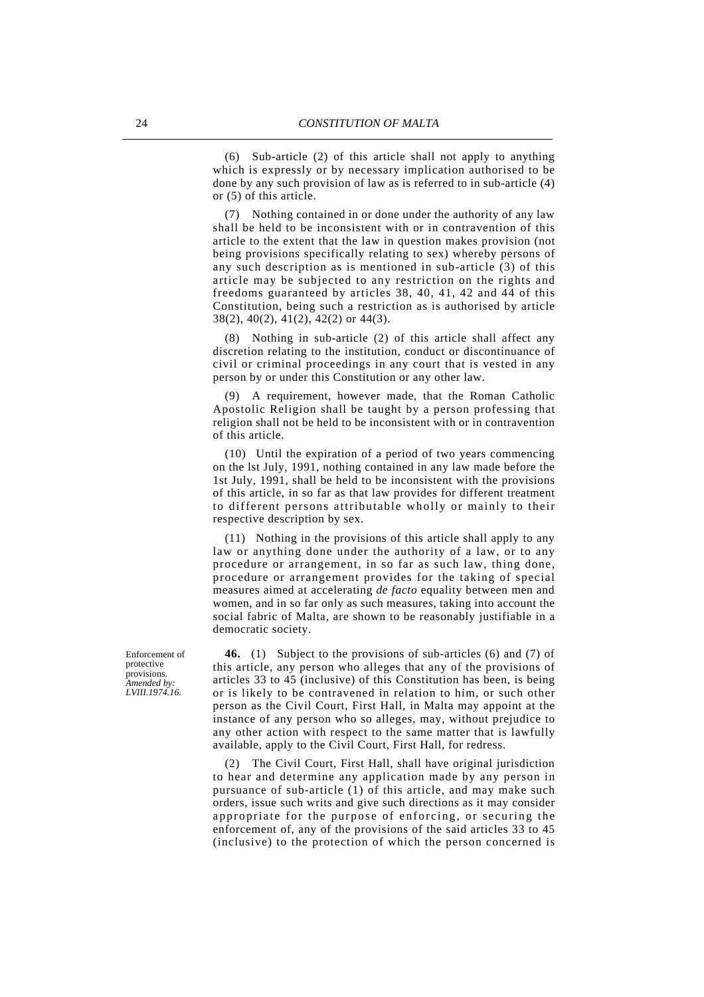(6) Sub-article (2) of this article shall not apply to anything which is expressly or by necessary implication authorised to be done by any such provision of law as is referred to in sub-article (4) or (5) of this article.

(7) Nothing contained in or done under the authority of any law shall be held to be inconsistent with or in contravention of this article to the extent that the law in question makes provision (not being provisions specifically relating to sex) whereby persons of any such description as is mentioned in sub-article (3) of this article may be subjected to any restriction on the rights and freedoms guaranteed by articles 38, 40, 41, 42 and 44 of this Constitution, being such a restriction as is authorised by article 38(2), 40(2), 41(2), 42(2) or 44(3).

(8) Nothing in sub-article (2) of this article shall affect any discretion relating to the institution, conduct or discontinuance of civil or criminal proceedings in any court that is vested in any person by or under this Constitution or any other law.

(9) A requirement, however made, that the Roman Catholic Apostolic Religion shall be taught by a person professing that religion shall not be held to be inconsistent with or in contravention of this article.

(10) Until the expiration of a period of two years commencing on the lst July, 1991, nothing contained in any law made before the 1st July, 1991, shall be held to be inconsistent with the provisions of this article, in so far as that law provides for different treatment to different persons attributable wholly or mainly to their respective description by sex.

(11) Nothing in the provisions of this article shall apply to any law or anything done under the authority of a law, or to any procedure or arrangement, in so far as such law, thing done, procedure or arrangement provides for the taking of special measures aimed at accelerating *de facto* equality between men and women, and in so far only as such measures, taking into account the social fabric of Malta, are shown to be reasonably justifiable in a democratic society.

**46.** (1) Subject to the provisions of sub-articles (6) and (7) of this article, any person who alleges that any of the provisions of articles 33 to 45 (inclusive) of this Constitution has been, is being or is likely to be contravened in relation to him, or such other person as the Civil Court, First Hall, in Malta may appoint at the instance of any person who so alleges, may, without prejudice to any other action with respect to the same matter that is lawfully available, apply to the Civil Court, First Hall, for redress.

(2) The Civil Court, First Hall, shall have original jurisdiction to hear and determine any application made by any person in pursuance of sub-article (1) of this article, and may make such orders, issue such writs and give such directions as it may consider appropriate for the purpose of enforcing, or securing the enforcement of, any of the provisions of the said articles 33 to 45 (inclusive) to the protection of which the person concerned is

Enforcement of protective provisions. *Amended by: LVIII.1974.16.*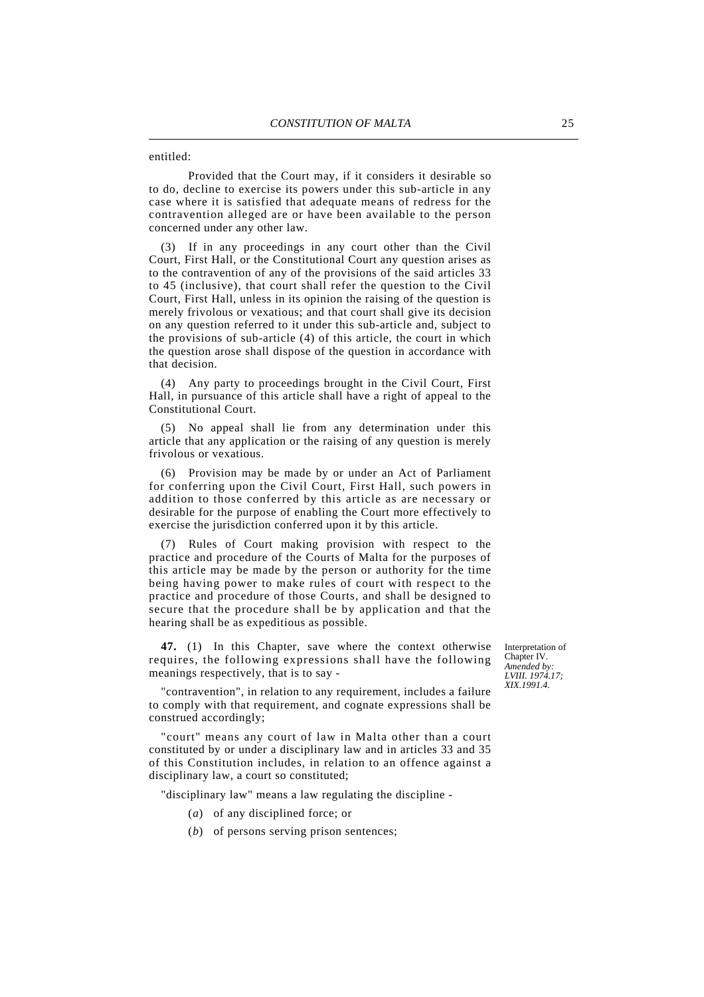#### entitled:

Provided that the Court may, if it considers it desirable so to do, decline to exercise its powers under this sub-article in any case where it is satisfied that adequate means of redress for the contravention alleged are or have been available to the person concerned under any other law.

(3) If in any proceedings in any court other than the Civil Court, First Hall, or the Constitutional Court any question arises as to the contravention of any of the provisions of the said articles 33 to 45 (inclusive), that court shall refer the question to the Civil Court, First Hall, unless in its opinion the raising of the question is merely frivolous or vexatious; and that court shall give its decision on any question referred to it under this sub-article and, subject to the provisions of sub-article (4) of this article, the court in which the question arose shall dispose of the question in accordance with that decision.

(4) Any party to proceedings brought in the Civil Court, First Hall, in pursuance of this article shall have a right of appeal to the Constitutional Court.

(5) No appeal shall lie from any determination under this article that any application or the raising of any question is merely frivolous or vexatious.

(6) Provision may be made by or under an Act of Parliament for conferring upon the Civil Court, First Hall, such powers in addition to those conferred by this article as are necessary or desirable for the purpose of enabling the Court more effectively to exercise the jurisdiction conferred upon it by this article.

(7) Rules of Court making provision with respect to the practice and procedure of the Courts of Malta for the purposes of this article may be made by the person or authority for the time being having power to make rules of court with respect to the practice and procedure of those Courts, and shall be designed to secure that the procedure shall be by application and that the hearing shall be as expeditious as possible.

**47.** (1) In this Chapter, save where the context otherwise requires, the following expressions shall have the following meanings respectively, that is to say -

Interpretation of Chapter IV. *Amended by: LVIII. 1974.17; XIX.1991.4.*

"contravention", in relation to any requirement, includes a failure to comply with that requirement, and cognate expressions shall be construed accordingly;

"court" means any court of law in Malta other than a court constituted by or under a disciplinary law and in articles 33 and 35 of this Constitution includes, in relation to an offence against a disciplinary law, a court so constituted;

"disciplinary law" means a law regulating the discipline -

- (*a*) of any disciplined force; or
- (*b*) of persons serving prison sentences;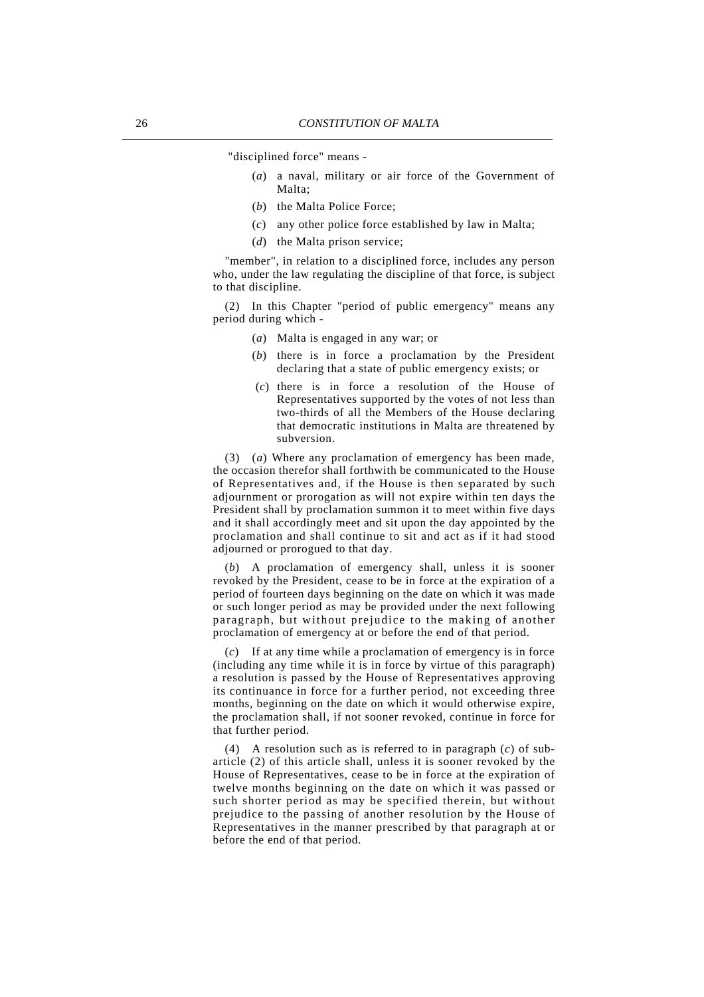"disciplined force" means -

- (*a*) a naval, military or air force of the Government of Malta;
- (*b*) the Malta Police Force;
- (*c*) any other police force established by law in Malta;
- (*d*) the Malta prison service;

"member", in relation to a disciplined force, includes any person who, under the law regulating the discipline of that force, is subject to that discipline.

(2) In this Chapter "period of public emergency" means any period during which -

- (*a*) Malta is engaged in any war; or
- (*b*) there is in force a proclamation by the President declaring that a state of public emergency exists; or
- (*c*) there is in force a resolution of the House of Representatives supported by the votes of not less than two-thirds of all the Members of the House declaring that democratic institutions in Malta are threatened by subversion.

(3) (*a*) Where any proclamation of emergency has been made, the occasion therefor shall forthwith be communicated to the House of Representatives and, if the House is then separated by such adjournment or prorogation as will not expire within ten days the President shall by proclamation summon it to meet within five days and it shall accordingly meet and sit upon the day appointed by the proclamation and shall continue to sit and act as if it had stood adjourned or prorogued to that day.

(*b*) A proclamation of emergency shall, unless it is sooner revoked by the President, cease to be in force at the expiration of a period of fourteen days beginning on the date on which it was made or such longer period as may be provided under the next following paragraph, but without prejudice to the making of another proclamation of emergency at or before the end of that period.

(*c*) If at any time while a proclamation of emergency is in force (including any time while it is in force by virtue of this paragraph) a resolution is passed by the House of Representatives approving its continuance in force for a further period, not exceeding three months, beginning on the date on which it would otherwise expire, the proclamation shall, if not sooner revoked, continue in force for that further period.

(4) A resolution such as is referred to in paragraph (*c*) of subarticle (2) of this article shall, unless it is sooner revoked by the House of Representatives, cease to be in force at the expiration of twelve months beginning on the date on which it was passed or such shorter period as may be specified therein, but without prejudice to the passing of another resolution by the House of Representatives in the manner prescribed by that paragraph at or before the end of that period.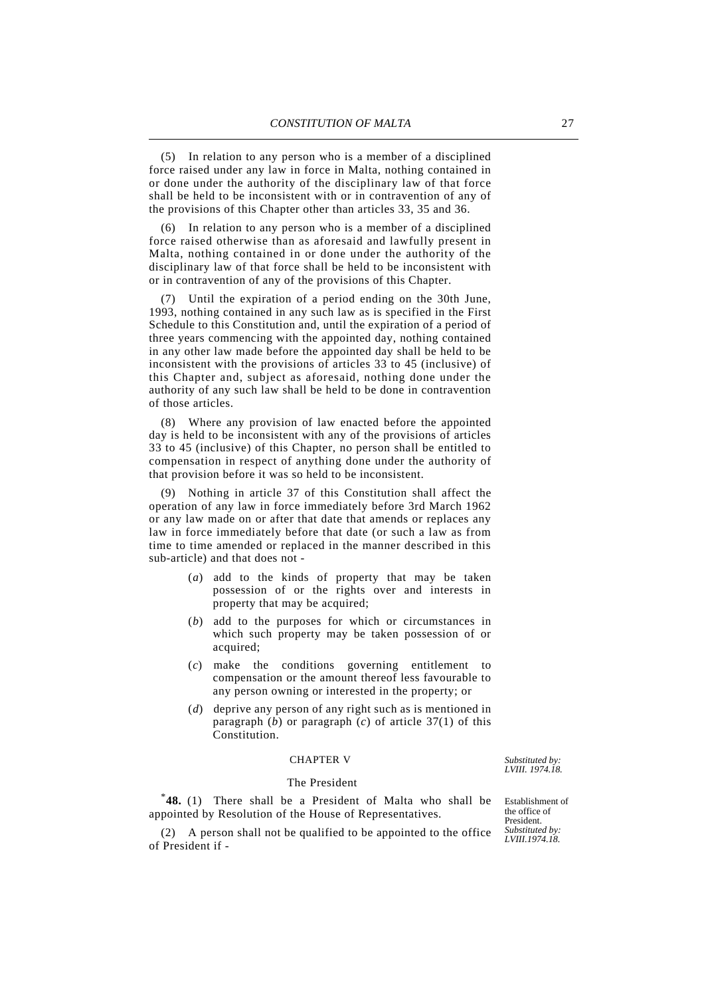(5) In relation to any person who is a member of a disciplined force raised under any law in force in Malta, nothing contained in or done under the authority of the disciplinary law of that force shall be held to be inconsistent with or in contravention of any of the provisions of this Chapter other than articles 33, 35 and 36.

(6) In relation to any person who is a member of a disciplined force raised otherwise than as aforesaid and lawfully present in Malta, nothing contained in or done under the authority of the disciplinary law of that force shall be held to be inconsistent with or in contravention of any of the provisions of this Chapter.

(7) Until the expiration of a period ending on the 30th June, 1993, nothing contained in any such law as is specified in the First Schedule to this Constitution and, until the expiration of a period of three years commencing with the appointed day, nothing contained in any other law made before the appointed day shall be held to be inconsistent with the provisions of articles 33 to 45 (inclusive) of this Chapter and, subject as aforesaid, nothing done under the authority of any such law shall be held to be done in contravention of those articles.

(8) Where any provision of law enacted before the appointed day is held to be inconsistent with any of the provisions of articles 33 to 45 (inclusive) of this Chapter, no person shall be entitled to compensation in respect of anything done under the authority of that provision before it was so held to be inconsistent.

(9) Nothing in article 37 of this Constitution shall affect the operation of any law in force immediately before 3rd March 1962 or any law made on or after that date that amends or replaces any law in force immediately before that date (or such a law as from time to time amended or replaced in the manner described in this sub-article) and that does not -

- (*a*) add to the kinds of property that may be taken possession of or the rights over and interests in property that may be acquired;
- (*b*) add to the purposes for which or circumstances in which such property may be taken possession of or acquired;
- (*c*) make the conditions governing entitlement to compensation or the amount thereof less favourable to any person owning or interested in the property; or
- (*d*) deprive any person of any right such as is mentioned in paragraph (*b*) or paragraph (*c*) of article 37(1) of this Constitution.

#### CHAPTER V

*Substituted by: LVIII. 1974.18.*

#### The President

\* **48.** (1) There shall be a President of Malta who shall be appointed by Resolution of the House of Representatives.

(2) A person shall not be qualified to be appointed to the office of President if -

Establishment of the office of President. *Substituted by: LVIII.1974.18.*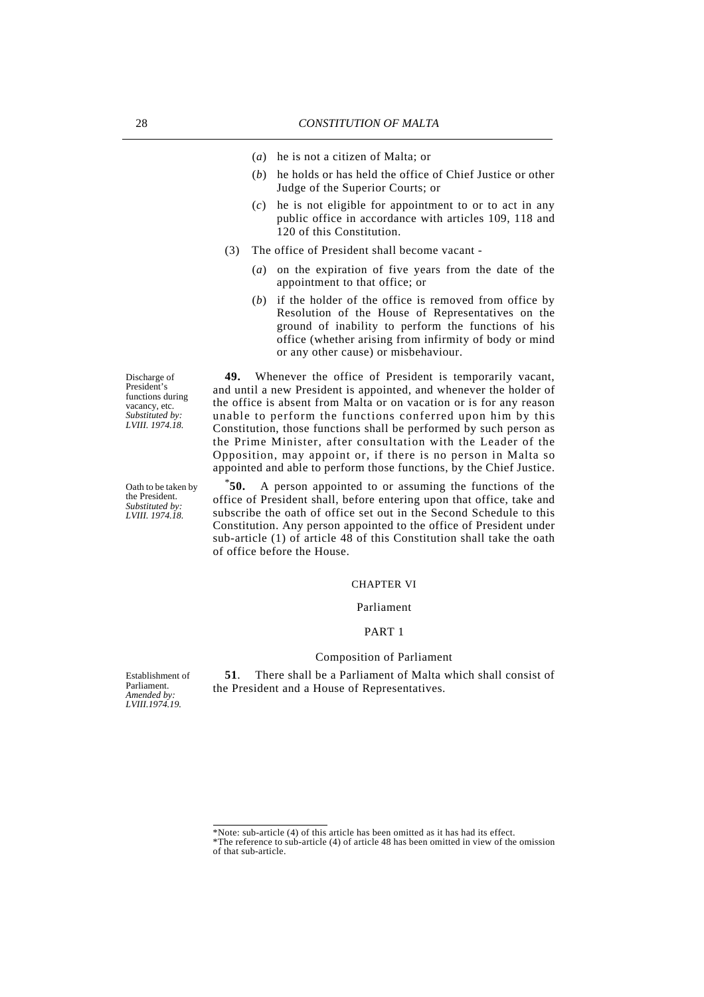- (*a*) he is not a citizen of Malta; or
- (*b*) he holds or has held the office of Chief Justice or other Judge of the Superior Courts; or
- (*c*) he is not eligible for appointment to or to act in any public office in accordance with articles 109, 118 and 120 of this Constitution.
- (3) The office of President shall become vacant
	- (*a*) on the expiration of five years from the date of the appointment to that office; or
	- (*b*) if the holder of the office is removed from office by Resolution of the House of Representatives on the ground of inability to perform the functions of his office (whether arising from infirmity of body or mind or any other cause) or misbehaviour.

Discharge of President's functions during vacancy, etc. *Substituted by: LVIII. 1974.18.*

Oath to be taken by the President. *Substituted by: LVIII. 1974.18.*

**49.** Whenever the office of President is temporarily vacant, and until a new President is appointed, and whenever the holder of the office is absent from Malta or on vacation or is for any reason unable to perform the functions conferred upon him by this Constitution, those functions shall be performed by such person as the Prime Minister, after consultation with the Leader of the Opposition, may appoint or, if there is no person in Malta so appointed and able to perform those functions, by the Chief Justice.

້50. **50.** A person appointed to or assuming the functions of the office of President shall, before entering upon that office, take and subscribe the oath of office set out in the Second Schedule to this Constitution. Any person appointed to the office of President under sub-article (1) of article 48 of this Constitution shall take the oath of office before the House.

#### CHAPTER VI

#### Parliament

# PART 1

#### Composition of Parliament

**51**. There shall be a Parliament of Malta which shall consist of the President and a House of Representatives.

Establishment of Parliament. *Amended by: LVIII.1974.19.*

\*The reference to sub-article (4) of article 48 has been omitted in view of the omission of that sub-article.

<sup>\*</sup>Note: sub-article (4) of this article has been omitted as it has had its effect.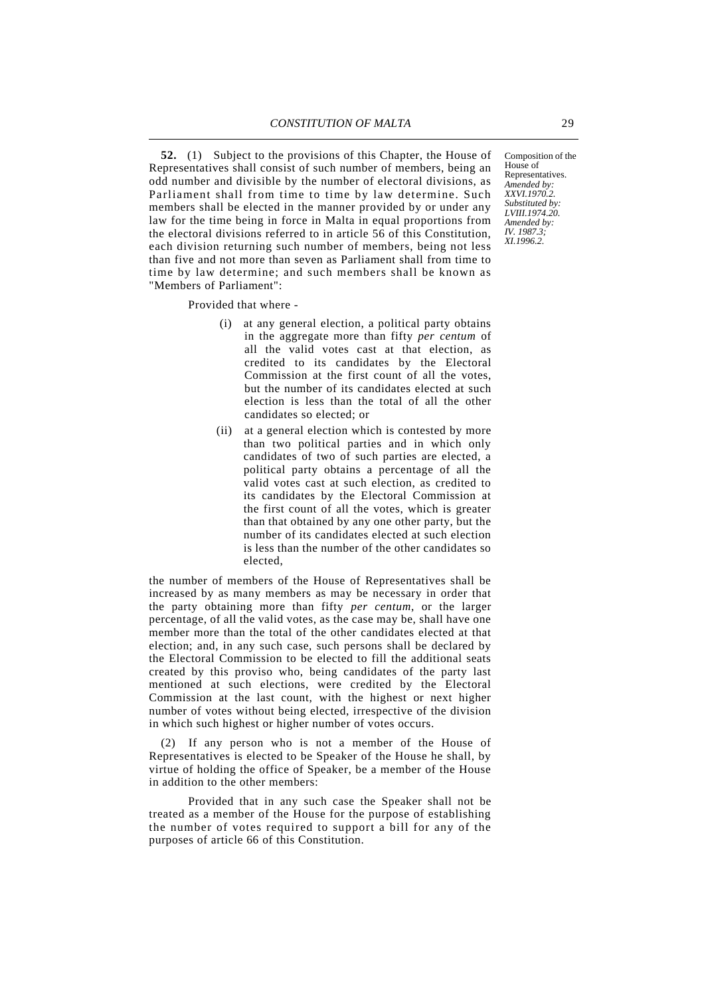**52.** (1) Subject to the provisions of this Chapter, the House of Representatives shall consist of such number of members, being an odd number and divisible by the number of electoral divisions, as Parliament shall from time to time by law determine. Such members shall be elected in the manner provided by or under any law for the time being in force in Malta in equal proportions from the electoral divisions referred to in article 56 of this Constitution, each division returning such number of members, being not less than five and not more than seven as Parliament shall from time to time by law determine; and such members shall be known as "Members of Parliament":

Provided that where -

- (i) at any general election, a political party obtains in the aggregate more than fifty *per centum* of all the valid votes cast at that election, as credited to its candidates by the Electoral Commission at the first count of all the votes, but the number of its candidates elected at such election is less than the total of all the other candidates so elected; or
- (ii) at a general election which is contested by more than two political parties and in which only candidates of two of such parties are elected, a political party obtains a percentage of all the valid votes cast at such election, as credited to its candidates by the Electoral Commission at the first count of all the votes, which is greater than that obtained by any one other party, but the number of its candidates elected at such election is less than the number of the other candidates so elected,

the number of members of the House of Representatives shall be increased by as many members as may be necessary in order that the party obtaining more than fifty *per centum*, or the larger percentage, of all the valid votes, as the case may be, shall have one member more than the total of the other candidates elected at that election; and, in any such case, such persons shall be declared by the Electoral Commission to be elected to fill the additional seats created by this proviso who, being candidates of the party last mentioned at such elections, were credited by the Electoral Commission at the last count, with the highest or next higher number of votes without being elected, irrespective of the division in which such highest or higher number of votes occurs.

(2) If any person who is not a member of the House of Representatives is elected to be Speaker of the House he shall, by virtue of holding the office of Speaker, be a member of the House in addition to the other members:

Provided that in any such case the Speaker shall not be treated as a member of the House for the purpose of establishing the number of votes required to support a bill for any of the purposes of article 66 of this Constitution.

Composition of the House of Representatives. *Amended by: XXVI.1970.2. Substituted by: LVIII.1974.20. Amended by: IV. 1987.3; XI.1996.2.*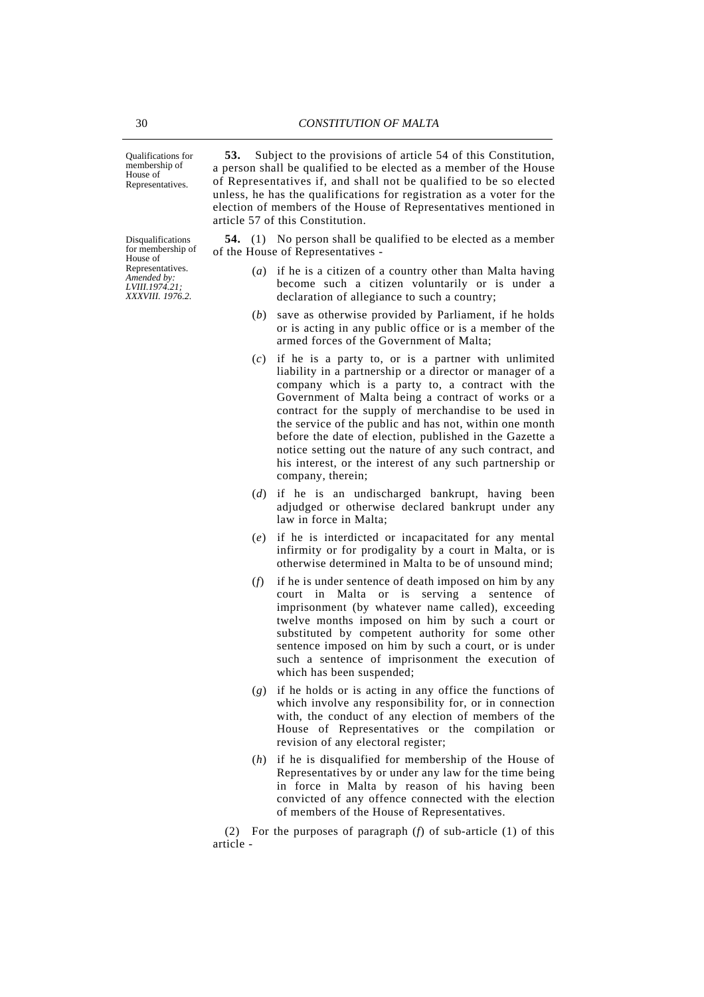Qualifications for membership of House of Representatives.

**53.** Subject to the provisions of article 54 of this Constitution, a person shall be qualified to be elected as a member of the House of Representatives if, and shall not be qualified to be so elected unless, he has the qualifications for registration as a voter for the election of members of the House of Representatives mentioned in article 57 of this Constitution.

**54.** (1) No person shall be qualified to be elected as a member of the House of Representatives -

- (*a*) if he is a citizen of a country other than Malta having become such a citizen voluntarily or is under a declaration of allegiance to such a country;
- (*b*) save as otherwise provided by Parliament, if he holds or is acting in any public office or is a member of the armed forces of the Government of Malta;
- (*c*) if he is a party to, or is a partner with unlimited liability in a partnership or a director or manager of a company which is a party to, a contract with the Government of Malta being a contract of works or a contract for the supply of merchandise to be used in the service of the public and has not, within one month before the date of election, published in the Gazette a notice setting out the nature of any such contract, and his interest, or the interest of any such partnership or company, therein;
- (*d*) if he is an undischarged bankrupt, having been adjudged or otherwise declared bankrupt under any law in force in Malta;
- (*e*) if he is interdicted or incapacitated for any mental infirmity or for prodigality by a court in Malta, or is otherwise determined in Malta to be of unsound mind;
- (*f*) if he is under sentence of death imposed on him by any court in Malta or is serving a sentence of imprisonment (by whatever name called), exceeding twelve months imposed on him by such a court or substituted by competent authority for some other sentence imposed on him by such a court, or is under such a sentence of imprisonment the execution of which has been suspended;
- (*g*) if he holds or is acting in any office the functions of which involve any responsibility for, or in connection with, the conduct of any election of members of the House of Representatives or the compilation or revision of any electoral register;
- (*h*) if he is disqualified for membership of the House of Representatives by or under any law for the time being in force in Malta by reason of his having been convicted of any offence connected with the election of members of the House of Representatives.

(2) For the purposes of paragraph (*f*) of sub-article (1) of this article -

Disqualifications for membership of House of Representatives. *Amended by: LVIII.1974.21; XXXVIII. 1976.2.*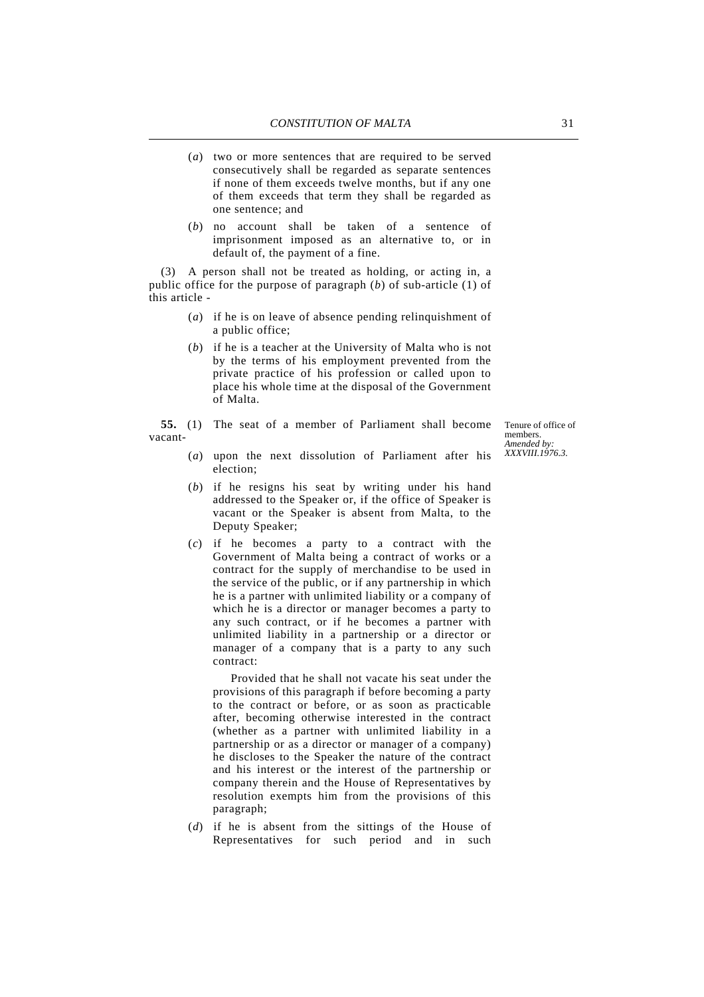- (*a*) two or more sentences that are required to be served consecutively shall be regarded as separate sentences if none of them exceeds twelve months, but if any one of them exceeds that term they shall be regarded as one sentence; and
- (*b*) no account shall be taken of a sentence of imprisonment imposed as an alternative to, or in default of, the payment of a fine.

(3) A person shall not be treated as holding, or acting in, a public office for the purpose of paragraph (*b*) of sub-article (1) of this article -

- (*a*) if he is on leave of absence pending relinquishment of a public office;
- (*b*) if he is a teacher at the University of Malta who is not by the terms of his employment prevented from the private practice of his profession or called upon to place his whole time at the disposal of the Government of Malta.

**55.** (1) The seat of a member of Parliament shall become vacantTenure of office of members. *Amended by: XXXVIII.1976.3.*

- (*a*) upon the next dissolution of Parliament after his election;
- (*b*) if he resigns his seat by writing under his hand addressed to the Speaker or, if the office of Speaker is vacant or the Speaker is absent from Malta, to the Deputy Speaker;
- (*c*) if he becomes a party to a contract with the Government of Malta being a contract of works or a contract for the supply of merchandise to be used in the service of the public, or if any partnership in which he is a partner with unlimited liability or a company of which he is a director or manager becomes a party to any such contract, or if he becomes a partner with unlimited liability in a partnership or a director or manager of a company that is a party to any such contract:

 Provided that he shall not vacate his seat under the provisions of this paragraph if before becoming a party to the contract or before, or as soon as practicable after, becoming otherwise interested in the contract (whether as a partner with unlimited liability in a partnership or as a director or manager of a company) he discloses to the Speaker the nature of the contract and his interest or the interest of the partnership or company therein and the House of Representatives by resolution exempts him from the provisions of this paragraph;

(*d*) if he is absent from the sittings of the House of Representatives for such period and in such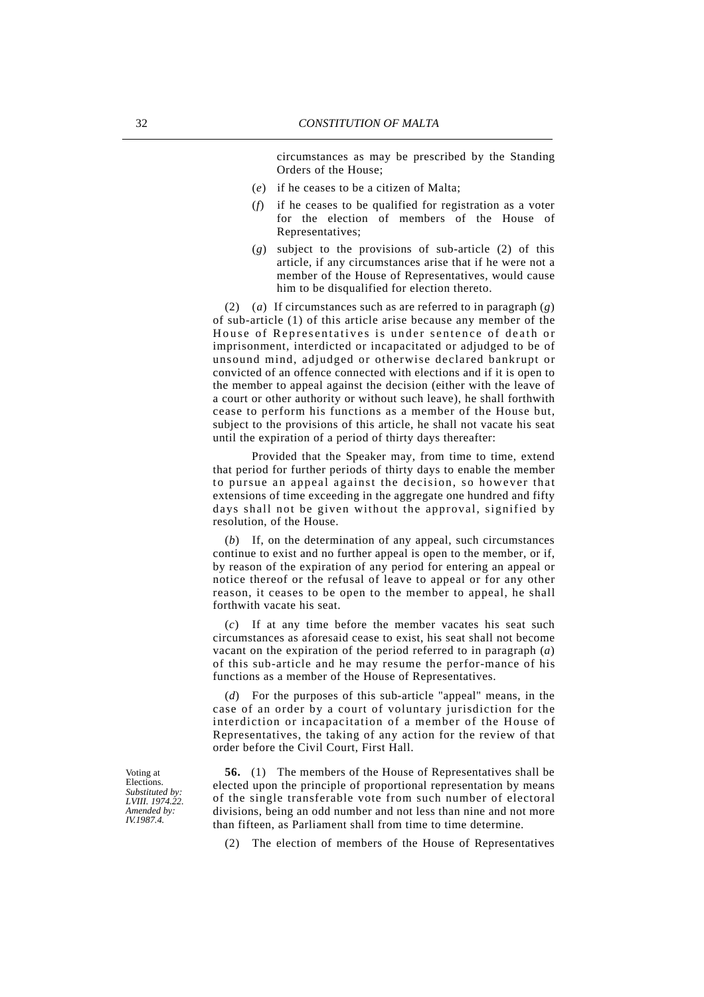circumstances as may be prescribed by the Standing Orders of the House;

- (*e*) if he ceases to be a citizen of Malta;
- (*f*) if he ceases to be qualified for registration as a voter for the election of members of the House of Representatives;
- (*g*) subject to the provisions of sub-article (2) of this article, if any circumstances arise that if he were not a member of the House of Representatives, would cause him to be disqualified for election thereto.

(2) (*a*) If circumstances such as are referred to in paragraph (*g*) of sub-article (1) of this article arise because any member of the House of Representatives is under sentence of death or imprisonment, interdicted or incapacitated or adjudged to be of unsound mind, adjudged or otherwise declared bankrupt or convicted of an offence connected with elections and if it is open to the member to appeal against the decision (either with the leave of a court or other authority or without such leave), he shall forthwith cease to perform his functions as a member of the House but, subject to the provisions of this article, he shall not vacate his seat until the expiration of a period of thirty days thereafter:

Provided that the Speaker may, from time to time, extend that period for further periods of thirty days to enable the member to pursue an appeal against the decision, so however that extensions of time exceeding in the aggregate one hundred and fifty days shall not be given without the approval, signified by resolution, of the House.

(*b*) If, on the determination of any appeal, such circumstances continue to exist and no further appeal is open to the member, or if, by reason of the expiration of any period for entering an appeal or notice thereof or the refusal of leave to appeal or for any other reason, it ceases to be open to the member to appeal, he shall forthwith vacate his seat.

(*c*) If at any time before the member vacates his seat such circumstances as aforesaid cease to exist, his seat shall not become vacant on the expiration of the period referred to in paragraph (*a*) of this sub-article and he may resume the perfor-mance of his functions as a member of the House of Representatives.

(*d*) For the purposes of this sub-article "appeal" means, in the case of an order by a court of voluntary jurisdiction for the interdiction or incapacitation of a member of the House of Representatives, the taking of any action for the review of that order before the Civil Court, First Hall.

**56.** (1) The members of the House of Representatives shall be elected upon the principle of proportional representation by means of the single transferable vote from such number of electoral divisions, being an odd number and not less than nine and not more than fifteen, as Parliament shall from time to time determine.

(2) The election of members of the House of Representatives

Voting at Elections. *Substituted by: LVIII. 1974.22. Amended by: IV.1987.4.*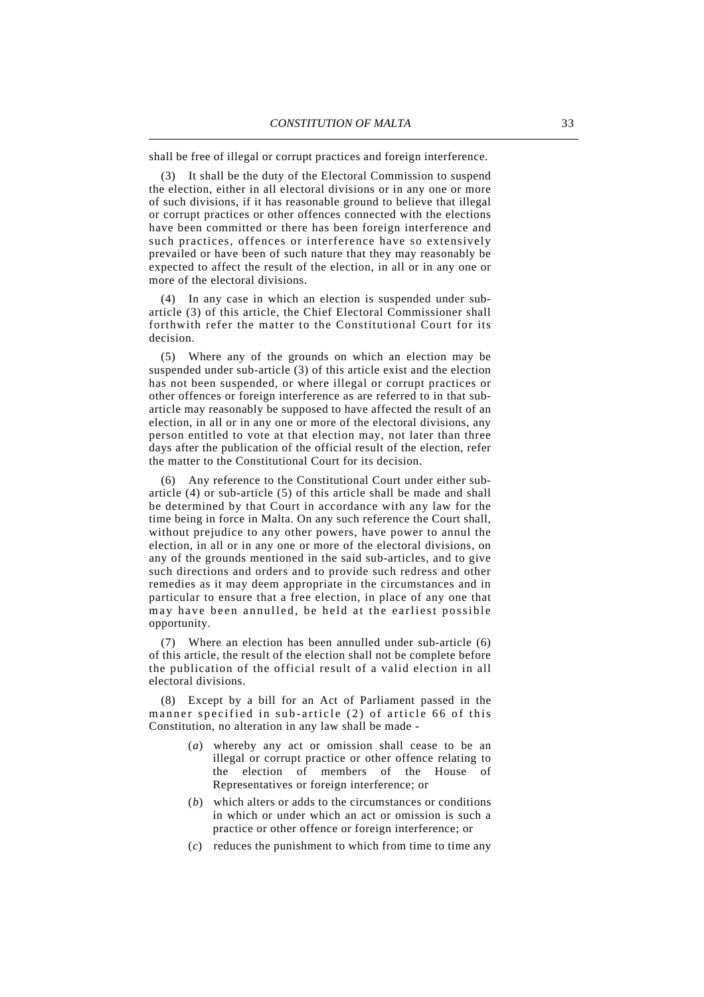shall be free of illegal or corrupt practices and foreign interference.

(3) It shall be the duty of the Electoral Commission to suspend the election, either in all electoral divisions or in any one or more of such divisions, if it has reasonable ground to believe that illegal or corrupt practices or other offences connected with the elections have been committed or there has been foreign interference and such practices, offences or interference have so extensively prevailed or have been of such nature that they may reasonably be expected to affect the result of the election, in all or in any one or more of the electoral divisions.

(4) In any case in which an election is suspended under subarticle (3) of this article, the Chief Electoral Commissioner shall forthwith refer the matter to the Constitutional Court for its decision.

(5) Where any of the grounds on which an election may be suspended under sub-article (3) of this article exist and the election has not been suspended, or where illegal or corrupt practices or other offences or foreign interference as are referred to in that subarticle may reasonably be supposed to have affected the result of an election, in all or in any one or more of the electoral divisions, any person entitled to vote at that election may, not later than three days after the publication of the official result of the election, refer the matter to the Constitutional Court for its decision.

(6) Any reference to the Constitutional Court under either subarticle (4) or sub-article (5) of this article shall be made and shall be determined by that Court in accordance with any law for the time being in force in Malta. On any such reference the Court shall, without prejudice to any other powers, have power to annul the election, in all or in any one or more of the electoral divisions, on any of the grounds mentioned in the said sub-articles, and to give such directions and orders and to provide such redress and other remedies as it may deem appropriate in the circumstances and in particular to ensure that a free election, in place of any one that may have been annulled, be held at the earliest possible opportunity.

(7) Where an election has been annulled under sub-article (6) of this article, the result of the election shall not be complete before the publication of the official result of a valid election in all electoral divisions.

(8) Except by a bill for an Act of Parliament passed in the manner specified in sub-article (2) of article 66 of this Constitution, no alteration in any law shall be made -

- (*a*) whereby any act or omission shall cease to be an illegal or corrupt practice or other offence relating to the election of members of the House of Representatives or foreign interference; or
- (*b*) which alters or adds to the circumstances or conditions in which or under which an act or omission is such a practice or other offence or foreign interference; or
- (*c*) reduces the punishment to which from time to time any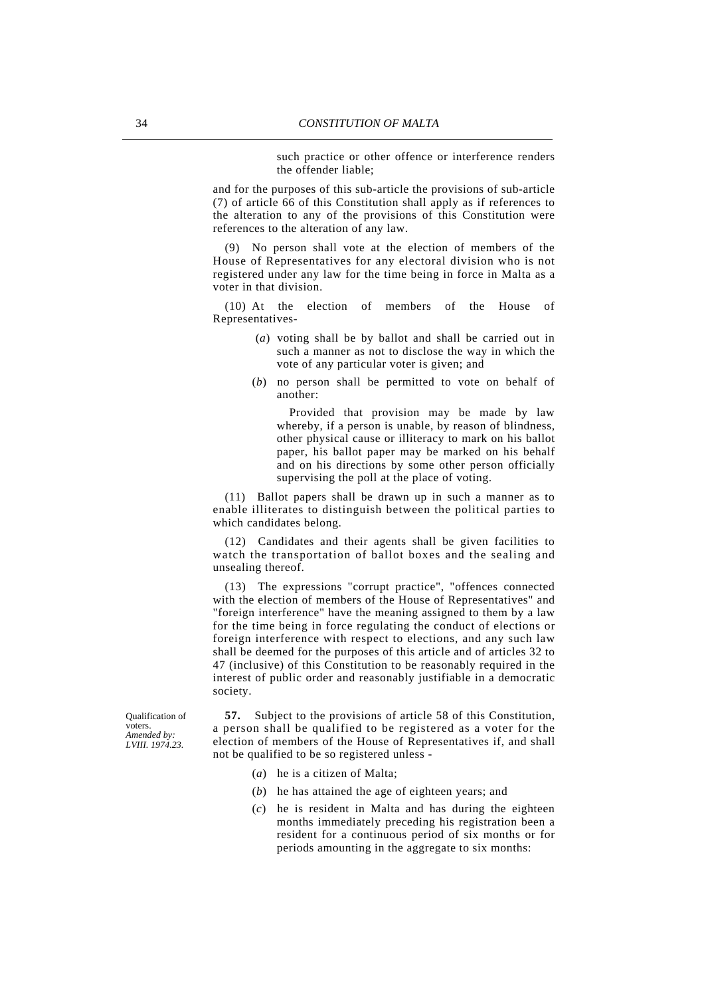such practice or other offence or interference renders the offender liable;

and for the purposes of this sub-article the provisions of sub-article (7) of article 66 of this Constitution shall apply as if references to the alteration to any of the provisions of this Constitution were references to the alteration of any law.

(9) No person shall vote at the election of members of the House of Representatives for any electoral division who is not registered under any law for the time being in force in Malta as a voter in that division.

(10) At the election of members of the House of Representatives-

- (*a*) voting shall be by ballot and shall be carried out in such a manner as not to disclose the way in which the vote of any particular voter is given; and
- (*b*) no person shall be permitted to vote on behalf of another:

 Provided that provision may be made by law whereby, if a person is unable, by reason of blindness, other physical cause or illiteracy to mark on his ballot paper, his ballot paper may be marked on his behalf and on his directions by some other person officially supervising the poll at the place of voting.

(11) Ballot papers shall be drawn up in such a manner as to enable illiterates to distinguish between the political parties to which candidates belong.

(12) Candidates and their agents shall be given facilities to watch the transportation of ballot boxes and the sealing and unsealing thereof.

(13) The expressions "corrupt practice", "offences connected with the election of members of the House of Representatives" and "foreign interference" have the meaning assigned to them by a law for the time being in force regulating the conduct of elections or foreign interference with respect to elections, and any such law shall be deemed for the purposes of this article and of articles 32 to 47 (inclusive) of this Constitution to be reasonably required in the interest of public order and reasonably justifiable in a democratic society.

Qualification of voters. *Amended by: LVIII. 1974.23.*

**57.** Subject to the provisions of article 58 of this Constitution, a person shall be qualified to be registered as a voter for the election of members of the House of Representatives if, and shall not be qualified to be so registered unless -

- (*a*) he is a citizen of Malta;
- (*b*) he has attained the age of eighteen years; and
- (*c*) he is resident in Malta and has during the eighteen months immediately preceding his registration been a resident for a continuous period of six months or for periods amounting in the aggregate to six months: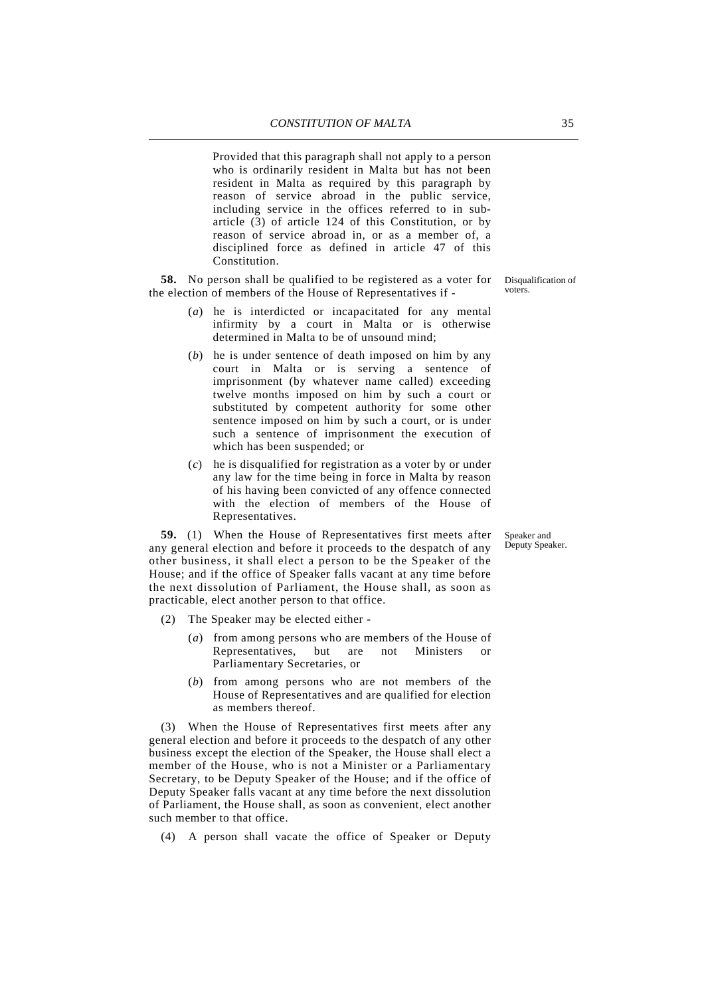Provided that this paragraph shall not apply to a person who is ordinarily resident in Malta but has not been resident in Malta as required by this paragraph by reason of service abroad in the public service, including service in the offices referred to in subarticle (3) of article 124 of this Constitution, or by reason of service abroad in, or as a member of, a disciplined force as defined in article 47 of this Constitution.

**58.** No person shall be qualified to be registered as a voter for the election of members of the House of Representatives if -

- (*a*) he is interdicted or incapacitated for any mental infirmity by a court in Malta or is otherwise determined in Malta to be of unsound mind;
- (*b*) he is under sentence of death imposed on him by any court in Malta or is serving a sentence of imprisonment (by whatever name called) exceeding twelve months imposed on him by such a court or substituted by competent authority for some other sentence imposed on him by such a court, or is under such a sentence of imprisonment the execution of which has been suspended; or
- (*c*) he is disqualified for registration as a voter by or under any law for the time being in force in Malta by reason of his having been convicted of any offence connected with the election of members of the House of Representatives.

**59.** (1) When the House of Representatives first meets after any general election and before it proceeds to the despatch of any other business, it shall elect a person to be the Speaker of the House; and if the office of Speaker falls vacant at any time before the next dissolution of Parliament, the House shall, as soon as practicable, elect another person to that office.

- (2) The Speaker may be elected either
	- (*a*) from among persons who are members of the House of Representatives, but are not Ministers Parliamentary Secretaries, or
	- (*b*) from among persons who are not members of the House of Representatives and are qualified for election as members thereof.

(3) When the House of Representatives first meets after any general election and before it proceeds to the despatch of any other business except the election of the Speaker, the House shall elect a member of the House, who is not a Minister or a Parliamentary Secretary, to be Deputy Speaker of the House; and if the office of Deputy Speaker falls vacant at any time before the next dissolution of Parliament, the House shall, as soon as convenient, elect another such member to that office.

(4) A person shall vacate the office of Speaker or Deputy

Speaker and Deputy Speaker.

Disqualification of voters.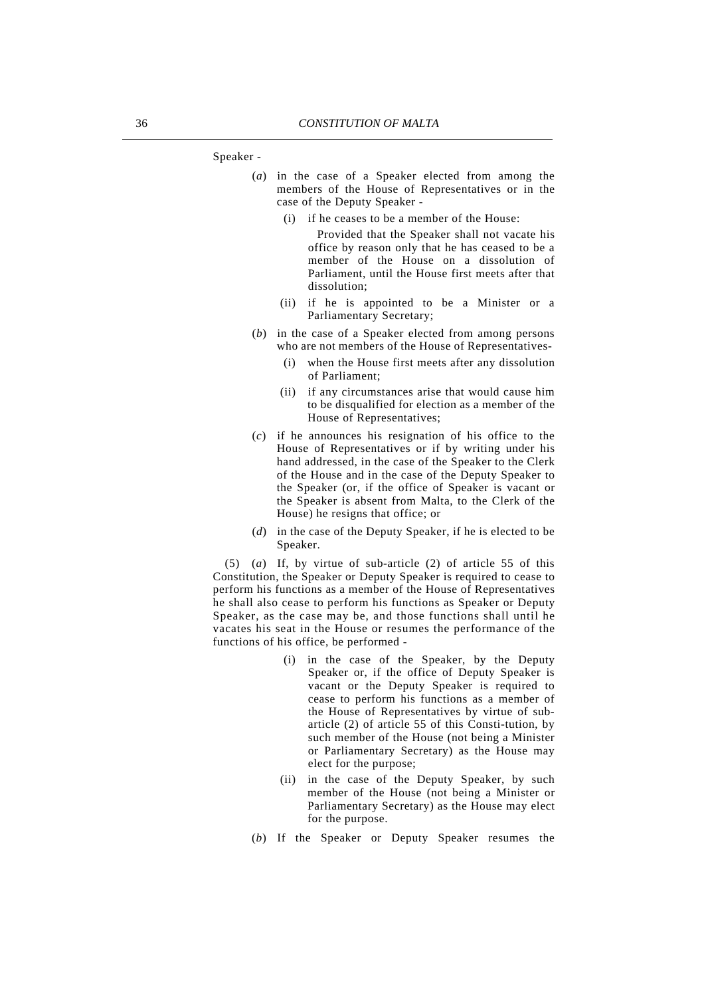Speaker -

- (*a*) in the case of a Speaker elected from among the members of the House of Representatives or in the case of the Deputy Speaker -
	- (i) if he ceases to be a member of the House:

 Provided that the Speaker shall not vacate his office by reason only that he has ceased to be a member of the House on a dissolution of Parliament, until the House first meets after that dissolution;

- (ii) if he is appointed to be a Minister or a Parliamentary Secretary;
- (*b*) in the case of a Speaker elected from among persons who are not members of the House of Representatives-
	- (i) when the House first meets after any dissolution of Parliament;
	- (ii) if any circumstances arise that would cause him to be disqualified for election as a member of the House of Representatives;
- (*c*) if he announces his resignation of his office to the House of Representatives or if by writing under his hand addressed, in the case of the Speaker to the Clerk of the House and in the case of the Deputy Speaker to the Speaker (or, if the office of Speaker is vacant or the Speaker is absent from Malta, to the Clerk of the House) he resigns that office; or
- (*d*) in the case of the Deputy Speaker, if he is elected to be Speaker.

(5) (*a*) If, by virtue of sub-article (2) of article 55 of this Constitution, the Speaker or Deputy Speaker is required to cease to perform his functions as a member of the House of Representatives he shall also cease to perform his functions as Speaker or Deputy Speaker, as the case may be, and those functions shall until he vacates his seat in the House or resumes the performance of the functions of his office, be performed -

- (i) in the case of the Speaker, by the Deputy Speaker or, if the office of Deputy Speaker is vacant or the Deputy Speaker is required to cease to perform his functions as a member of the House of Representatives by virtue of subarticle (2) of article 55 of this Consti-tution, by such member of the House (not being a Minister or Parliamentary Secretary) as the House may elect for the purpose;
- (ii) in the case of the Deputy Speaker, by such member of the House (not being a Minister or Parliamentary Secretary) as the House may elect for the purpose.
- (*b*) If the Speaker or Deputy Speaker resumes the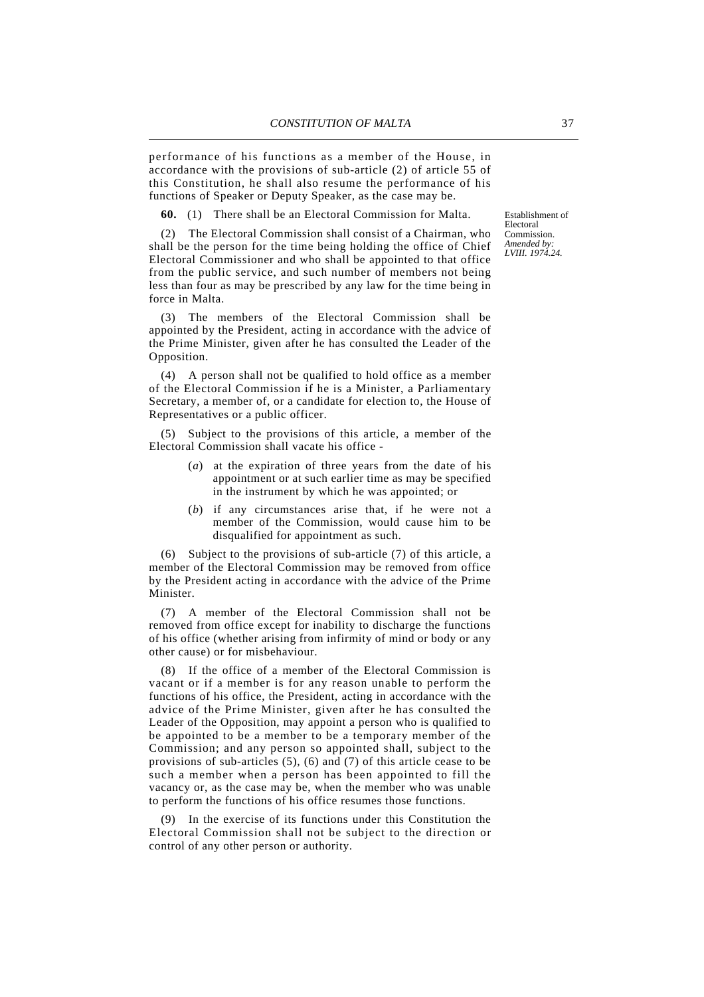performance of his functions as a member of the House, in accordance with the provisions of sub-article (2) of article 55 of this Constitution, he shall also resume the performance of his functions of Speaker or Deputy Speaker, as the case may be.

**60.** (1) There shall be an Electoral Commission for Malta.

(2) The Electoral Commission shall consist of a Chairman, who shall be the person for the time being holding the office of Chief Electoral Commissioner and who shall be appointed to that office from the public service, and such number of members not being less than four as may be prescribed by any law for the time being in force in Malta.

(3) The members of the Electoral Commission shall be appointed by the President, acting in accordance with the advice of the Prime Minister, given after he has consulted the Leader of the Opposition.

(4) A person shall not be qualified to hold office as a member of the Electoral Commission if he is a Minister, a Parliamentary Secretary, a member of, or a candidate for election to, the House of Representatives or a public officer.

(5) Subject to the provisions of this article, a member of the Electoral Commission shall vacate his office -

- (*a*) at the expiration of three years from the date of his appointment or at such earlier time as may be specified in the instrument by which he was appointed; or
- (*b*) if any circumstances arise that, if he were not a member of the Commission, would cause him to be disqualified for appointment as such.

(6) Subject to the provisions of sub-article (7) of this article, a member of the Electoral Commission may be removed from office by the President acting in accordance with the advice of the Prime Minister.

(7) A member of the Electoral Commission shall not be removed from office except for inability to discharge the functions of his office (whether arising from infirmity of mind or body or any other cause) or for misbehaviour.

(8) If the office of a member of the Electoral Commission is vacant or if a member is for any reason unable to perform the functions of his office, the President, acting in accordance with the advice of the Prime Minister, given after he has consulted the Leader of the Opposition, may appoint a person who is qualified to be appointed to be a member to be a temporary member of the Commission; and any person so appointed shall, subject to the provisions of sub-articles (5), (6) and (7) of this article cease to be such a member when a person has been appointed to fill the vacancy or, as the case may be, when the member who was unable to perform the functions of his office resumes those functions.

(9) In the exercise of its functions under this Constitution the Electoral Commission shall not be subject to the direction or control of any other person or authority.

Establishment of Electoral Commission. *Amended by: LVIII. 1974.24.*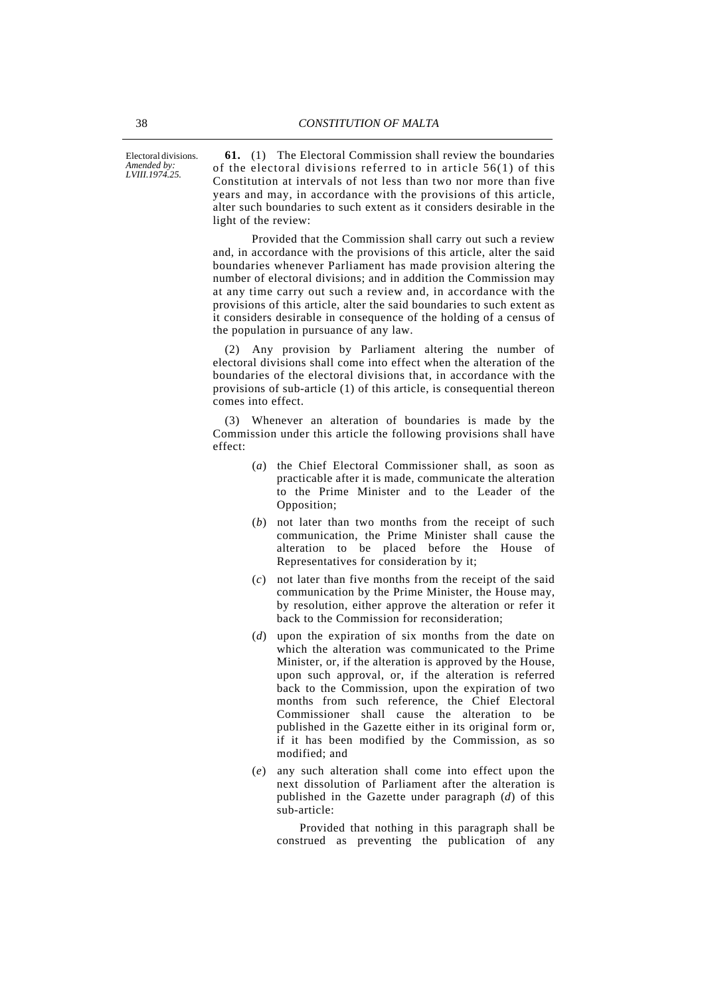Electoral divisions. *Amended by: LVIII.1974.25.*

**61.** (1) The Electoral Commission shall review the boundaries of the electoral divisions referred to in article 56(1) of this Constitution at intervals of not less than two nor more than five years and may, in accordance with the provisions of this article, alter such boundaries to such extent as it considers desirable in the light of the review:

Provided that the Commission shall carry out such a review and, in accordance with the provisions of this article, alter the said boundaries whenever Parliament has made provision altering the number of electoral divisions; and in addition the Commission may at any time carry out such a review and, in accordance with the provisions of this article, alter the said boundaries to such extent as it considers desirable in consequence of the holding of a census of the population in pursuance of any law.

(2) Any provision by Parliament altering the number of electoral divisions shall come into effect when the alteration of the boundaries of the electoral divisions that, in accordance with the provisions of sub-article (1) of this article, is consequential thereon comes into effect.

(3) Whenever an alteration of boundaries is made by the Commission under this article the following provisions shall have effect:

- (*a*) the Chief Electoral Commissioner shall, as soon as practicable after it is made, communicate the alteration to the Prime Minister and to the Leader of the Opposition;
- (*b*) not later than two months from the receipt of such communication, the Prime Minister shall cause the alteration to be placed before the House of Representatives for consideration by it;
- (*c*) not later than five months from the receipt of the said communication by the Prime Minister, the House may, by resolution, either approve the alteration or refer it back to the Commission for reconsideration;
- (*d*) upon the expiration of six months from the date on which the alteration was communicated to the Prime Minister, or, if the alteration is approved by the House, upon such approval, or, if the alteration is referred back to the Commission, upon the expiration of two months from such reference, the Chief Electoral Commissioner shall cause the alteration to be published in the Gazette either in its original form or, if it has been modified by the Commission, as so modified; and
- (*e*) any such alteration shall come into effect upon the next dissolution of Parliament after the alteration is published in the Gazette under paragraph (*d*) of this sub-article:

 Provided that nothing in this paragraph shall be construed as preventing the publication of any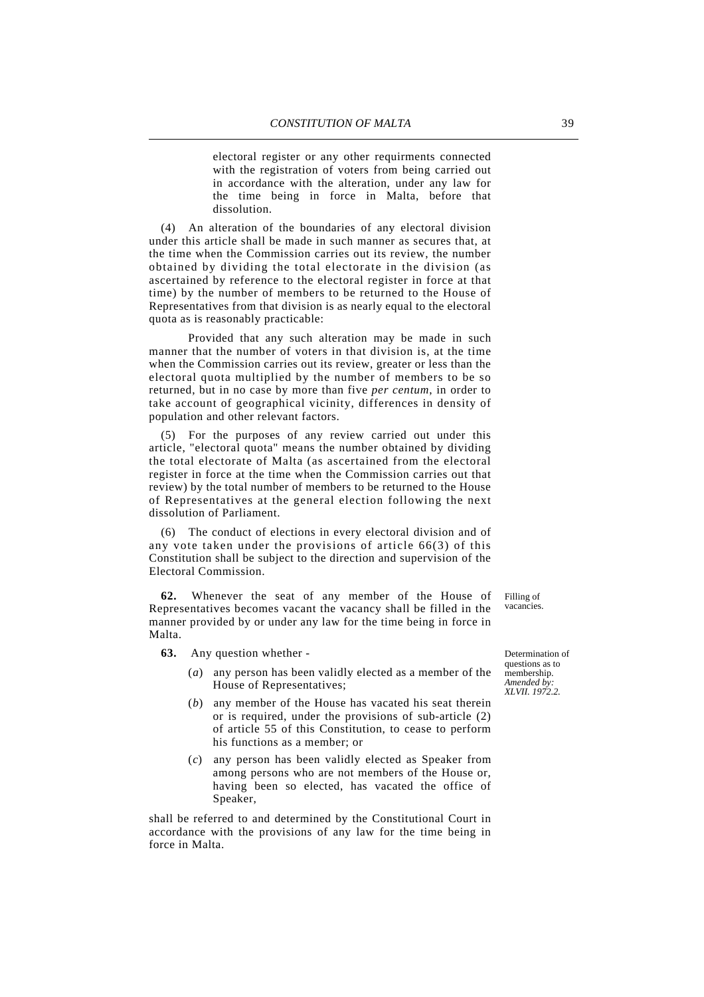electoral register or any other requirments connected with the registration of voters from being carried out in accordance with the alteration, under any law for the time being in force in Malta, before that dissolution.

(4) An alteration of the boundaries of any electoral division under this article shall be made in such manner as secures that, at the time when the Commission carries out its review, the number obtained by dividing the total electorate in the division (as ascertained by reference to the electoral register in force at that time) by the number of members to be returned to the House of Representatives from that division is as nearly equal to the electoral quota as is reasonably practicable:

Provided that any such alteration may be made in such manner that the number of voters in that division is, at the time when the Commission carries out its review, greater or less than the electoral quota multiplied by the number of members to be so returned, but in no case by more than five *per centum*, in order to take account of geographical vicinity, differences in density of population and other relevant factors.

(5) For the purposes of any review carried out under this article, "electoral quota" means the number obtained by dividing the total electorate of Malta (as ascertained from the electoral register in force at the time when the Commission carries out that review) by the total number of members to be returned to the House of Representatives at the general election following the next dissolution of Parliament.

(6) The conduct of elections in every electoral division and of any vote taken under the provisions of article 66(3) of this Constitution shall be subject to the direction and supervision of the Electoral Commission.

**62.** Whenever the seat of any member of the House of Representatives becomes vacant the vacancy shall be filled in the manner provided by or under any law for the time being in force in Malta.

**63.** Any question whether -

- (*a*) any person has been validly elected as a member of the House of Representatives;
- (*b*) any member of the House has vacated his seat therein or is required, under the provisions of sub-article (2) of article 55 of this Constitution, to cease to perform his functions as a member; or
- (*c*) any person has been validly elected as Speaker from among persons who are not members of the House or, having been so elected, has vacated the office of Speaker,

shall be referred to and determined by the Constitutional Court in accordance with the provisions of any law for the time being in force in Malta.

Determination of questions as to membership. *Amended by: XLVII. 1972.2.*

Filling of vacancies.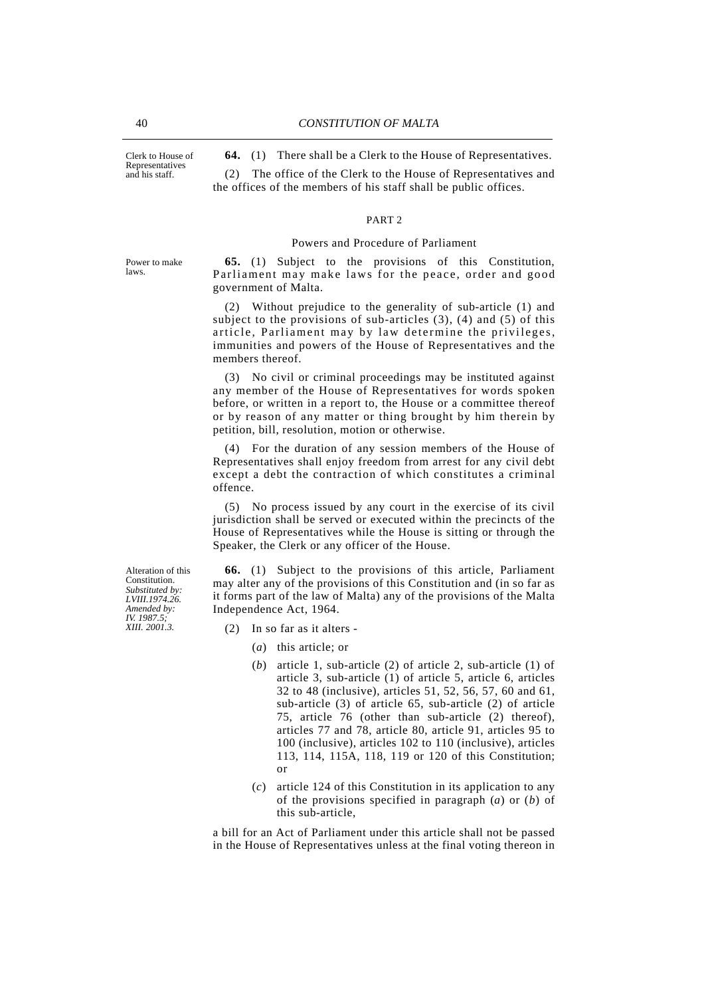Clerk to House of Representatives and his staff.

**64.** (1) There shall be a Clerk to the House of Representatives.

(2) The office of the Clerk to the House of Representatives and the offices of the members of his staff shall be public offices.

### PART 2

### Powers and Procedure of Parliament

Power to make laws.

**65.** (1) Subject to the provisions of this Constitution, Parliament may make laws for the peace, order and good government of Malta.

(2) Without prejudice to the generality of sub-article (1) and subject to the provisions of sub-articles  $(3)$ ,  $(4)$  and  $(5)$  of this article, Parliament may by law determine the privileges, immunities and powers of the House of Representatives and the members thereof.

(3) No civil or criminal proceedings may be instituted against any member of the House of Representatives for words spoken before, or written in a report to, the House or a committee thereof or by reason of any matter or thing brought by him therein by petition, bill, resolution, motion or otherwise.

(4) For the duration of any session members of the House of Representatives shall enjoy freedom from arrest for any civil debt except a debt the contraction of which constitutes a criminal offence.

(5) No process issued by any court in the exercise of its civil jurisdiction shall be served or executed within the precincts of the House of Representatives while the House is sitting or through the Speaker, the Clerk or any officer of the House.

**66.** (1) Subject to the provisions of this article, Parliament may alter any of the provisions of this Constitution and (in so far as it forms part of the law of Malta) any of the provisions of the Malta Independence Act, 1964.

- (2) In so far as it alters
	- (*a*) this article; or
	- (*b*) article 1, sub-article (2) of article 2, sub-article (1) of article 3, sub-article (1) of article 5, article 6, articles 32 to 48 (inclusive), articles 51, 52, 56, 57, 60 and 61, sub-article (3) of article 65, sub-article (2) of article 75, article 76 (other than sub-article (2) thereof), articles 77 and 78, article 80, article 91, articles 95 to 100 (inclusive), articles 102 to 110 (inclusive), articles 113, 114, 115A, 118, 119 or 120 of this Constitution; or
	- (*c*) article 124 of this Constitution in its application to any of the provisions specified in paragraph (*a*) or (*b*) of this sub-article,

a bill for an Act of Parliament under this article shall not be passed in the House of Representatives unless at the final voting thereon in

Alteration of this Constitution. *Substituted by: LVIII.1974.26. Amended by: IV. 1987.5; XIII. 2001.3.*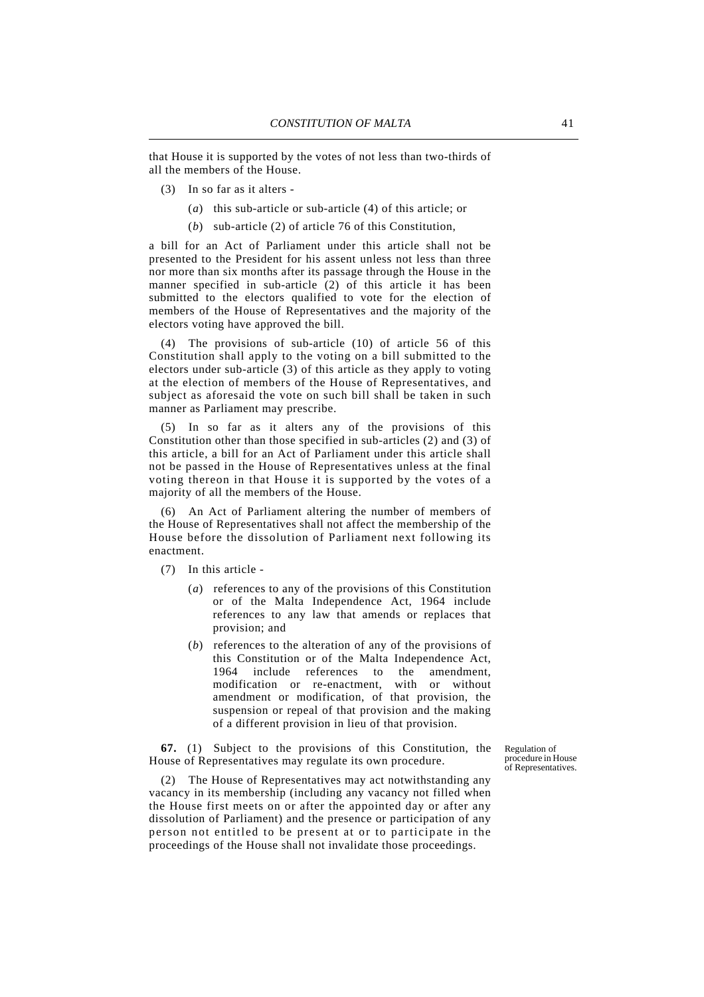that House it is supported by the votes of not less than two-thirds of all the members of the House.

- (3) In so far as it alters
	- (*a*) this sub-article or sub-article (4) of this article; or
	- (*b*) sub-article (2) of article 76 of this Constitution,

a bill for an Act of Parliament under this article shall not be presented to the President for his assent unless not less than three nor more than six months after its passage through the House in the manner specified in sub-article (2) of this article it has been submitted to the electors qualified to vote for the election of members of the House of Representatives and the majority of the electors voting have approved the bill.

(4) The provisions of sub-article (10) of article 56 of this Constitution shall apply to the voting on a bill submitted to the electors under sub-article (3) of this article as they apply to voting at the election of members of the House of Representatives, and subject as aforesaid the vote on such bill shall be taken in such manner as Parliament may prescribe.

(5) In so far as it alters any of the provisions of this Constitution other than those specified in sub-articles (2) and (3) of this article, a bill for an Act of Parliament under this article shall not be passed in the House of Representatives unless at the final voting thereon in that House it is supported by the votes of a majority of all the members of the House.

(6) An Act of Parliament altering the number of members of the House of Representatives shall not affect the membership of the House before the dissolution of Parliament next following its enactment.

- (7) In this article
	- (*a*) references to any of the provisions of this Constitution or of the Malta Independence Act, 1964 include references to any law that amends or replaces that provision; and
	- (*b*) references to the alteration of any of the provisions of this Constitution or of the Malta Independence Act, 1964 include references to the amendment, modification or re-enactment, with or without amendment or modification, of that provision, the suspension or repeal of that provision and the making of a different provision in lieu of that provision.

**67.** (1) Subject to the provisions of this Constitution, the House of Representatives may regulate its own procedure.

Regulation of procedure in House of Representatives.

(2) The House of Representatives may act notwithstanding any vacancy in its membership (including any vacancy not filled when the House first meets on or after the appointed day or after any dissolution of Parliament) and the presence or participation of any person not entitled to be present at or to participate in the proceedings of the House shall not invalidate those proceedings.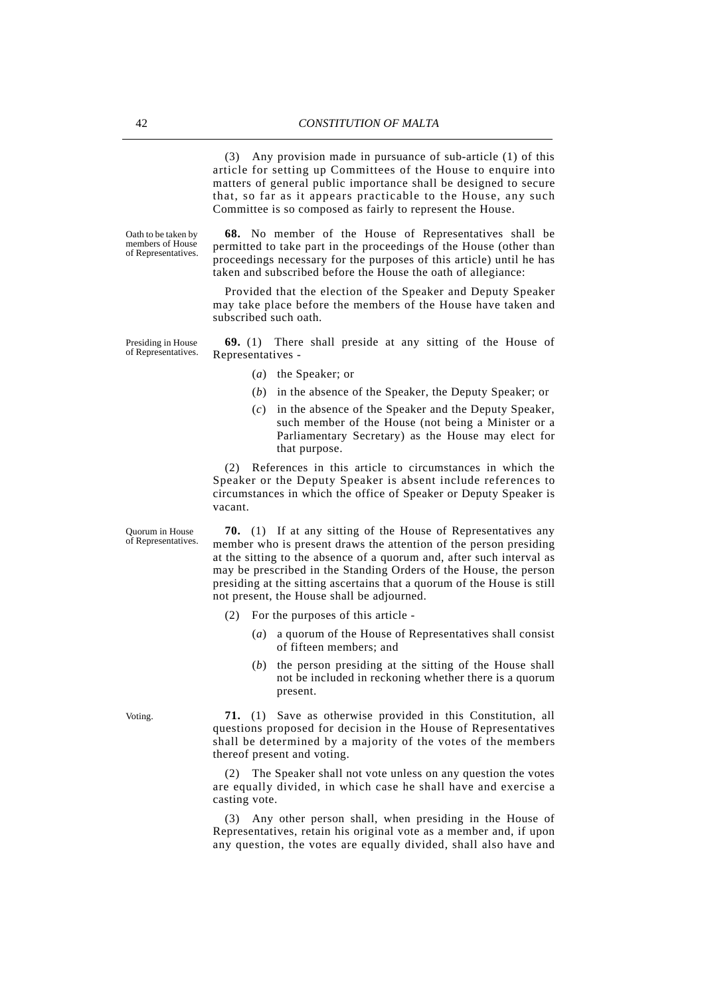(3) Any provision made in pursuance of sub-article (1) of this article for setting up Committees of the House to enquire into matters of general public importance shall be designed to secure that, so far as it appears practicable to the House, any such Committee is so composed as fairly to represent the House.

Oath to be taken by members of House of Representatives.

**68.** No member of the House of Representatives shall be permitted to take part in the proceedings of the House (other than proceedings necessary for the purposes of this article) until he has taken and subscribed before the House the oath of allegiance:

Provided that the election of the Speaker and Deputy Speaker may take place before the members of the House have taken and subscribed such oath.

Presiding in House of Representatives.

**69.** (1) There shall preside at any sitting of the House of Representatives -

- (*a*) the Speaker; or
- (*b*) in the absence of the Speaker, the Deputy Speaker; or
- (*c*) in the absence of the Speaker and the Deputy Speaker, such member of the House (not being a Minister or a Parliamentary Secretary) as the House may elect for that purpose.

(2) References in this article to circumstances in which the Speaker or the Deputy Speaker is absent include references to circumstances in which the office of Speaker or Deputy Speaker is vacant.

Quorum in House of Representatives.

**70.** (1) If at any sitting of the House of Representatives any member who is present draws the attention of the person presiding at the sitting to the absence of a quorum and, after such interval as may be prescribed in the Standing Orders of the House, the person presiding at the sitting ascertains that a quorum of the House is still not present, the House shall be adjourned.

- (2) For the purposes of this article
	- (*a*) a quorum of the House of Representatives shall consist of fifteen members; and
	- (*b*) the person presiding at the sitting of the House shall not be included in reckoning whether there is a quorum present.

Voting. **71.** (1) Save as otherwise provided in this Constitution, all questions proposed for decision in the House of Representatives shall be determined by a majority of the votes of the members thereof present and voting.

> (2) The Speaker shall not vote unless on any question the votes are equally divided, in which case he shall have and exercise a casting vote.

> (3) Any other person shall, when presiding in the House of Representatives, retain his original vote as a member and, if upon any question, the votes are equally divided, shall also have and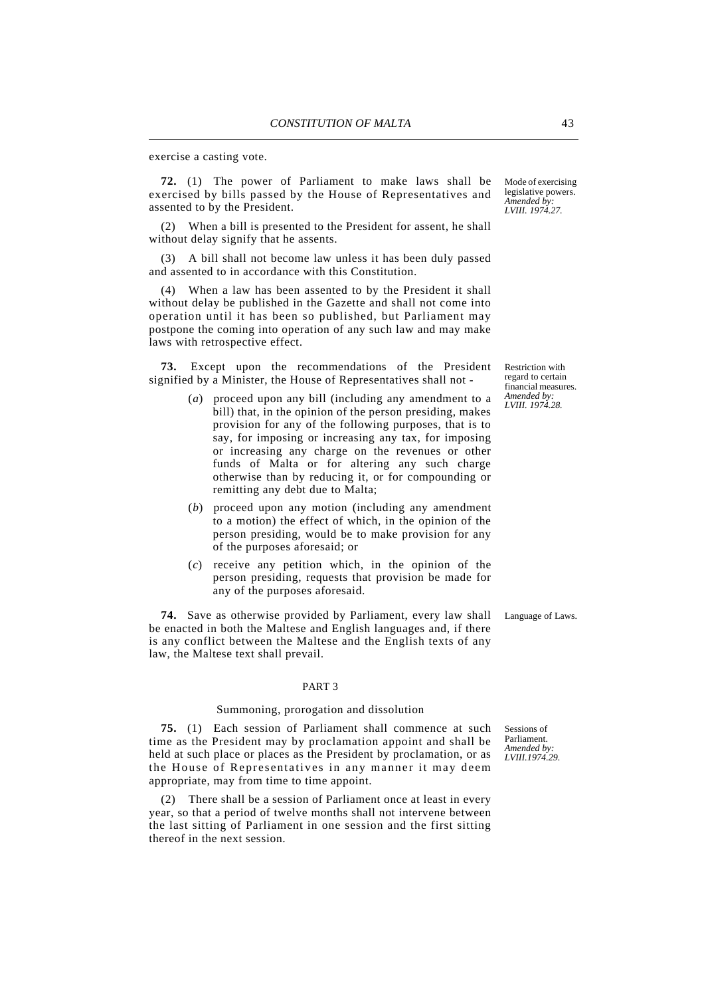#### exercise a casting vote.

**72.** (1) The power of Parliament to make laws shall be exercised by bills passed by the House of Representatives and assented to by the President.

(2) When a bill is presented to the President for assent, he shall without delay signify that he assents.

(3) A bill shall not become law unless it has been duly passed and assented to in accordance with this Constitution.

(4) When a law has been assented to by the President it shall without delay be published in the Gazette and shall not come into operation until it has been so published, but Parliament may postpone the coming into operation of any such law and may make laws with retrospective effect.

**73.** Except upon the recommendations of the President signified by a Minister, the House of Representatives shall not -

- (*a*) proceed upon any bill (including any amendment to a bill) that, in the opinion of the person presiding, makes provision for any of the following purposes, that is to say, for imposing or increasing any tax, for imposing or increasing any charge on the revenues or other funds of Malta or for altering any such charge otherwise than by reducing it, or for compounding or remitting any debt due to Malta;
- (*b*) proceed upon any motion (including any amendment to a motion) the effect of which, in the opinion of the person presiding, would be to make provision for any of the purposes aforesaid; or
- (*c*) receive any petition which, in the opinion of the person presiding, requests that provision be made for any of the purposes aforesaid.

**74.** Save as otherwise provided by Parliament, every law shall Language of Laws. be enacted in both the Maltese and English languages and, if there is any conflict between the Maltese and the English texts of any law, the Maltese text shall prevail.

#### PART 3

#### Summoning, prorogation and dissolution

**75.** (1) Each session of Parliament shall commence at such time as the President may by proclamation appoint and shall be held at such place or places as the President by proclamation, or as the House of Representatives in any manner it may deem appropriate, may from time to time appoint.

(2) There shall be a session of Parliament once at least in every year, so that a period of twelve months shall not intervene between the last sitting of Parliament in one session and the first sitting thereof in the next session.

Sessions of Parliament. *Amended by: LVIII.1974.29.*

Restriction with regard to certain financial measures. *Amended by: LVIII. 1974.28.*

Mode of exercising legislative powers.

*Amended by: LVIII. 1974.27.*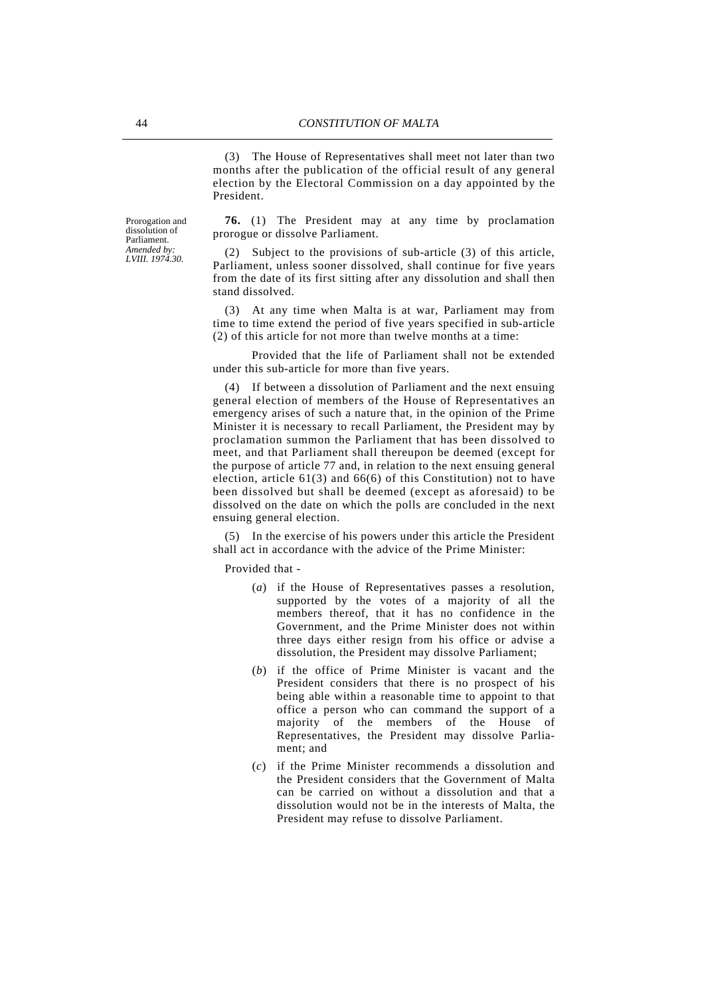(3) The House of Representatives shall meet not later than two months after the publication of the official result of any general election by the Electoral Commission on a day appointed by the President.

Prorogation and dissolution of Parliament. *Amended by: LVIII. 1974.30.*

**76.** (1) The President may at any time by proclamation prorogue or dissolve Parliament.

(2) Subject to the provisions of sub-article (3) of this article, Parliament, unless sooner dissolved, shall continue for five years from the date of its first sitting after any dissolution and shall then stand dissolved.

(3) At any time when Malta is at war, Parliament may from time to time extend the period of five years specified in sub-article (2) of this article for not more than twelve months at a time:

Provided that the life of Parliament shall not be extended under this sub-article for more than five years.

(4) If between a dissolution of Parliament and the next ensuing general election of members of the House of Representatives an emergency arises of such a nature that, in the opinion of the Prime Minister it is necessary to recall Parliament, the President may by proclamation summon the Parliament that has been dissolved to meet, and that Parliament shall thereupon be deemed (except for the purpose of article 77 and, in relation to the next ensuing general election, article 61(3) and 66(6) of this Constitution) not to have been dissolved but shall be deemed (except as aforesaid) to be dissolved on the date on which the polls are concluded in the next ensuing general election.

(5) In the exercise of his powers under this article the President shall act in accordance with the advice of the Prime Minister:

Provided that -

- (*a*) if the House of Representatives passes a resolution, supported by the votes of a majority of all the members thereof, that it has no confidence in the Government, and the Prime Minister does not within three days either resign from his office or advise a dissolution, the President may dissolve Parliament;
- (*b*) if the office of Prime Minister is vacant and the President considers that there is no prospect of his being able within a reasonable time to appoint to that office a person who can command the support of a majority of the members of the House of Representatives, the President may dissolve Parliament; and
- (*c*) if the Prime Minister recommends a dissolution and the President considers that the Government of Malta can be carried on without a dissolution and that a dissolution would not be in the interests of Malta, the President may refuse to dissolve Parliament.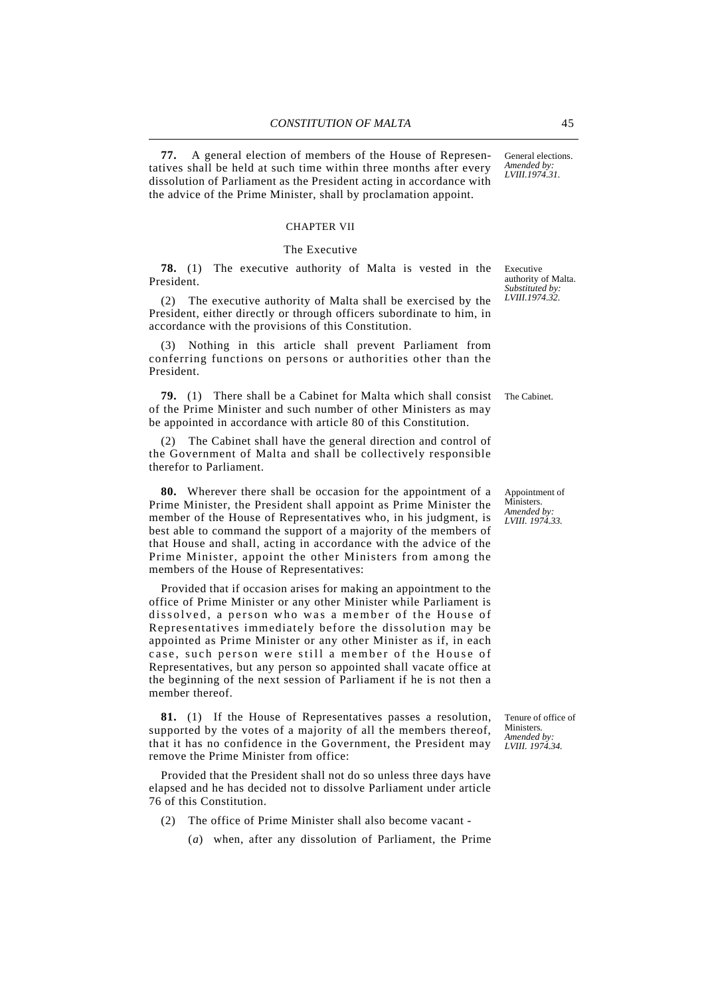**77.** A general election of members of the House of Representatives shall be held at such time within three months after every dissolution of Parliament as the President acting in accordance with the advice of the Prime Minister, shall by proclamation appoint.

# CHAPTER VII

#### The Executive

**78.** (1) The executive authority of Malta is vested in the President.

(2) The executive authority of Malta shall be exercised by the President, either directly or through officers subordinate to him, in accordance with the provisions of this Constitution.

(3) Nothing in this article shall prevent Parliament from conferring functions on persons or authorities other than the President.

**79.** (1) There shall be a Cabinet for Malta which shall consist The Cabinet. of the Prime Minister and such number of other Ministers as may be appointed in accordance with article 80 of this Constitution.

(2) The Cabinet shall have the general direction and control of the Government of Malta and shall be collectively responsible therefor to Parliament.

**80.** Wherever there shall be occasion for the appointment of a Prime Minister, the President shall appoint as Prime Minister the member of the House of Representatives who, in his judgment, is best able to command the support of a majority of the members of that House and shall, acting in accordance with the advice of the Prime Minister, appoint the other Ministers from among the members of the House of Representatives:

Provided that if occasion arises for making an appointment to the office of Prime Minister or any other Minister while Parliament is dissolved, a person who was a member of the House of Representatives immediately before the dissolution may be appointed as Prime Minister or any other Minister as if, in each case, such person were still a member of the House of Representatives, but any person so appointed shall vacate office at the beginning of the next session of Parliament if he is not then a member thereof.

**81.** (1) If the House of Representatives passes a resolution, supported by the votes of a majority of all the members thereof, that it has no confidence in the Government, the President may remove the Prime Minister from office:

Provided that the President shall not do so unless three days have elapsed and he has decided not to dissolve Parliament under article 76 of this Constitution.

- (2) The office of Prime Minister shall also become vacant
	- (*a*) when, after any dissolution of Parliament, the Prime

Tenure of office of Ministers*.* Amended b<sup>-</sup> *LVIII. 1974.34.*

Executive authority of Malta. *Substituted by: LVIII.1974.32.*

Appointment of Ministers. *Amended by: LVIII. 1974.33.*

General elections. *Amended by: LVIII.1974.31.*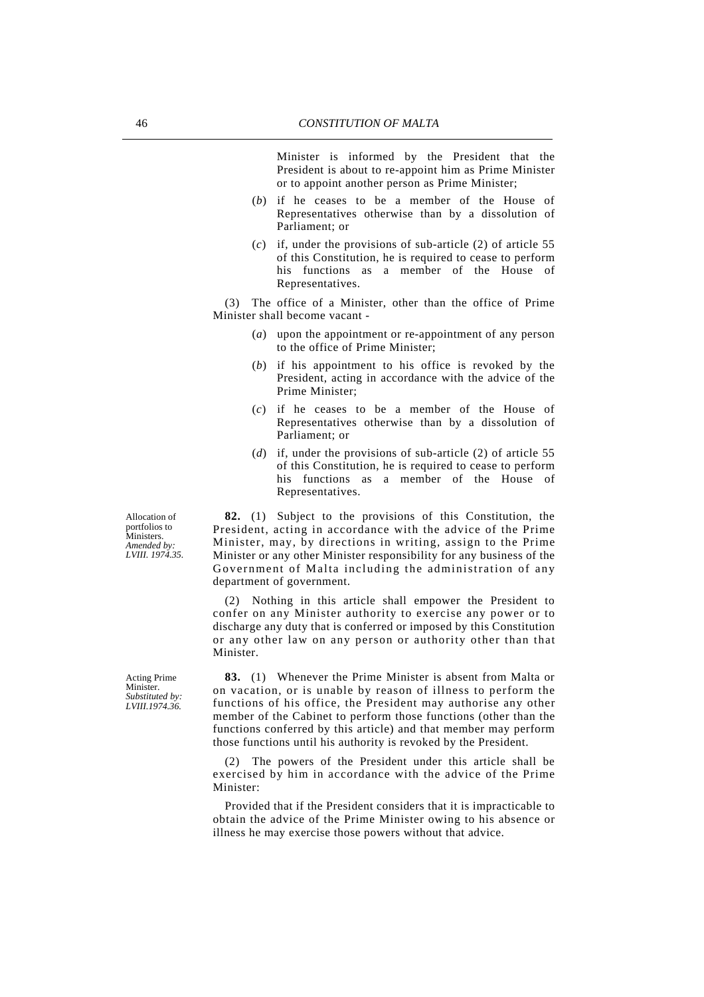Minister is informed by the President that the President is about to re-appoint him as Prime Minister or to appoint another person as Prime Minister;

- (*b*) if he ceases to be a member of the House of Representatives otherwise than by a dissolution of Parliament; or
- (*c*) if, under the provisions of sub-article (2) of article 55 of this Constitution, he is required to cease to perform his functions as a member of the House of Representatives.

(3) The office of a Minister, other than the office of Prime Minister shall become vacant -

- (*a*) upon the appointment or re-appointment of any person to the office of Prime Minister;
- (*b*) if his appointment to his office is revoked by the President, acting in accordance with the advice of the Prime Minister;
- (*c*) if he ceases to be a member of the House of Representatives otherwise than by a dissolution of Parliament; or
- (*d*) if, under the provisions of sub-article (2) of article 55 of this Constitution, he is required to cease to perform his functions as a member of the House of Representatives.

**82.** (1) Subject to the provisions of this Constitution, the President, acting in accordance with the advice of the Prime Minister, may, by directions in writing, assign to the Prime Minister or any other Minister responsibility for any business of the Government of Malta including the administration of any department of government.

(2) Nothing in this article shall empower the President to confer on any Minister authority to exercise any power or to discharge any duty that is conferred or imposed by this Constitution or any other law on any person or authority other than that Minister.

**83.** (1) Whenever the Prime Minister is absent from Malta or on vacation, or is unable by reason of illness to perform the functions of his office, the President may authorise any other member of the Cabinet to perform those functions (other than the functions conferred by this article) and that member may perform those functions until his authority is revoked by the President.

(2) The powers of the President under this article shall be exercised by him in accordance with the advice of the Prime Minister:

Provided that if the President considers that it is impracticable to obtain the advice of the Prime Minister owing to his absence or illness he may exercise those powers without that advice.

Allocation of portfolios to Ministers. *Amended by: LVIII. 1974.35.*

Acting Prime Minister. *Substituted by: LVIII.1974.36.*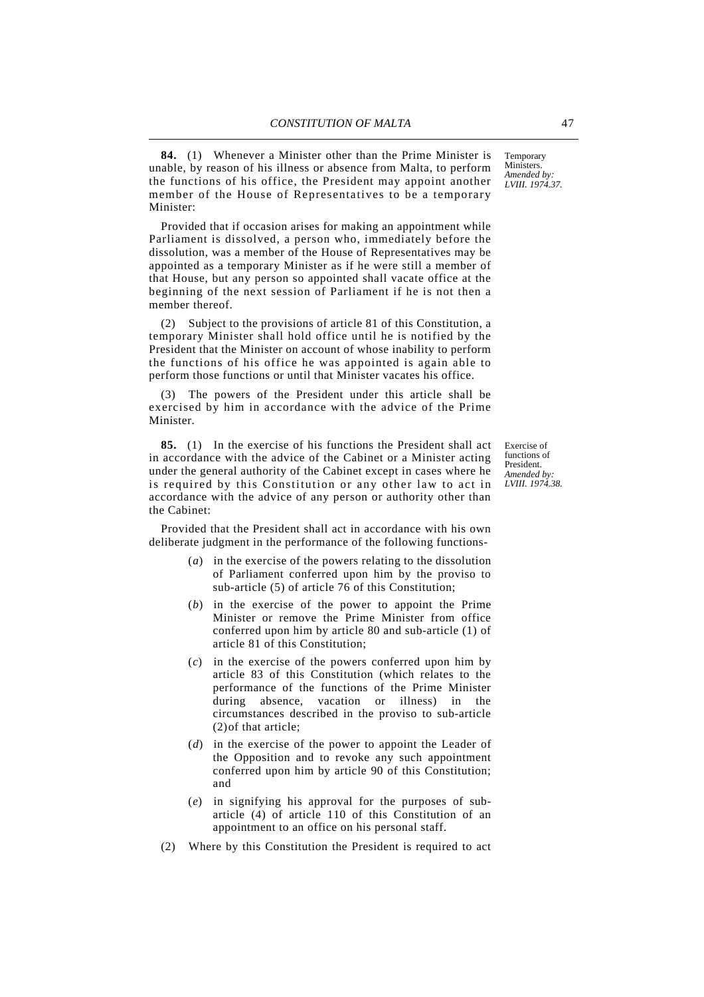**84.** (1) Whenever a Minister other than the Prime Minister is unable, by reason of his illness or absence from Malta, to perform the functions of his office, the President may appoint another member of the House of Representatives to be a temporary Minister:

Provided that if occasion arises for making an appointment while Parliament is dissolved, a person who, immediately before the dissolution, was a member of the House of Representatives may be appointed as a temporary Minister as if he were still a member of that House, but any person so appointed shall vacate office at the beginning of the next session of Parliament if he is not then a member thereof.

(2) Subject to the provisions of article 81 of this Constitution, a temporary Minister shall hold office until he is notified by the President that the Minister on account of whose inability to perform the functions of his office he was appointed is again able to perform those functions or until that Minister vacates his office.

The powers of the President under this article shall be exercised by him in accordance with the advice of the Prime Minister.

**85.** (1) In the exercise of his functions the President shall act in accordance with the advice of the Cabinet or a Minister acting under the general authority of the Cabinet except in cases where he is required by this Constitution or any other law to act in accordance with the advice of any person or authority other than the Cabinet:

Provided that the President shall act in accordance with his own deliberate judgment in the performance of the following functions-

- (*a*) in the exercise of the powers relating to the dissolution of Parliament conferred upon him by the proviso to sub-article (5) of article 76 of this Constitution;
- (*b*) in the exercise of the power to appoint the Prime Minister or remove the Prime Minister from office conferred upon him by article 80 and sub-article (1) of article 81 of this Constitution;
- (*c*) in the exercise of the powers conferred upon him by article 83 of this Constitution (which relates to the performance of the functions of the Prime Minister during absence, vacation or illness) in the circumstances described in the proviso to sub-article (2)of that article;
- (*d*) in the exercise of the power to appoint the Leader of the Opposition and to revoke any such appointment conferred upon him by article 90 of this Constitution; and
- (*e*) in signifying his approval for the purposes of subarticle (4) of article 110 of this Constitution of an appointment to an office on his personal staff.
- (2) Where by this Constitution the President is required to act

Exercise of functions of President. *Amended by: LVIII. 1974.38.*

Temporary Ministers. *Amended by: LVIII. 1974.37.*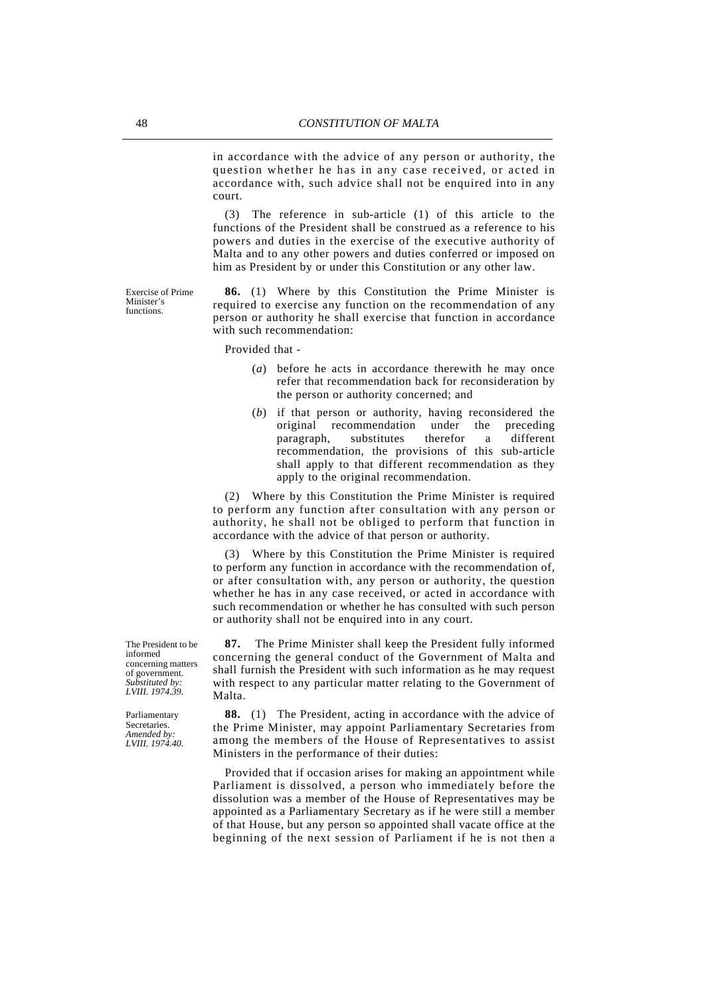in accordance with the advice of any person or authority, the question whether he has in any case received, or acted in accordance with, such advice shall not be enquired into in any court.

(3) The reference in sub-article (1) of this article to the functions of the President shall be construed as a reference to his powers and duties in the exercise of the executive authority of Malta and to any other powers and duties conferred or imposed on him as President by or under this Constitution or any other law.

**86.** (1) Where by this Constitution the Prime Minister is required to exercise any function on the recommendation of any person or authority he shall exercise that function in accordance with such recommendation:

Provided that -

- (*a*) before he acts in accordance therewith he may once refer that recommendation back for reconsideration by the person or authority concerned; and
- (*b*) if that person or authority, having reconsidered the original recommendation under the preceding paragraph, substitutes therefor a different recommendation, the provisions of this sub-article shall apply to that different recommendation as they apply to the original recommendation.

(2) Where by this Constitution the Prime Minister is required to perform any function after consultation with any person or authority, he shall not be obliged to perform that function in accordance with the advice of that person or authority.

Where by this Constitution the Prime Minister is required to perform any function in accordance with the recommendation of, or after consultation with, any person or authority, the question whether he has in any case received, or acted in accordance with such recommendation or whether he has consulted with such person or authority shall not be enquired into in any court.

**87.** The Prime Minister shall keep the President fully informed concerning the general conduct of the Government of Malta and shall furnish the President with such information as he may request with respect to any particular matter relating to the Government of Malta.

**88.** (1) The President, acting in accordance with the advice of the Prime Minister, may appoint Parliamentary Secretaries from among the members of the House of Representatives to assist Ministers in the performance of their duties:

Provided that if occasion arises for making an appointment while Parliament is dissolved, a person who immediately before the dissolution was a member of the House of Representatives may be appointed as a Parliamentary Secretary as if he were still a member of that House, but any person so appointed shall vacate office at the beginning of the next session of Parliament if he is not then a

The President to be informed concerning matters of government. *Substituted by: LVIII. 1974.39.*

Parliamentary Secretaries. *Amended by: LVIII. 1974.40.*

Exercise of Prime Minister's functions.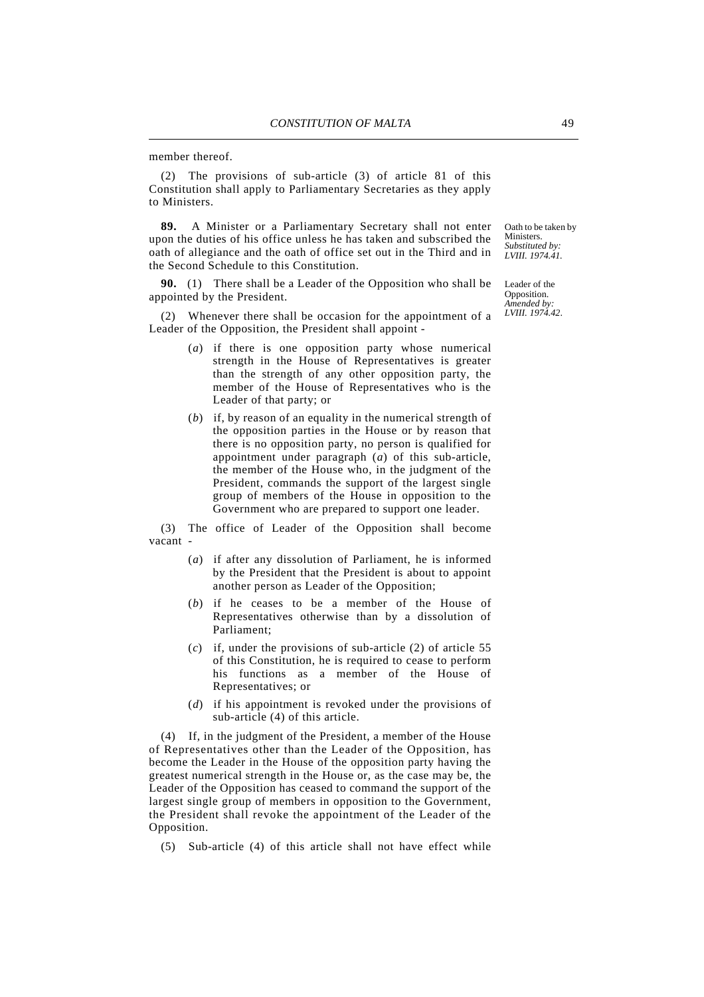member thereof.

(2) The provisions of sub-article (3) of article 81 of this Constitution shall apply to Parliamentary Secretaries as they apply to Ministers.

**89.** A Minister or a Parliamentary Secretary shall not enter upon the duties of his office unless he has taken and subscribed the oath of allegiance and the oath of office set out in the Third and in the Second Schedule to this Constitution.

**90.** (1) There shall be a Leader of the Opposition who shall be appointed by the President.

(2) Whenever there shall be occasion for the appointment of a Leader of the Opposition, the President shall appoint -

- (*a*) if there is one opposition party whose numerical strength in the House of Representatives is greater than the strength of any other opposition party, the member of the House of Representatives who is the Leader of that party; or
- (*b*) if, by reason of an equality in the numerical strength of the opposition parties in the House or by reason that there is no opposition party, no person is qualified for appointment under paragraph (*a*) of this sub-article, the member of the House who, in the judgment of the President, commands the support of the largest single group of members of the House in opposition to the Government who are prepared to support one leader.

(3) The office of Leader of the Opposition shall become vacant -

- (*a*) if after any dissolution of Parliament, he is informed by the President that the President is about to appoint another person as Leader of the Opposition;
- (*b*) if he ceases to be a member of the House of Representatives otherwise than by a dissolution of Parliament;
- (*c*) if, under the provisions of sub-article (2) of article 55 of this Constitution, he is required to cease to perform his functions as a member of the House of Representatives; or
- (*d*) if his appointment is revoked under the provisions of sub-article (4) of this article.

(4) If, in the judgment of the President, a member of the House of Representatives other than the Leader of the Opposition, has become the Leader in the House of the opposition party having the greatest numerical strength in the House or, as the case may be, the Leader of the Opposition has ceased to command the support of the largest single group of members in opposition to the Government, the President shall revoke the appointment of the Leader of the Opposition.

(5) Sub-article (4) of this article shall not have effect while

Oath to be taken by Ministers. *Substituted by: LVIII. 1974.41.*

Leader of the Opposition. *Amended by: LVIII. 1974.42*.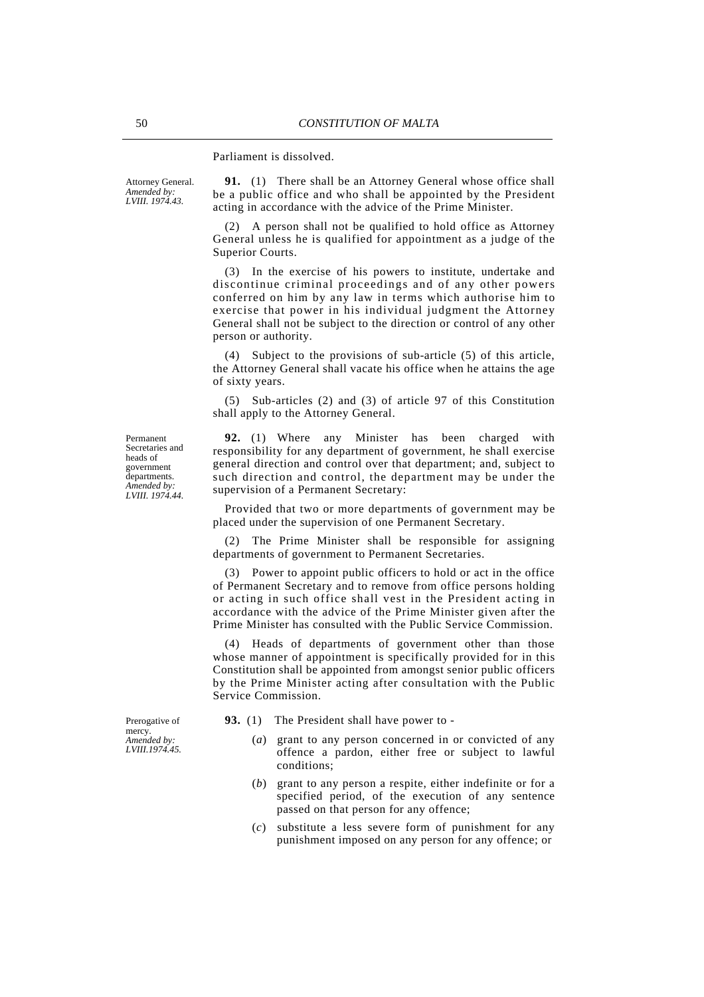Parliament is dissolved.

Attorney General. *Amended by: LVIII. 1974.43.*

**91.** (1) There shall be an Attorney General whose office shall be a public office and who shall be appointed by the President acting in accordance with the advice of the Prime Minister.

(2) A person shall not be qualified to hold office as Attorney General unless he is qualified for appointment as a judge of the Superior Courts.

(3) In the exercise of his powers to institute, undertake and discontinue criminal proceedings and of any other powers conferred on him by any law in terms which authorise him to exercise that power in his individual judgment the Attorney General shall not be subject to the direction or control of any other person or authority.

(4) Subject to the provisions of sub-article (5) of this article, the Attorney General shall vacate his office when he attains the age of sixty years.

(5) Sub-articles (2) and (3) of article 97 of this Constitution shall apply to the Attorney General.

**92.** (1) Where any Minister has been charged with responsibility for any department of government, he shall exercise general direction and control over that department; and, subject to such direction and control, the department may be under the supervision of a Permanent Secretary:

Provided that two or more departments of government may be placed under the supervision of one Permanent Secretary.

The Prime Minister shall be responsible for assigning departments of government to Permanent Secretaries.

(3) Power to appoint public officers to hold or act in the office of Permanent Secretary and to remove from office persons holding or acting in such office shall vest in the President acting in accordance with the advice of the Prime Minister given after the Prime Minister has consulted with the Public Service Commission.

(4) Heads of departments of government other than those whose manner of appointment is specifically provided for in this Constitution shall be appointed from amongst senior public officers by the Prime Minister acting after consultation with the Public Service Commission.

**93.** (1) The President shall have power to -

- (*a*) grant to any person concerned in or convicted of any offence a pardon, either free or subject to lawful conditions;
- (*b*) grant to any person a respite, either indefinite or for a specified period, of the execution of any sentence passed on that person for any offence;
- (*c*) substitute a less severe form of punishment for any punishment imposed on any person for any offence; or

Permanent Secretaries and heads of government departments. *Amended by: LVIII. 1974.44.*

Prerogative of mercy. *Amended by: LVIII.1974.45.*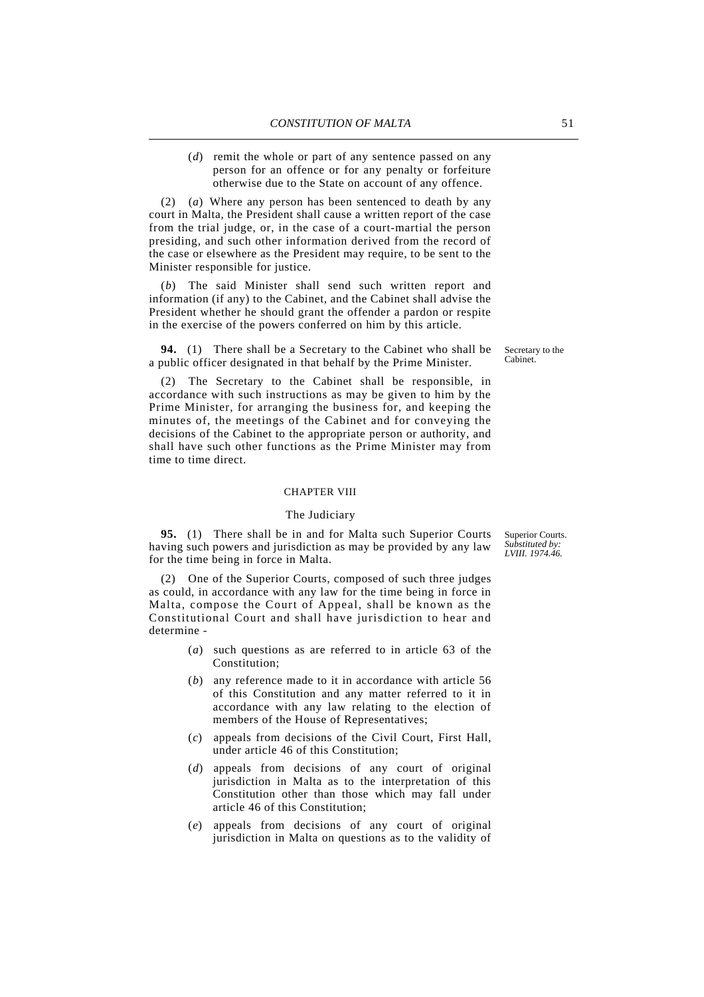(*d*) remit the whole or part of any sentence passed on any person for an offence or for any penalty or forfeiture otherwise due to the State on account of any offence.

(2) (*a*) Where any person has been sentenced to death by any court in Malta, the President shall cause a written report of the case from the trial judge, or, in the case of a court-martial the person presiding, and such other information derived from the record of the case or elsewhere as the President may require, to be sent to the Minister responsible for justice.

(*b*) The said Minister shall send such written report and information (if any) to the Cabinet, and the Cabinet shall advise the President whether he should grant the offender a pardon or respite in the exercise of the powers conferred on him by this article.

**94.** (1) There shall be a Secretary to the Cabinet who shall be a public officer designated in that behalf by the Prime Minister.

The Secretary to the Cabinet shall be responsible, in accordance with such instructions as may be given to him by the Prime Minister, for arranging the business for, and keeping the minutes of, the meetings of the Cabinet and for conveying the decisions of the Cabinet to the appropriate person or authority, and shall have such other functions as the Prime Minister may from time to time direct.

#### CHAPTER VIII

# The Judiciary

**95.** (1) There shall be in and for Malta such Superior Courts having such powers and jurisdiction as may be provided by any law for the time being in force in Malta.

(2) One of the Superior Courts, composed of such three judges as could, in accordance with any law for the time being in force in Malta, compose the Court of Appeal, shall be known as the Constitutional Court and shall have jurisdiction to hear and determine -

- (*a*) such questions as are referred to in article 63 of the Constitution;
- (*b*) any reference made to it in accordance with article 56 of this Constitution and any matter referred to it in accordance with any law relating to the election of members of the House of Representatives;
- (*c*) appeals from decisions of the Civil Court, First Hall, under article 46 of this Constitution;
- (*d*) appeals from decisions of any court of original jurisdiction in Malta as to the interpretation of this Constitution other than those which may fall under article 46 of this Constitution;
- (*e*) appeals from decisions of any court of original jurisdiction in Malta on questions as to the validity of

Superior Courts. *Substituted by: LVIII. 1974.46.*

Secretary to the Cabinet.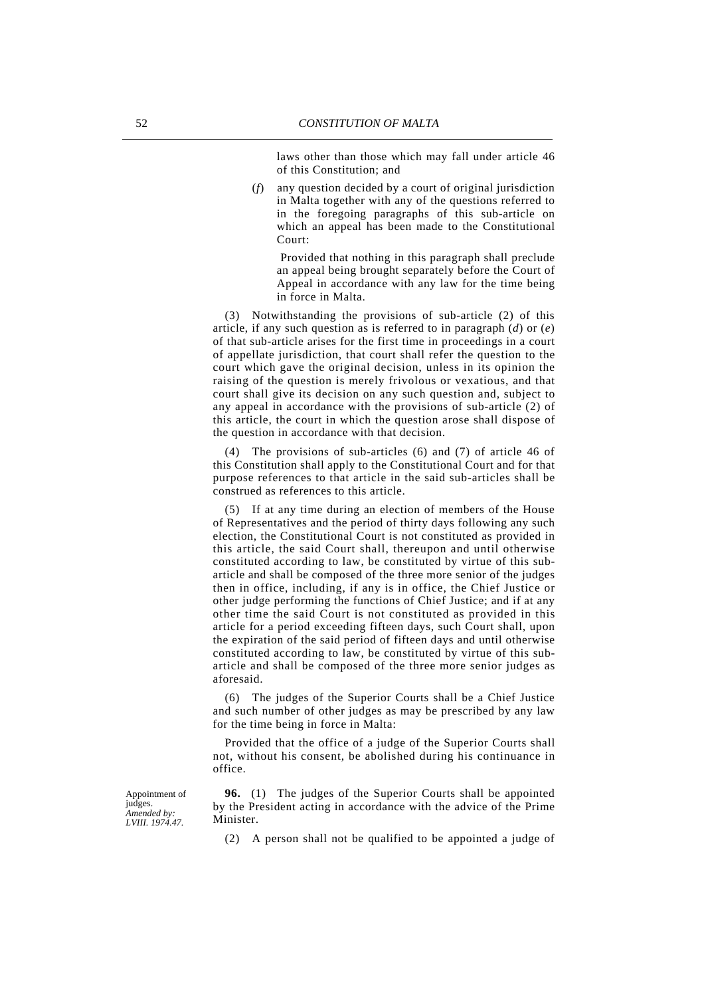laws other than those which may fall under article 46 of this Constitution; and

(*f*) any question decided by a court of original jurisdiction in Malta together with any of the questions referred to in the foregoing paragraphs of this sub-article on which an appeal has been made to the Constitutional Court:

 Provided that nothing in this paragraph shall preclude an appeal being brought separately before the Court of Appeal in accordance with any law for the time being in force in Malta.

(3) Notwithstanding the provisions of sub-article (2) of this article, if any such question as is referred to in paragraph (*d*) or (*e*) of that sub-article arises for the first time in proceedings in a court of appellate jurisdiction, that court shall refer the question to the court which gave the original decision, unless in its opinion the raising of the question is merely frivolous or vexatious, and that court shall give its decision on any such question and, subject to any appeal in accordance with the provisions of sub-article (2) of this article, the court in which the question arose shall dispose of the question in accordance with that decision.

(4) The provisions of sub-articles (6) and (7) of article 46 of this Constitution shall apply to the Constitutional Court and for that purpose references to that article in the said sub-articles shall be construed as references to this article.

(5) If at any time during an election of members of the House of Representatives and the period of thirty days following any such election, the Constitutional Court is not constituted as provided in this article, the said Court shall, thereupon and until otherwise constituted according to law, be constituted by virtue of this subarticle and shall be composed of the three more senior of the judges then in office, including, if any is in office, the Chief Justice or other judge performing the functions of Chief Justice; and if at any other time the said Court is not constituted as provided in this article for a period exceeding fifteen days, such Court shall, upon the expiration of the said period of fifteen days and until otherwise constituted according to law, be constituted by virtue of this subarticle and shall be composed of the three more senior judges as aforesaid.

(6) The judges of the Superior Courts shall be a Chief Justice and such number of other judges as may be prescribed by any law for the time being in force in Malta:

Provided that the office of a judge of the Superior Courts shall not, without his consent, be abolished during his continuance in office.

Appointment of judges. *Amended by: LVIII. 1974.47.*

**96.** (1) The judges of the Superior Courts shall be appointed by the President acting in accordance with the advice of the Prime Minister.

(2) A person shall not be qualified to be appointed a judge of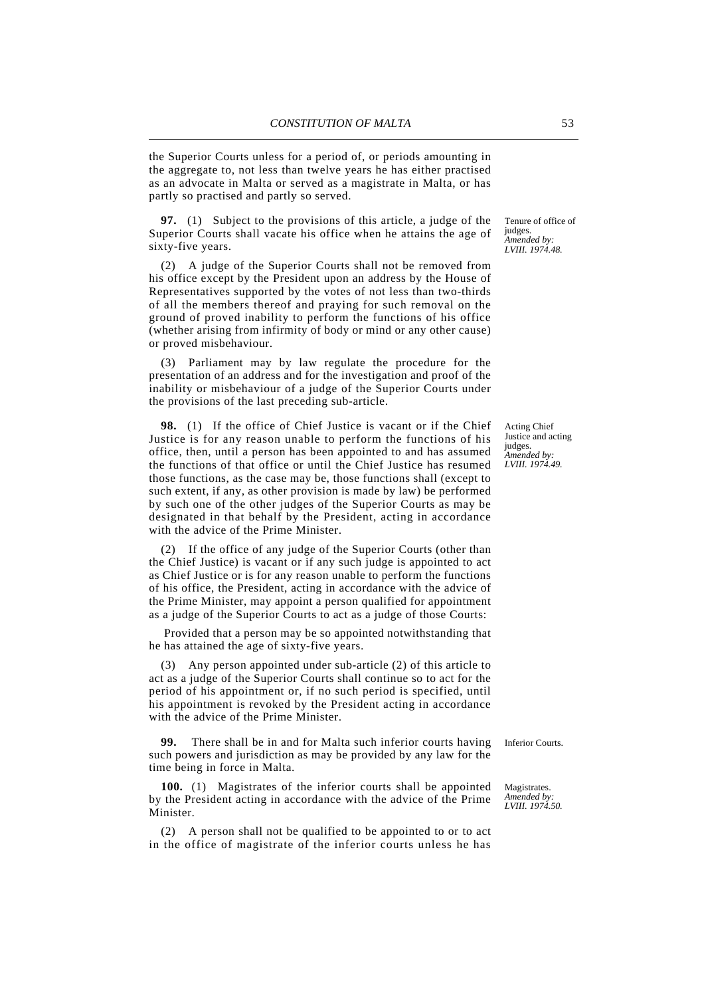the Superior Courts unless for a period of, or periods amounting in the aggregate to, not less than twelve years he has either practised as an advocate in Malta or served as a magistrate in Malta, or has partly so practised and partly so served.

**97.** (1) Subject to the provisions of this article, a judge of the Superior Courts shall vacate his office when he attains the age of sixty-five years.

(2) A judge of the Superior Courts shall not be removed from his office except by the President upon an address by the House of Representatives supported by the votes of not less than two-thirds of all the members thereof and praying for such removal on the ground of proved inability to perform the functions of his office (whether arising from infirmity of body or mind or any other cause) or proved misbehaviour.

(3) Parliament may by law regulate the procedure for the presentation of an address and for the investigation and proof of the inability or misbehaviour of a judge of the Superior Courts under the provisions of the last preceding sub-article.

**98.** (1) If the office of Chief Justice is vacant or if the Chief Justice is for any reason unable to perform the functions of his office, then, until a person has been appointed to and has assumed the functions of that office or until the Chief Justice has resumed those functions, as the case may be, those functions shall (except to such extent, if any, as other provision is made by law) be performed by such one of the other judges of the Superior Courts as may be designated in that behalf by the President, acting in accordance with the advice of the Prime Minister.

(2) If the office of any judge of the Superior Courts (other than the Chief Justice) is vacant or if any such judge is appointed to act as Chief Justice or is for any reason unable to perform the functions of his office, the President, acting in accordance with the advice of the Prime Minister, may appoint a person qualified for appointment as a judge of the Superior Courts to act as a judge of those Courts:

 Provided that a person may be so appointed notwithstanding that he has attained the age of sixty-five years.

(3) Any person appointed under sub-article (2) of this article to act as a judge of the Superior Courts shall continue so to act for the period of his appointment or, if no such period is specified, until his appointment is revoked by the President acting in accordance with the advice of the Prime Minister.

There shall be in and for Malta such inferior courts having Inferior Courts. such powers and jurisdiction as may be provided by any law for the time being in force in Malta.

**100.** (1) Magistrates of the inferior courts shall be appointed by the President acting in accordance with the advice of the Prime Minister.

(2) A person shall not be qualified to be appointed to or to act in the office of magistrate of the inferior courts unless he has

Tenure of office of judges. *Amended by: LVIII. 1974.48.*

Acting Chief Justice and acting judges. *Amended by: LVIII. 1974.49.*

Magistrates. *Amended by: LVIII. 1974.50.*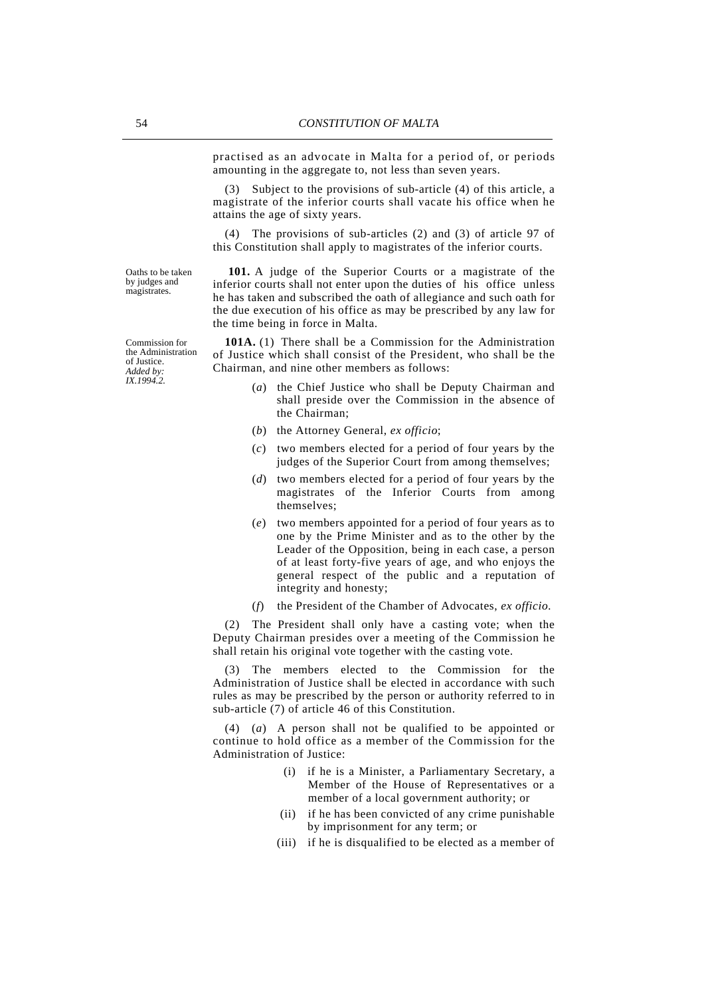practised as an advocate in Malta for a period of, or periods amounting in the aggregate to, not less than seven years.

(3) Subject to the provisions of sub-article (4) of this article, a magistrate of the inferior courts shall vacate his office when he attains the age of sixty years.

(4) The provisions of sub-articles (2) and (3) of article 97 of this Constitution shall apply to magistrates of the inferior courts.

 **101.** A judge of the Superior Courts or a magistrate of the inferior courts shall not enter upon the duties of his office unless he has taken and subscribed the oath of allegiance and such oath for the due execution of his office as may be prescribed by any law for the time being in force in Malta.

**101A.** (1) There shall be a Commission for the Administration of Justice which shall consist of the President, who shall be the Chairman, and nine other members as follows:

- (*a*) the Chief Justice who shall be Deputy Chairman and shall preside over the Commission in the absence of the Chairman;
- (*b*) the Attorney General, *ex officio*;
- (*c*) two members elected for a period of four years by the judges of the Superior Court from among themselves;
- (*d*) two members elected for a period of four years by the magistrates of the Inferior Courts from among themselves;
- (*e*) two members appointed for a period of four years as to one by the Prime Minister and as to the other by the Leader of the Opposition, being in each case, a person of at least forty-five years of age, and who enjoys the general respect of the public and a reputation of integrity and honesty;
- (*f*) the President of the Chamber of Advocates, *ex officio.*

(2) The President shall only have a casting vote; when the Deputy Chairman presides over a meeting of the Commission he shall retain his original vote together with the casting vote.

(3) The members elected to the Commission for the Administration of Justice shall be elected in accordance with such rules as may be prescribed by the person or authority referred to in sub-article (7) of article 46 of this Constitution.

(4) (*a*) A person shall not be qualified to be appointed or continue to hold office as a member of the Commission for the Administration of Justice:

- (i) if he is a Minister, a Parliamentary Secretary, a Member of the House of Representatives or a member of a local government authority; or
- (ii) if he has been convicted of any crime punishable by imprisonment for any term; or
- (iii) if he is disqualified to be elected as a member of

Oaths to be taken by judges and magistrates.

Commission for the Administration of Justice. *Added by: IX.1994.2.*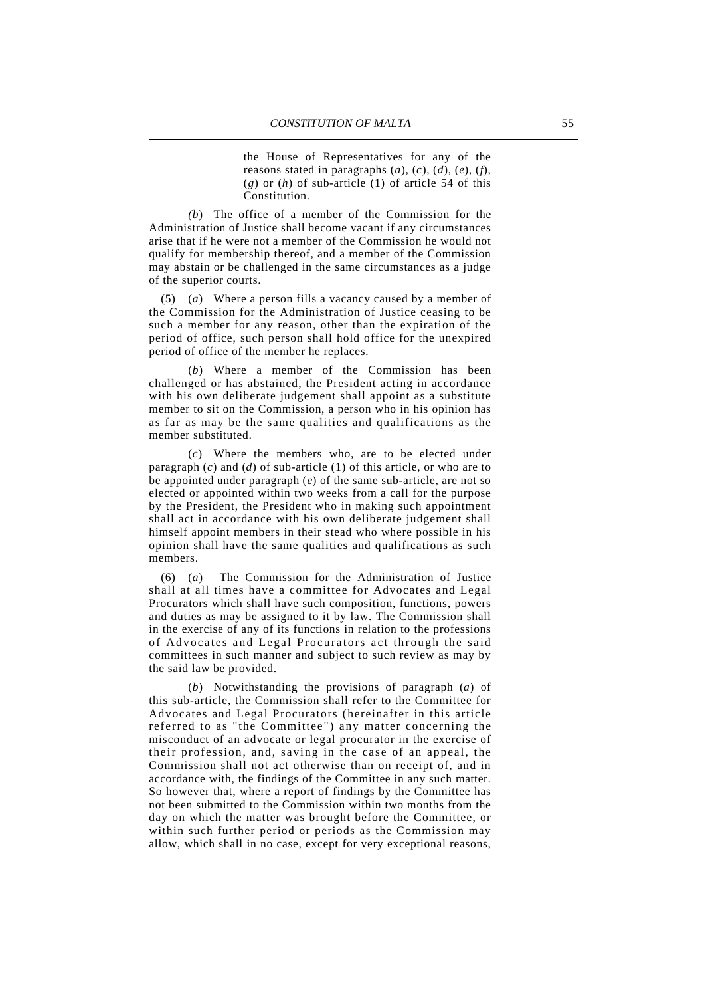the House of Representatives for any of the reasons stated in paragraphs (*a*), (*c*), (*d*), (*e*), (*f*), (*g*) or (*h*) of sub-article (1) of article 54 of this Constitution.

*(b*) The office of a member of the Commission for the Administration of Justice shall become vacant if any circumstances arise that if he were not a member of the Commission he would not qualify for membership thereof, and a member of the Commission may abstain or be challenged in the same circumstances as a judge of the superior courts.

(5) (*a*) Where a person fills a vacancy caused by a member of the Commission for the Administration of Justice ceasing to be such a member for any reason, other than the expiration of the period of office, such person shall hold office for the unexpired period of office of the member he replaces.

(*b*) Where a member of the Commission has been challenged or has abstained, the President acting in accordance with his own deliberate judgement shall appoint as a substitute member to sit on the Commission, a person who in his opinion has as far as may be the same qualities and qualifications as the member substituted.

(*c*) Where the members who, are to be elected under paragraph (*c*) and (*d*) of sub-article (1) of this article, or who are to be appointed under paragraph (*e*) of the same sub-article, are not so elected or appointed within two weeks from a call for the purpose by the President, the President who in making such appointment shall act in accordance with his own deliberate judgement shall himself appoint members in their stead who where possible in his opinion shall have the same qualities and qualifications as such members.

(6) (*a*) The Commission for the Administration of Justice shall at all times have a committee for Advocates and Legal Procurators which shall have such composition, functions, powers and duties as may be assigned to it by law. The Commission shall in the exercise of any of its functions in relation to the professions of Advocates and Legal Procurators act through the said committees in such manner and subject to such review as may by the said law be provided.

(*b*) Notwithstanding the provisions of paragraph (*a*) of this sub-article, the Commission shall refer to the Committee for Advocates and Legal Procurators (hereinafter in this article referred to as "the Committee") any matter concerning the misconduct of an advocate or legal procurator in the exercise of their profession, and, saving in the case of an appeal, the Commission shall not act otherwise than on receipt of, and in accordance with, the findings of the Committee in any such matter. So however that, where a report of findings by the Committee has not been submitted to the Commission within two months from the day on which the matter was brought before the Committee, or within such further period or periods as the Commission may allow, which shall in no case, except for very exceptional reasons,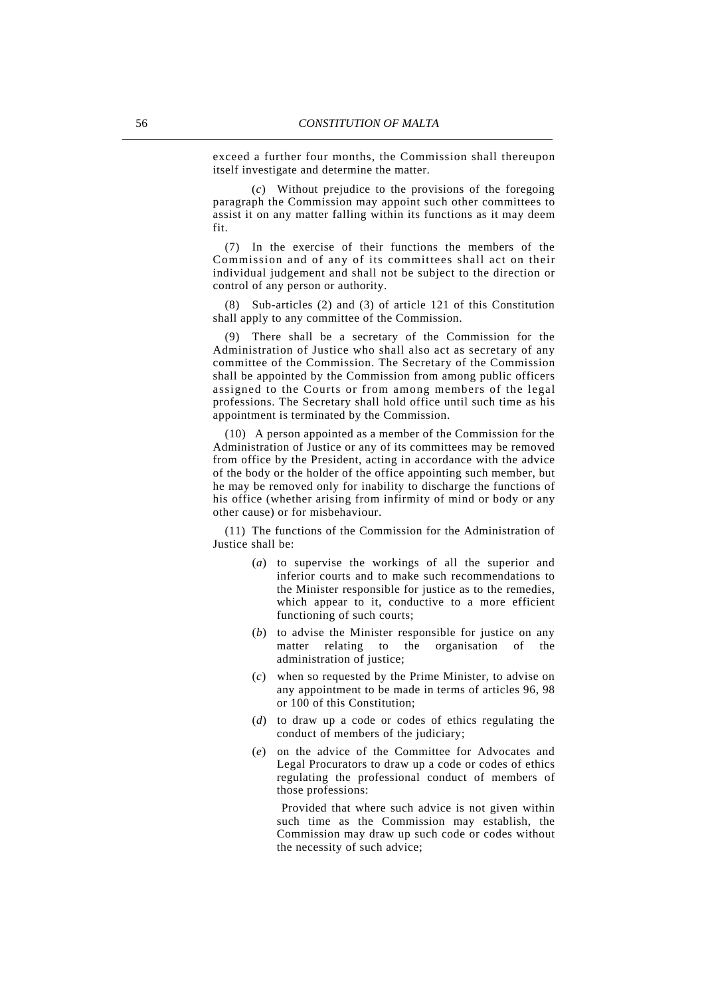exceed a further four months, the Commission shall thereupon itself investigate and determine the matter.

(*c*) Without prejudice to the provisions of the foregoing paragraph the Commission may appoint such other committees to assist it on any matter falling within its functions as it may deem fit.

(7) In the exercise of their functions the members of the Commission and of any of its committees shall act on their individual judgement and shall not be subject to the direction or control of any person or authority.

(8) Sub-articles (2) and (3) of article 121 of this Constitution shall apply to any committee of the Commission.

(9) There shall be a secretary of the Commission for the Administration of Justice who shall also act as secretary of any committee of the Commission. The Secretary of the Commission shall be appointed by the Commission from among public officers assigned to the Courts or from among members of the legal professions. The Secretary shall hold office until such time as his appointment is terminated by the Commission.

(10) A person appointed as a member of the Commission for the Administration of Justice or any of its committees may be removed from office by the President, acting in accordance with the advice of the body or the holder of the office appointing such member, but he may be removed only for inability to discharge the functions of his office (whether arising from infirmity of mind or body or any other cause) or for misbehaviour.

(11) The functions of the Commission for the Administration of Justice shall be:

- (*a*) to supervise the workings of all the superior and inferior courts and to make such recommendations to the Minister responsible for justice as to the remedies, which appear to it, conductive to a more efficient functioning of such courts;
- (*b*) to advise the Minister responsible for justice on any matter relating to the organisation of the administration of justice;
- (*c*) when so requested by the Prime Minister, to advise on any appointment to be made in terms of articles 96, 98 or 100 of this Constitution;
- (*d*) to draw up a code or codes of ethics regulating the conduct of members of the judiciary;
- (*e*) on the advice of the Committee for Advocates and Legal Procurators to draw up a code or codes of ethics regulating the professional conduct of members of those professions:

 Provided that where such advice is not given within such time as the Commission may establish, the Commission may draw up such code or codes without the necessity of such advice;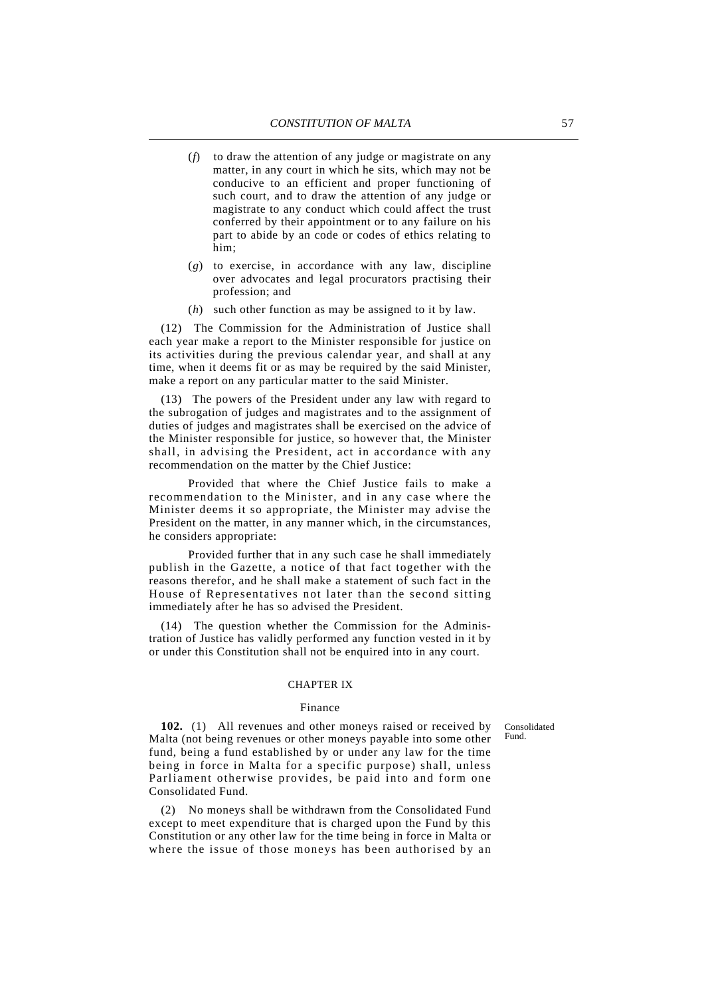- (*f*) to draw the attention of any judge or magistrate on any matter, in any court in which he sits, which may not be conducive to an efficient and proper functioning of such court, and to draw the attention of any judge or magistrate to any conduct which could affect the trust conferred by their appointment or to any failure on his part to abide by an code or codes of ethics relating to him;
- (*g*) to exercise, in accordance with any law, discipline over advocates and legal procurators practising their profession; and
- (*h*) such other function as may be assigned to it by law.

(12) The Commission for the Administration of Justice shall each year make a report to the Minister responsible for justice on its activities during the previous calendar year, and shall at any time, when it deems fit or as may be required by the said Minister, make a report on any particular matter to the said Minister.

(13) The powers of the President under any law with regard to the subrogation of judges and magistrates and to the assignment of duties of judges and magistrates shall be exercised on the advice of the Minister responsible for justice, so however that, the Minister shall, in advising the President, act in accordance with any recommendation on the matter by the Chief Justice:

Provided that where the Chief Justice fails to make a recommendation to the Minister, and in any case where the Minister deems it so appropriate, the Minister may advise the President on the matter, in any manner which, in the circumstances, he considers appropriate:

Provided further that in any such case he shall immediately publish in the Gazette, a notice of that fact together with the reasons therefor, and he shall make a statement of such fact in the House of Representatives not later than the second sitting immediately after he has so advised the President.

(14) The question whether the Commission for the Administration of Justice has validly performed any function vested in it by or under this Constitution shall not be enquired into in any court.

#### CHAPTER IX

### Finance

Consolidated Fund.

**102.** (1) All revenues and other moneys raised or received by Malta (not being revenues or other moneys payable into some other fund, being a fund established by or under any law for the time being in force in Malta for a specific purpose) shall, unless Parliament otherwise provides, be paid into and form one Consolidated Fund.

(2) No moneys shall be withdrawn from the Consolidated Fund except to meet expenditure that is charged upon the Fund by this Constitution or any other law for the time being in force in Malta or where the issue of those moneys has been authorised by an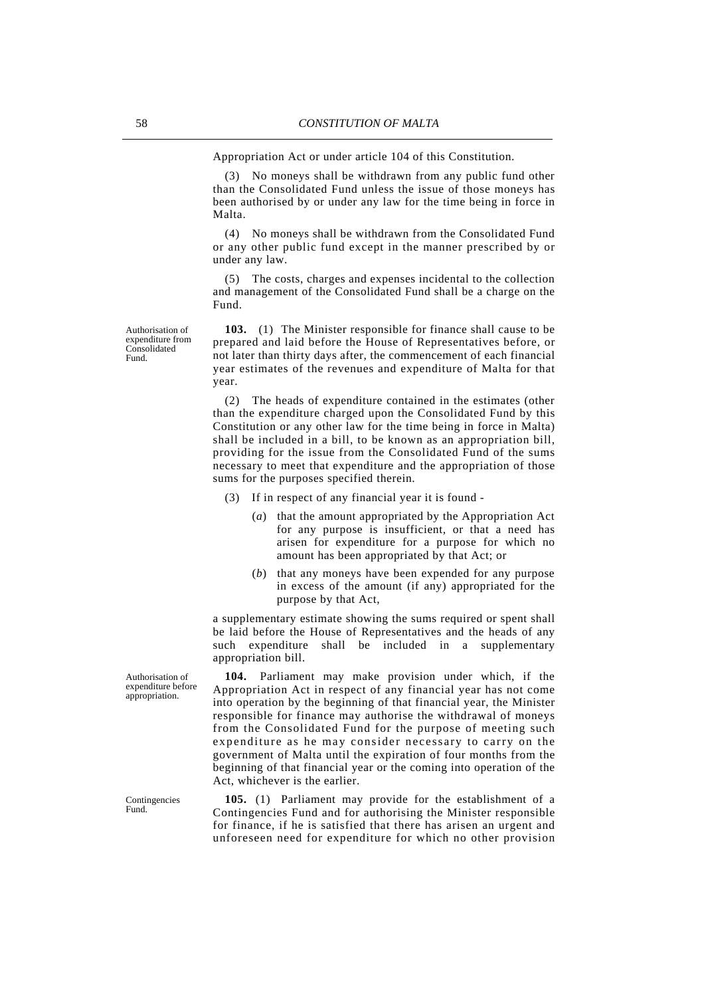Appropriation Act or under article 104 of this Constitution.

(3) No moneys shall be withdrawn from any public fund other than the Consolidated Fund unless the issue of those moneys has been authorised by or under any law for the time being in force in Malta.

(4) No moneys shall be withdrawn from the Consolidated Fund or any other public fund except in the manner prescribed by or under any law.

(5) The costs, charges and expenses incidental to the collection and management of the Consolidated Fund shall be a charge on the Fund.

**103.** (1) The Minister responsible for finance shall cause to be prepared and laid before the House of Representatives before, or not later than thirty days after, the commencement of each financial year estimates of the revenues and expenditure of Malta for that year.

(2) The heads of expenditure contained in the estimates (other than the expenditure charged upon the Consolidated Fund by this Constitution or any other law for the time being in force in Malta) shall be included in a bill, to be known as an appropriation bill, providing for the issue from the Consolidated Fund of the sums necessary to meet that expenditure and the appropriation of those sums for the purposes specified therein.

(3) If in respect of any financial year it is found -

- (*a*) that the amount appropriated by the Appropriation Act for any purpose is insufficient, or that a need has arisen for expenditure for a purpose for which no amount has been appropriated by that Act; or
- (*b*) that any moneys have been expended for any purpose in excess of the amount (if any) appropriated for the purpose by that Act,

a supplementary estimate showing the sums required or spent shall be laid before the House of Representatives and the heads of any such expenditure shall be included in a supplementary appropriation bill.

**104.** Parliament may make provision under which, if the Appropriation Act in respect of any financial year has not come into operation by the beginning of that financial year, the Minister responsible for finance may authorise the withdrawal of moneys from the Consolidated Fund for the purpose of meeting such expenditure as he may consider necessary to carry on the government of Malta until the expiration of four months from the beginning of that financial year or the coming into operation of the Act, whichever is the earlier.

**105.** (1) Parliament may provide for the establishment of a Contingencies Fund and for authorising the Minister responsible for finance, if he is satisfied that there has arisen an urgent and unforeseen need for expenditure for which no other provision

Authorisation of expenditure before appropriation.

Contingencies Fund.

Authorisation of expenditure from Consolidated Fund.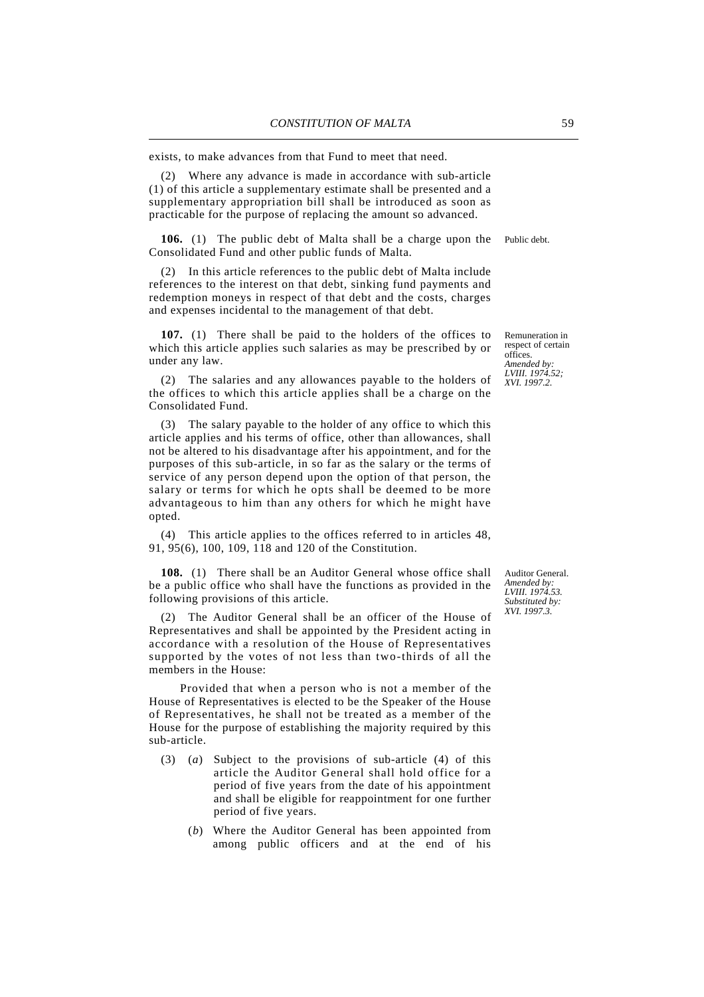exists, to make advances from that Fund to meet that need.

(2) Where any advance is made in accordance with sub-article (1) of this article a supplementary estimate shall be presented and a supplementary appropriation bill shall be introduced as soon as practicable for the purpose of replacing the amount so advanced.

**106.** (1) The public debt of Malta shall be a charge upon the Public debt. Consolidated Fund and other public funds of Malta.

(2) In this article references to the public debt of Malta include references to the interest on that debt, sinking fund payments and redemption moneys in respect of that debt and the costs, charges and expenses incidental to the management of that debt.

**107.** (1) There shall be paid to the holders of the offices to which this article applies such salaries as may be prescribed by or under any law.

(2) The salaries and any allowances payable to the holders of the offices to which this article applies shall be a charge on the Consolidated Fund.

The salary payable to the holder of any office to which this article applies and his terms of office, other than allowances, shall not be altered to his disadvantage after his appointment, and for the purposes of this sub-article, in so far as the salary or the terms of service of any person depend upon the option of that person, the salary or terms for which he opts shall be deemed to be more advantageous to him than any others for which he might have opted.

(4) This article applies to the offices referred to in articles 48, 91, 95(6), 100, 109, 118 and 120 of the Constitution.

**108.** (1) There shall be an Auditor General whose office shall be a public office who shall have the functions as provided in the following provisions of this article.

(2) The Auditor General shall be an officer of the House of Representatives and shall be appointed by the President acting in accordance with a resolution of the House of Representatives supported by the votes of not less than two-thirds of all the members in the House:

Provided that when a person who is not a member of the House of Representatives is elected to be the Speaker of the House of Representatives, he shall not be treated as a member of the House for the purpose of establishing the majority required by this sub-article.

- (3) (*a*) Subject to the provisions of sub-article (4) of this article the Auditor General shall hold office for a period of five years from the date of his appointment and shall be eligible for reappointment for one further period of five years.
	- (*b*) Where the Auditor General has been appointed from among public officers and at the end of his

Auditor General. *Amended by: LVIII. 1974.53. Substituted by: XVI. 1997.3.*

Remuneration in respect of certain offices. *Amended by: LVIII. 1974.52; XVI. 1997.2.*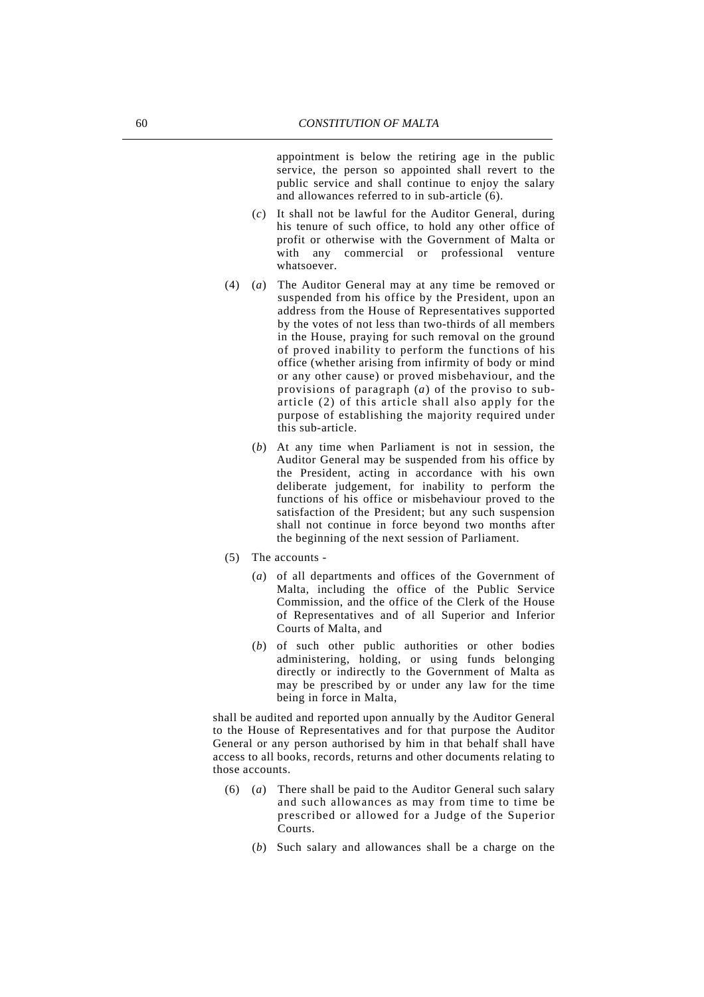appointment is below the retiring age in the public service, the person so appointed shall revert to the public service and shall continue to enjoy the salary and allowances referred to in sub-article (6).

- (*c*) It shall not be lawful for the Auditor General, during his tenure of such office, to hold any other office of profit or otherwise with the Government of Malta or with any commercial or professional venture whatsoever.
- (4) (*a*) The Auditor General may at any time be removed or suspended from his office by the President, upon an address from the House of Representatives supported by the votes of not less than two-thirds of all members in the House, praying for such removal on the ground of proved inability to perform the functions of his office (whether arising from infirmity of body or mind or any other cause) or proved misbehaviour, and the provisions of paragraph (*a*) of the proviso to subarticle (2) of this article shall also apply for the purpose of establishing the majority required under this sub-article.
	- (*b*) At any time when Parliament is not in session, the Auditor General may be suspended from his office by the President, acting in accordance with his own deliberate judgement, for inability to perform the functions of his office or misbehaviour proved to the satisfaction of the President; but any such suspension shall not continue in force beyond two months after the beginning of the next session of Parliament.
- (5) The accounts
	- (*a*) of all departments and offices of the Government of Malta, including the office of the Public Service Commission, and the office of the Clerk of the House of Representatives and of all Superior and Inferior Courts of Malta, and
	- (*b*) of such other public authorities or other bodies administering, holding, or using funds belonging directly or indirectly to the Government of Malta as may be prescribed by or under any law for the time being in force in Malta,

shall be audited and reported upon annually by the Auditor General to the House of Representatives and for that purpose the Auditor General or any person authorised by him in that behalf shall have access to all books, records, returns and other documents relating to those accounts.

- (6) (*a*) There shall be paid to the Auditor General such salary and such allowances as may from time to time be prescribed or allowed for a Judge of the Superior Courts.
	- (*b*) Such salary and allowances shall be a charge on the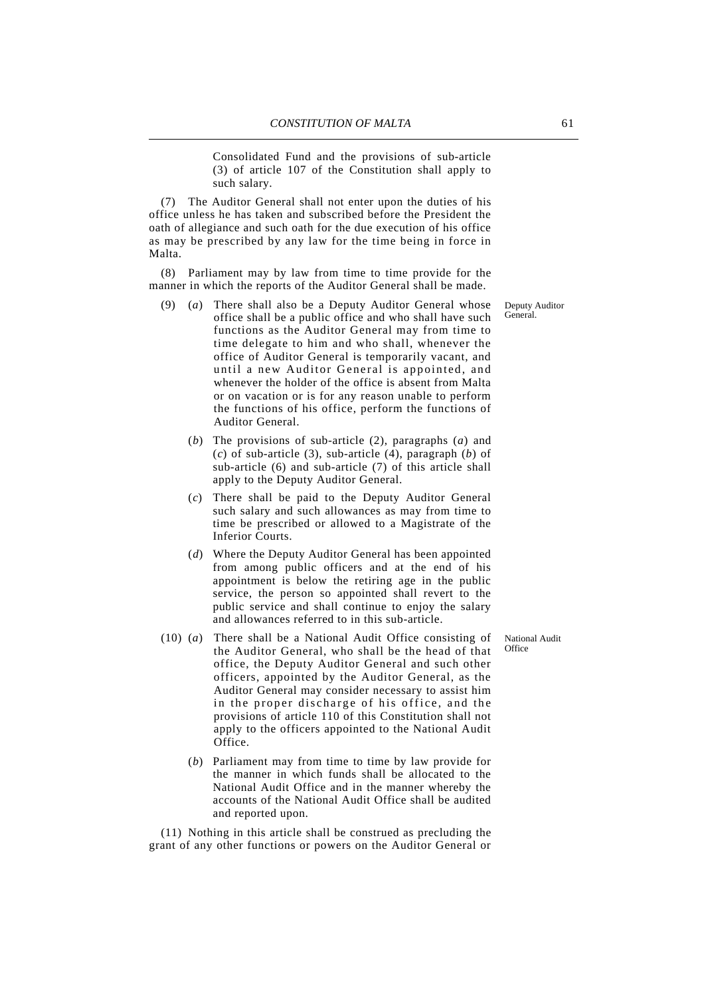Consolidated Fund and the provisions of sub-article (3) of article 107 of the Constitution shall apply to such salary.

(7) The Auditor General shall not enter upon the duties of his office unless he has taken and subscribed before the President the oath of allegiance and such oath for the due execution of his office as may be prescribed by any law for the time being in force in Malta.

(8) Parliament may by law from time to time provide for the manner in which the reports of the Auditor General shall be made.

- (9) (*a*) There shall also be a Deputy Auditor General whose office shall be a public office and who shall have such functions as the Auditor General may from time to time delegate to him and who shall, whenever the office of Auditor General is temporarily vacant, and until a new Auditor General is appointed, and whenever the holder of the office is absent from Malta or on vacation or is for any reason unable to perform the functions of his office, perform the functions of Auditor General.
	- (*b*) The provisions of sub-article (2), paragraphs (*a*) and (*c*) of sub-article (3), sub-article (4), paragraph (*b*) of sub-article (6) and sub-article (7) of this article shall apply to the Deputy Auditor General.
	- (*c*) There shall be paid to the Deputy Auditor General such salary and such allowances as may from time to time be prescribed or allowed to a Magistrate of the Inferior Courts.
	- (*d*) Where the Deputy Auditor General has been appointed from among public officers and at the end of his appointment is below the retiring age in the public service, the person so appointed shall revert to the public service and shall continue to enjoy the salary and allowances referred to in this sub-article.
- (10) (*a*) There shall be a National Audit Office consisting of the Auditor General, who shall be the head of that office, the Deputy Auditor General and such other officers, appointed by the Auditor General, as the Auditor General may consider necessary to assist him in the proper discharge of his office, and the provisions of article 110 of this Constitution shall not apply to the officers appointed to the National Audit Office.
	- (*b*) Parliament may from time to time by law provide for the manner in which funds shall be allocated to the National Audit Office and in the manner whereby the accounts of the National Audit Office shall be audited and reported upon.

(11) Nothing in this article shall be construed as precluding the grant of any other functions or powers on the Auditor General or

National Audit **Office** 

Deputy Auditor General.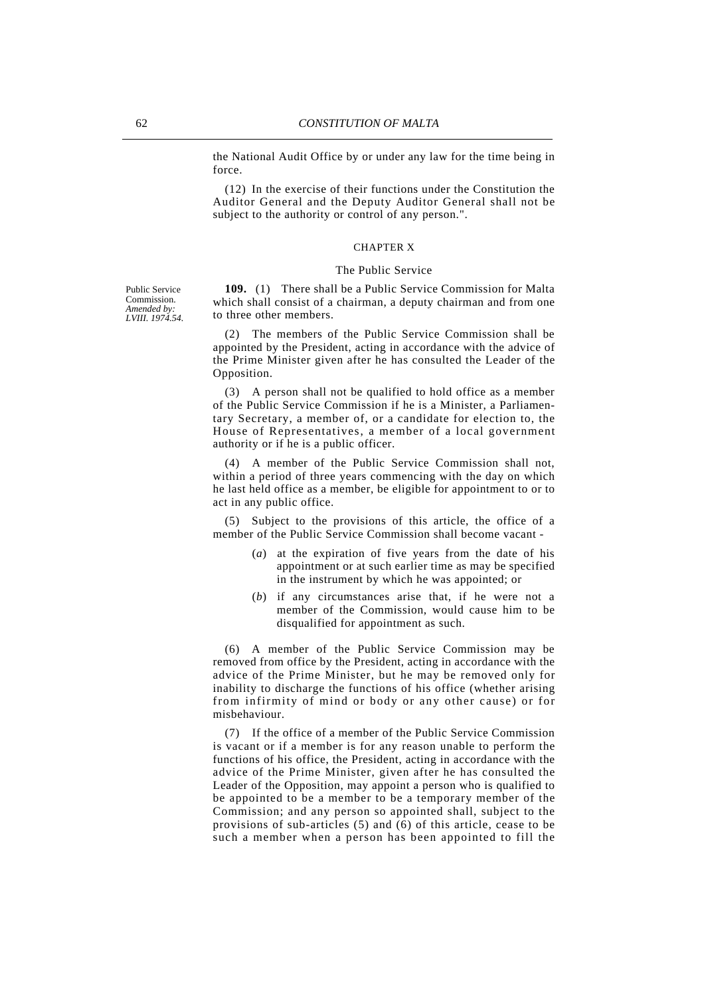the National Audit Office by or under any law for the time being in force.

(12) In the exercise of their functions under the Constitution the Auditor General and the Deputy Auditor General shall not be subject to the authority or control of any person.".

#### CHAPTER X

## The Public Service

**109.** (1) There shall be a Public Service Commission for Malta which shall consist of a chairman, a deputy chairman and from one to three other members.

(2) The members of the Public Service Commission shall be appointed by the President, acting in accordance with the advice of the Prime Minister given after he has consulted the Leader of the Opposition.

(3) A person shall not be qualified to hold office as a member of the Public Service Commission if he is a Minister, a Parliamentary Secretary, a member of, or a candidate for election to, the House of Representatives, a member of a local government authority or if he is a public officer.

(4) A member of the Public Service Commission shall not, within a period of three years commencing with the day on which he last held office as a member, be eligible for appointment to or to act in any public office.

(5) Subject to the provisions of this article, the office of a member of the Public Service Commission shall become vacant -

- (*a*) at the expiration of five years from the date of his appointment or at such earlier time as may be specified in the instrument by which he was appointed; or
- (*b*) if any circumstances arise that, if he were not a member of the Commission, would cause him to be disqualified for appointment as such.

(6) A member of the Public Service Commission may be removed from office by the President, acting in accordance with the advice of the Prime Minister, but he may be removed only for inability to discharge the functions of his office (whether arising from infirmity of mind or body or any other cause) or for misbehaviour.

(7) If the office of a member of the Public Service Commission is vacant or if a member is for any reason unable to perform the functions of his office, the President, acting in accordance with the advice of the Prime Minister, given after he has consulted the Leader of the Opposition, may appoint a person who is qualified to be appointed to be a member to be a temporary member of the Commission; and any person so appointed shall, subject to the provisions of sub-articles (5) and (6) of this article, cease to be such a member when a person has been appointed to fill the

Public Service Commission. *Amended by: LVIII. 1974.54.*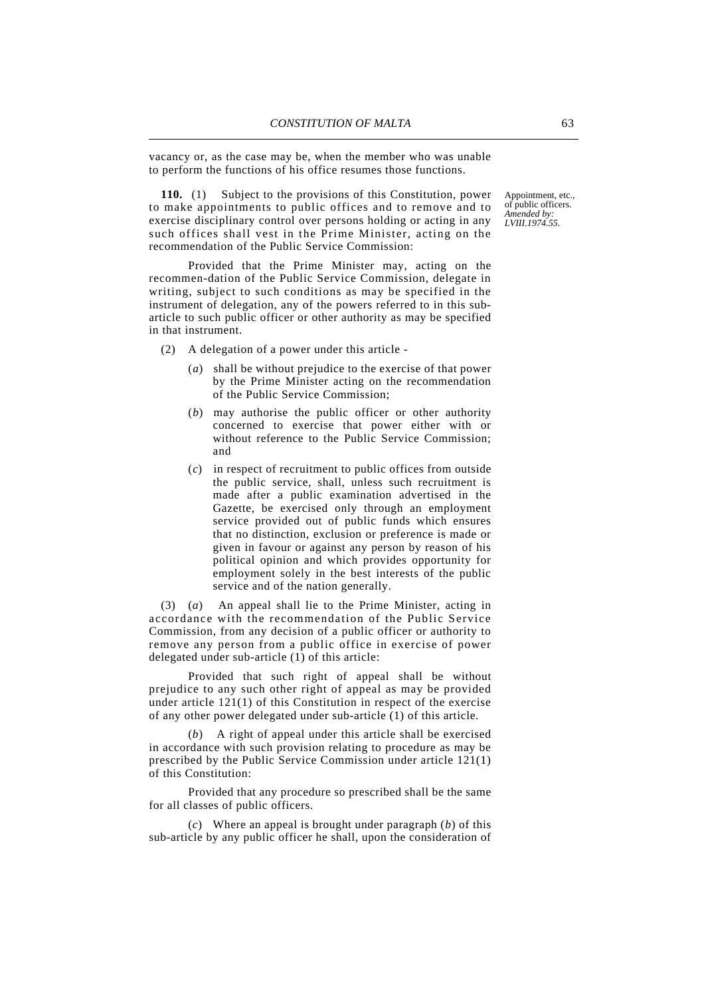vacancy or, as the case may be, when the member who was unable to perform the functions of his office resumes those functions.

**110.** (1) Subject to the provisions of this Constitution, power to make appointments to public offices and to remove and to exercise disciplinary control over persons holding or acting in any such offices shall vest in the Prime Minister, acting on the recommendation of the Public Service Commission:

Provided that the Prime Minister may, acting on the recommen-dation of the Public Service Commission, delegate in writing, subject to such conditions as may be specified in the instrument of delegation, any of the powers referred to in this subarticle to such public officer or other authority as may be specified in that instrument.

(2) A delegation of a power under this article -

- (*a*) shall be without prejudice to the exercise of that power by the Prime Minister acting on the recommendation of the Public Service Commission;
- (*b*) may authorise the public officer or other authority concerned to exercise that power either with or without reference to the Public Service Commission; and
- (*c*) in respect of recruitment to public offices from outside the public service, shall, unless such recruitment is made after a public examination advertised in the Gazette, be exercised only through an employment service provided out of public funds which ensures that no distinction, exclusion or preference is made or given in favour or against any person by reason of his political opinion and which provides opportunity for employment solely in the best interests of the public service and of the nation generally.

(3) (*a*) An appeal shall lie to the Prime Minister, acting in accordance with the recommendation of the Public Service Commission, from any decision of a public officer or authority to remove any person from a public office in exercise of power delegated under sub-article (1) of this article:

Provided that such right of appeal shall be without prejudice to any such other right of appeal as may be provided under article 121(1) of this Constitution in respect of the exercise of any other power delegated under sub-article (1) of this article.

(*b*) A right of appeal under this article shall be exercised in accordance with such provision relating to procedure as may be prescribed by the Public Service Commission under article 121(1) of this Constitution:

Provided that any procedure so prescribed shall be the same for all classes of public officers.

(*c*) Where an appeal is brought under paragraph (*b*) of this sub-article by any public officer he shall, upon the consideration of Appointment, etc., of public officers. *Amended by: LVIII.1974.55.*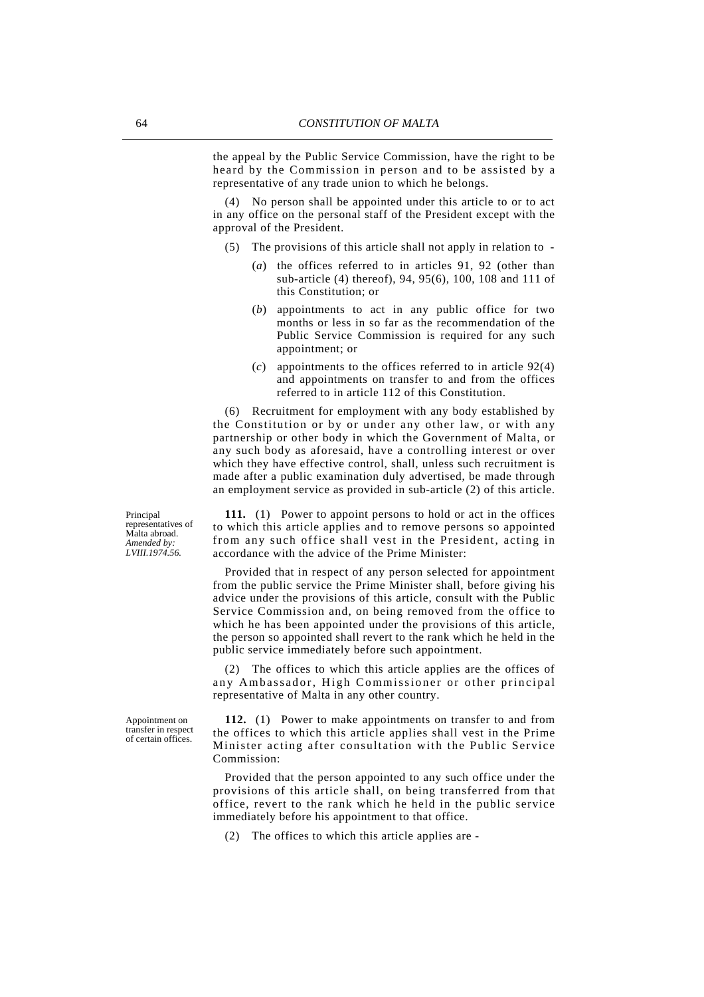the appeal by the Public Service Commission, have the right to be heard by the Commission in person and to be assisted by a representative of any trade union to which he belongs.

(4) No person shall be appointed under this article to or to act in any office on the personal staff of the President except with the approval of the President.

- (5) The provisions of this article shall not apply in relation to
	- (*a*) the offices referred to in articles 91, 92 (other than sub-article (4) thereof), 94, 95(6), 100, 108 and 111 of this Constitution; or
	- (*b*) appointments to act in any public office for two months or less in so far as the recommendation of the Public Service Commission is required for any such appointment; or
	- (*c*) appointments to the offices referred to in article 92(4) and appointments on transfer to and from the offices referred to in article 112 of this Constitution.

(6) Recruitment for employment with any body established by the Constitution or by or under any other law, or with any partnership or other body in which the Government of Malta, or any such body as aforesaid, have a controlling interest or over which they have effective control, shall, unless such recruitment is made after a public examination duly advertised, be made through an employment service as provided in sub-article (2) of this article.

**111.** (1) Power to appoint persons to hold or act in the offices to which this article applies and to remove persons so appointed from any such office shall vest in the President, acting in accordance with the advice of the Prime Minister:

Provided that in respect of any person selected for appointment from the public service the Prime Minister shall, before giving his advice under the provisions of this article, consult with the Public Service Commission and, on being removed from the office to which he has been appointed under the provisions of this article, the person so appointed shall revert to the rank which he held in the public service immediately before such appointment.

(2) The offices to which this article applies are the offices of any Ambassador, High Commissioner or other principal representative of Malta in any other country.

**112.** (1) Power to make appointments on transfer to and from the offices to which this article applies shall vest in the Prime Minister acting after consultation with the Public Service Commission:

Provided that the person appointed to any such office under the provisions of this article shall, on being transferred from that office, revert to the rank which he held in the public service immediately before his appointment to that office.

(2) The offices to which this article applies are -

Principal representatives of Malta abroad. *Amended by: LVIII.1974.56.*

Appointment on transfer in respect of certain offices.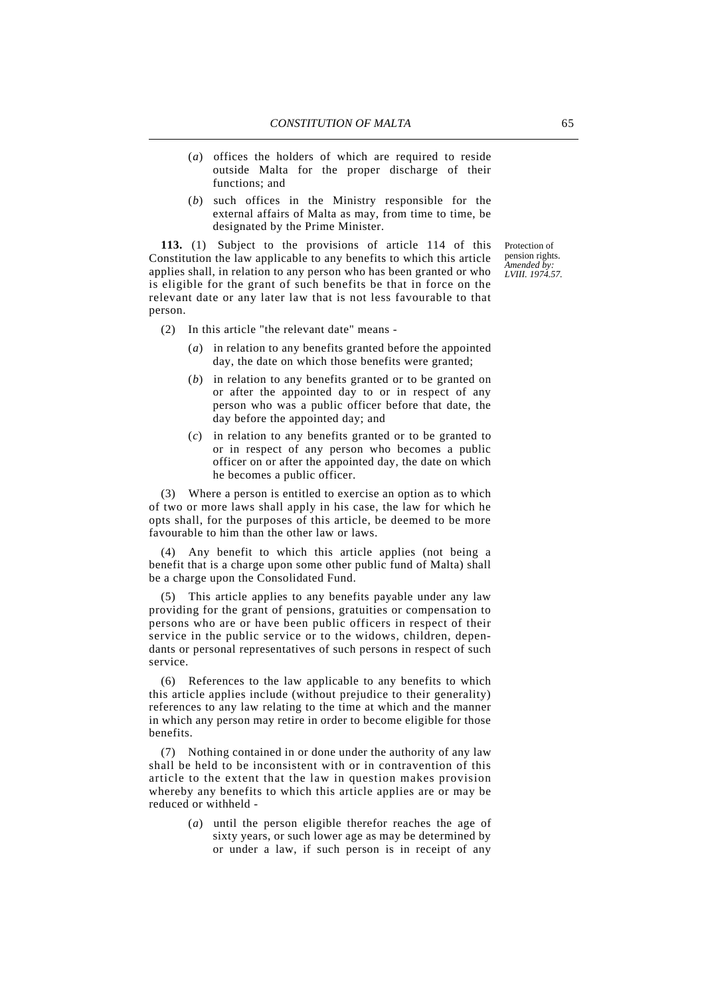- (*a*) offices the holders of which are required to reside outside Malta for the proper discharge of their functions; and
- (*b*) such offices in the Ministry responsible for the external affairs of Malta as may, from time to time, be designated by the Prime Minister.

**113.** (1) Subject to the provisions of article 114 of this Constitution the law applicable to any benefits to which this article applies shall, in relation to any person who has been granted or who is eligible for the grant of such benefits be that in force on the relevant date or any later law that is not less favourable to that person.

(2) In this article "the relevant date" means -

- (*a*) in relation to any benefits granted before the appointed day, the date on which those benefits were granted;
- (*b*) in relation to any benefits granted or to be granted on or after the appointed day to or in respect of any person who was a public officer before that date, the day before the appointed day; and
- (*c*) in relation to any benefits granted or to be granted to or in respect of any person who becomes a public officer on or after the appointed day, the date on which he becomes a public officer.

(3) Where a person is entitled to exercise an option as to which of two or more laws shall apply in his case, the law for which he opts shall, for the purposes of this article, be deemed to be more favourable to him than the other law or laws.

(4) Any benefit to which this article applies (not being a benefit that is a charge upon some other public fund of Malta) shall be a charge upon the Consolidated Fund.

(5) This article applies to any benefits payable under any law providing for the grant of pensions, gratuities or compensation to persons who are or have been public officers in respect of their service in the public service or to the widows, children, dependants or personal representatives of such persons in respect of such service.

(6) References to the law applicable to any benefits to which this article applies include (without prejudice to their generality) references to any law relating to the time at which and the manner in which any person may retire in order to become eligible for those benefits.

(7) Nothing contained in or done under the authority of any law shall be held to be inconsistent with or in contravention of this article to the extent that the law in question makes provision whereby any benefits to which this article applies are or may be reduced or withheld -

> (*a*) until the person eligible therefor reaches the age of sixty years, or such lower age as may be determined by or under a law, if such person is in receipt of any

Protection of pension rights. *Amended by:* 

*LVIII. 1974.57.*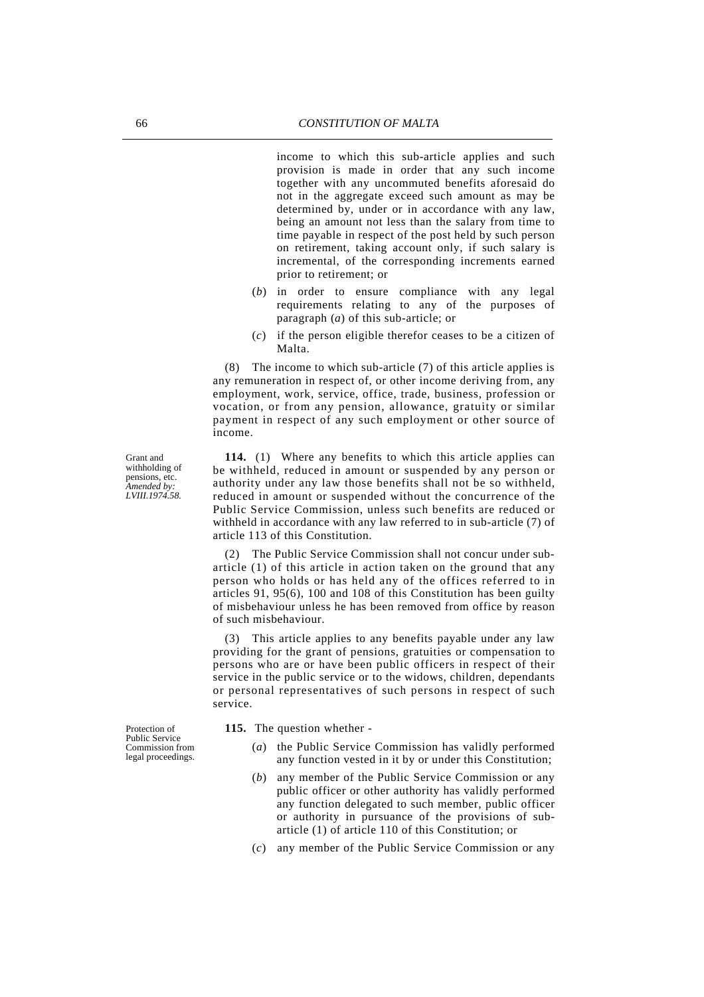income to which this sub-article applies and such provision is made in order that any such income together with any uncommuted benefits aforesaid do not in the aggregate exceed such amount as may be determined by, under or in accordance with any law, being an amount not less than the salary from time to time payable in respect of the post held by such person on retirement, taking account only, if such salary is incremental, of the corresponding increments earned prior to retirement; or

- (*b*) in order to ensure compliance with any legal requirements relating to any of the purposes of paragraph (*a*) of this sub-article; or
- (*c*) if the person eligible therefor ceases to be a citizen of Malta.

(8) The income to which sub-article (7) of this article applies is any remuneration in respect of, or other income deriving from, any employment, work, service, office, trade, business, profession or vocation, or from any pension, allowance, gratuity or similar payment in respect of any such employment or other source of income.

**114.** (1) Where any benefits to which this article applies can be withheld, reduced in amount or suspended by any person or authority under any law those benefits shall not be so withheld, reduced in amount or suspended without the concurrence of the Public Service Commission, unless such benefits are reduced or withheld in accordance with any law referred to in sub-article (7) of article 113 of this Constitution.

(2) The Public Service Commission shall not concur under subarticle (1) of this article in action taken on the ground that any person who holds or has held any of the offices referred to in articles 91, 95(6), 100 and 108 of this Constitution has been guilty of misbehaviour unless he has been removed from office by reason of such misbehaviour.

(3) This article applies to any benefits payable under any law providing for the grant of pensions, gratuities or compensation to persons who are or have been public officers in respect of their service in the public service or to the widows, children, dependants or personal representatives of such persons in respect of such service.

**115.** The question whether -

- (*a*) the Public Service Commission has validly performed any function vested in it by or under this Constitution;
- (*b*) any member of the Public Service Commission or any public officer or other authority has validly performed any function delegated to such member, public officer or authority in pursuance of the provisions of subarticle (1) of article 110 of this Constitution; or
- (*c*) any member of the Public Service Commission or any

Grant and withholding of pensions, etc. *Amended by: LVIII.1974.58.*

Protection of Public Service Commission from legal proceedings.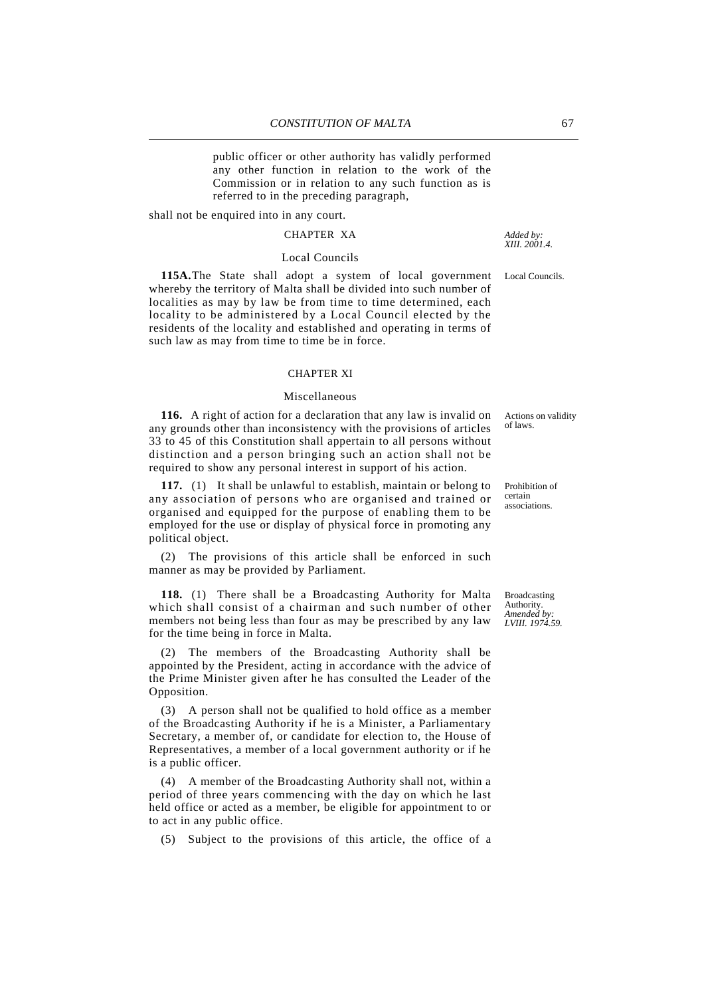public officer or other authority has validly performed any other function in relation to the work of the Commission or in relation to any such function as is referred to in the preceding paragraph,

shall not be enquired into in any court.

## CHAPTER XA

# Local Councils

**115A.**The State shall adopt a system of local government Local Councils. whereby the territory of Malta shall be divided into such number of localities as may by law be from time to time determined, each locality to be administered by a Local Council elected by the residents of the locality and established and operating in terms of such law as may from time to time be in force.

# CHAPTER XI

# Miscellaneous

**116.** A right of action for a declaration that any law is invalid on any grounds other than inconsistency with the provisions of articles 33 to 45 of this Constitution shall appertain to all persons without distinction and a person bringing such an action shall not be required to show any personal interest in support of his action.

**117.** (1) It shall be unlawful to establish, maintain or belong to any association of persons who are organised and trained or organised and equipped for the purpose of enabling them to be employed for the use or display of physical force in promoting any political object.

(2) The provisions of this article shall be enforced in such manner as may be provided by Parliament.

**118.** (1) There shall be a Broadcasting Authority for Malta which shall consist of a chairman and such number of other members not being less than four as may be prescribed by any law for the time being in force in Malta.

(2) The members of the Broadcasting Authority shall be appointed by the President, acting in accordance with the advice of the Prime Minister given after he has consulted the Leader of the Opposition.

(3) A person shall not be qualified to hold office as a member of the Broadcasting Authority if he is a Minister, a Parliamentary Secretary, a member of, or candidate for election to, the House of Representatives, a member of a local government authority or if he is a public officer.

(4) A member of the Broadcasting Authority shall not, within a period of three years commencing with the day on which he last held office or acted as a member, be eligible for appointment to or to act in any public office.

(5) Subject to the provisions of this article, the office of a

Actions on validity of laws.

Prohibition of certain associations.

Broadcasting Authority. *Amended by: LVIII. 1974.59.*

*Added by: XIII. 2001.4.*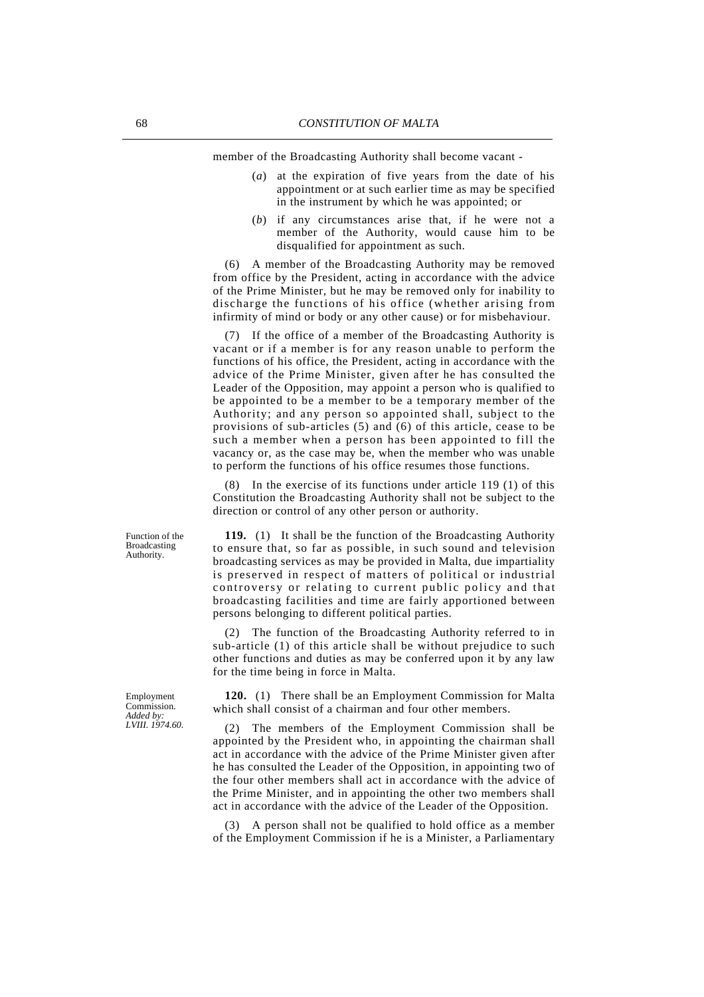member of the Broadcasting Authority shall become vacant -

- (*a*) at the expiration of five years from the date of his appointment or at such earlier time as may be specified in the instrument by which he was appointed; or
- (*b*) if any circumstances arise that, if he were not a member of the Authority, would cause him to be disqualified for appointment as such.

(6) A member of the Broadcasting Authority may be removed from office by the President, acting in accordance with the advice of the Prime Minister, but he may be removed only for inability to discharge the functions of his office (whether arising from infirmity of mind or body or any other cause) or for misbehaviour.

(7) If the office of a member of the Broadcasting Authority is vacant or if a member is for any reason unable to perform the functions of his office, the President, acting in accordance with the advice of the Prime Minister, given after he has consulted the Leader of the Opposition, may appoint a person who is qualified to be appointed to be a member to be a temporary member of the Authority; and any person so appointed shall, subject to the provisions of sub-articles (5) and (6) of this article, cease to be such a member when a person has been appointed to fill the vacancy or, as the case may be, when the member who was unable to perform the functions of his office resumes those functions.

(8) In the exercise of its functions under article 119 (1) of this Constitution the Broadcasting Authority shall not be subject to the direction or control of any other person or authority.

**119.** (1) It shall be the function of the Broadcasting Authority to ensure that, so far as possible, in such sound and television broadcasting services as may be provided in Malta, due impartiality is preserved in respect of matters of political or industrial controversy or relating to current public policy and that broadcasting facilities and time are fairly apportioned between persons belonging to different political parties.

(2) The function of the Broadcasting Authority referred to in sub-article (1) of this article shall be without prejudice to such other functions and duties as may be conferred upon it by any law for the time being in force in Malta.

**120.** (1) There shall be an Employment Commission for Malta which shall consist of a chairman and four other members.

(2) The members of the Employment Commission shall be appointed by the President who, in appointing the chairman shall act in accordance with the advice of the Prime Minister given after he has consulted the Leader of the Opposition, in appointing two of the four other members shall act in accordance with the advice of the Prime Minister, and in appointing the other two members shall act in accordance with the advice of the Leader of the Opposition.

(3) A person shall not be qualified to hold office as a member of the Employment Commission if he is a Minister, a Parliamentary

Function of the Broadcasting Authority.

Employment Commission. *Added by: LVIII. 1974.60.*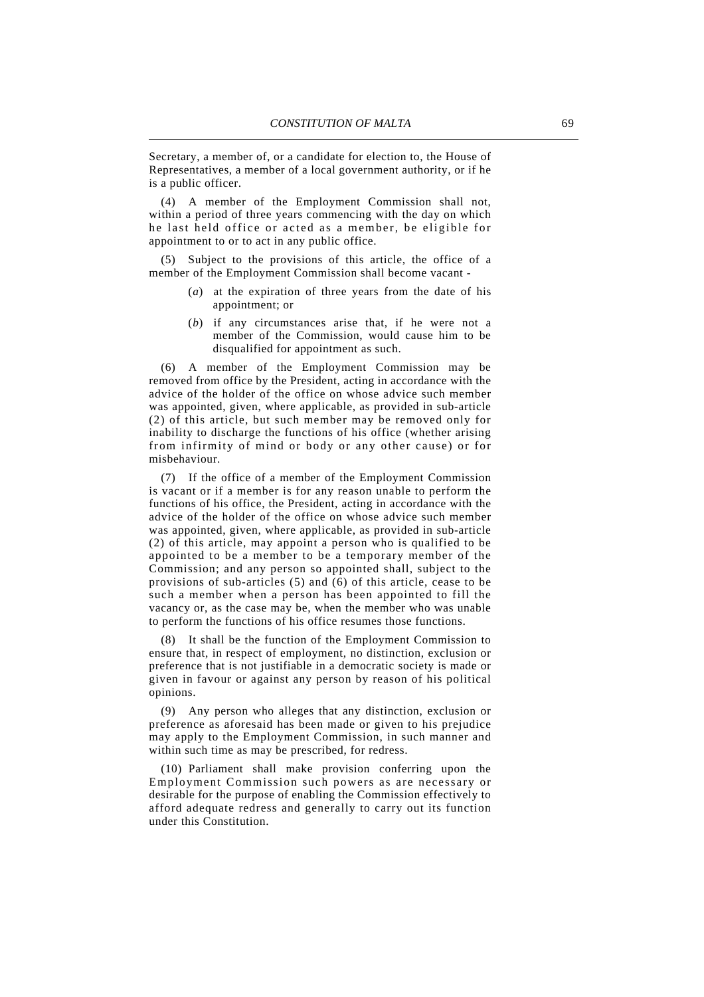Secretary, a member of, or a candidate for election to, the House of Representatives, a member of a local government authority, or if he is a public officer.

(4) A member of the Employment Commission shall not, within a period of three years commencing with the day on which he last held office or acted as a member, be eligible for appointment to or to act in any public office.

Subject to the provisions of this article, the office of a member of the Employment Commission shall become vacant -

- (*a*) at the expiration of three years from the date of his appointment; or
- (*b*) if any circumstances arise that, if he were not a member of the Commission, would cause him to be disqualified for appointment as such.

(6) A member of the Employment Commission may be removed from office by the President, acting in accordance with the advice of the holder of the office on whose advice such member was appointed, given, where applicable, as provided in sub-article (2) of this article, but such member may be removed only for inability to discharge the functions of his office (whether arising from infirmity of mind or body or any other cause) or for misbehaviour.

(7) If the office of a member of the Employment Commission is vacant or if a member is for any reason unable to perform the functions of his office, the President, acting in accordance with the advice of the holder of the office on whose advice such member was appointed, given, where applicable, as provided in sub-article (2) of this article, may appoint a person who is qualified to be appointed to be a member to be a temporary member of the Commission; and any person so appointed shall, subject to the provisions of sub-articles (5) and (6) of this article, cease to be such a member when a person has been appointed to fill the vacancy or, as the case may be, when the member who was unable to perform the functions of his office resumes those functions.

(8) It shall be the function of the Employment Commission to ensure that, in respect of employment, no distinction, exclusion or preference that is not justifiable in a democratic society is made or given in favour or against any person by reason of his political opinions.

(9) Any person who alleges that any distinction, exclusion or preference as aforesaid has been made or given to his prejudice may apply to the Employment Commission, in such manner and within such time as may be prescribed, for redress.

(10) Parliament shall make provision conferring upon the Employment Commission such powers as are necessary or desirable for the purpose of enabling the Commission effectively to afford adequate redress and generally to carry out its function under this Constitution.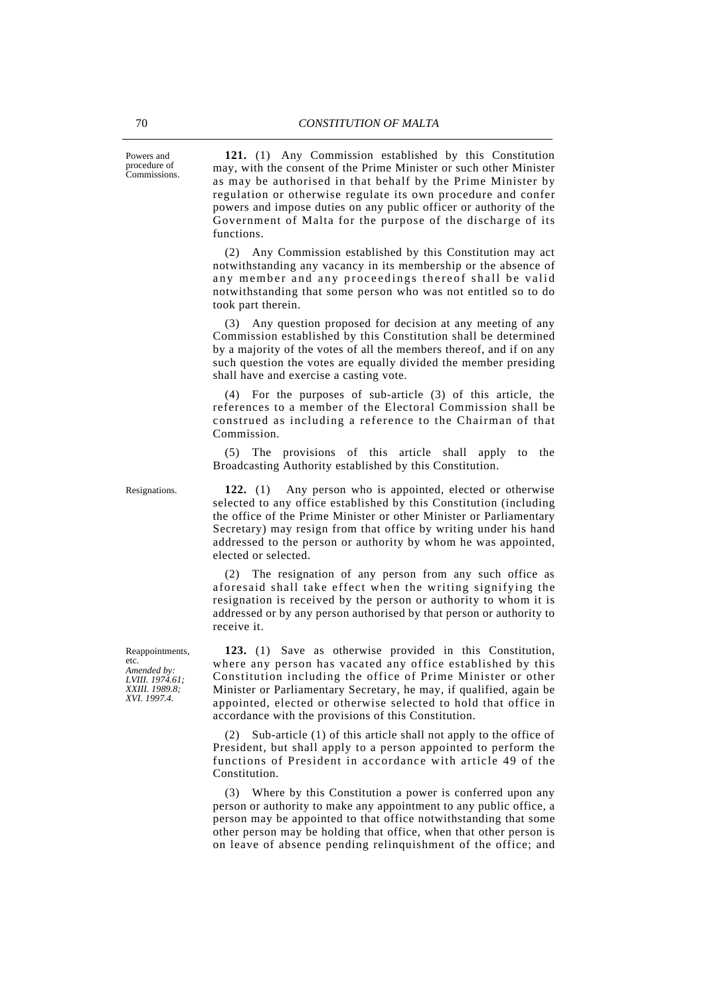Powers and procedure of Commissions.

**121.** (1) Any Commission established by this Constitution may, with the consent of the Prime Minister or such other Minister as may be authorised in that behalf by the Prime Minister by regulation or otherwise regulate its own procedure and confer powers and impose duties on any public officer or authority of the Government of Malta for the purpose of the discharge of its functions.

(2) Any Commission established by this Constitution may act notwithstanding any vacancy in its membership or the absence of any member and any proceedings thereof shall be valid notwithstanding that some person who was not entitled so to do took part therein.

(3) Any question proposed for decision at any meeting of any Commission established by this Constitution shall be determined by a majority of the votes of all the members thereof, and if on any such question the votes are equally divided the member presiding shall have and exercise a casting vote.

(4) For the purposes of sub-article (3) of this article, the references to a member of the Electoral Commission shall be construed as including a reference to the Chairman of that Commission.

(5) The provisions of this article shall apply to the Broadcasting Authority established by this Constitution.

Resignations. **122.** (1) Any person who is appointed, elected or otherwise selected to any office established by this Constitution (including the office of the Prime Minister or other Minister or Parliamentary Secretary) may resign from that office by writing under his hand addressed to the person or authority by whom he was appointed, elected or selected.

> (2) The resignation of any person from any such office as aforesaid shall take effect when the writing signifying the resignation is received by the person or authority to whom it is addressed or by any person authorised by that person or authority to receive it.

> **123.** (1) Save as otherwise provided in this Constitution, where any person has vacated any office established by this Constitution including the office of Prime Minister or other Minister or Parliamentary Secretary, he may, if qualified, again be appointed, elected or otherwise selected to hold that office in accordance with the provisions of this Constitution.

> (2) Sub-article (1) of this article shall not apply to the office of President, but shall apply to a person appointed to perform the functions of President in accordance with article 49 of the Constitution.

> (3) Where by this Constitution a power is conferred upon any person or authority to make any appointment to any public office, a person may be appointed to that office notwithstanding that some other person may be holding that office, when that other person is on leave of absence pending relinquishment of the office; and

Reappointments, etc. *Amended by: LVIII. 1974.61; XXIII. 1989.8; XVI. 1997.4.*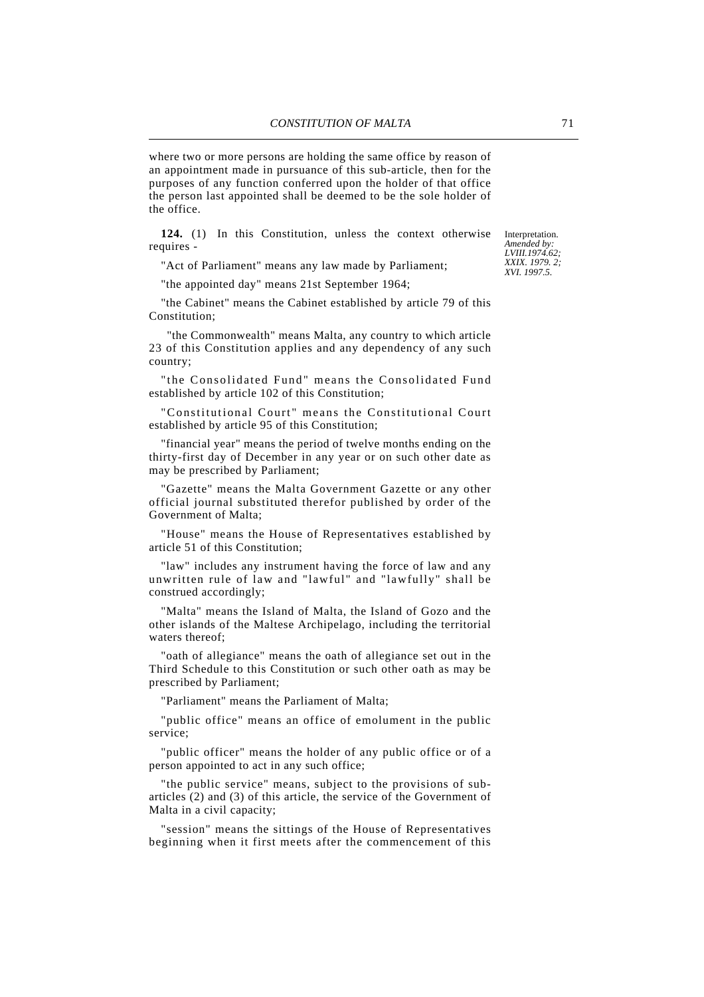where two or more persons are holding the same office by reason of an appointment made in pursuance of this sub-article, then for the purposes of any function conferred upon the holder of that office the person last appointed shall be deemed to be the sole holder of the office.

**124.** (1) In this Constitution, unless the context otherwise requires -

"Act of Parliament" means any law made by Parliament;

"the appointed day" means 21st September 1964;

"the Cabinet" means the Cabinet established by article 79 of this Constitution;

"the Commonwealth" means Malta, any country to which article 23 of this Constitution applies and any dependency of any such country;

"the Consolidated Fund" means the Consolidated Fund established by article 102 of this Constitution;

"Constitutional Court" means the Constitutional Court established by article 95 of this Constitution;

"financial year" means the period of twelve months ending on the thirty-first day of December in any year or on such other date as may be prescribed by Parliament;

"Gazette" means the Malta Government Gazette or any other official journal substituted therefor published by order of the Government of Malta;

"House" means the House of Representatives established by article 51 of this Constitution;

"law" includes any instrument having the force of law and any unwritten rule of law and "lawful" and "lawfully" shall be construed accordingly;

"Malta" means the Island of Malta, the Island of Gozo and the other islands of the Maltese Archipelago, including the territorial waters thereof;

"oath of allegiance" means the oath of allegiance set out in the Third Schedule to this Constitution or such other oath as may be prescribed by Parliament;

"Parliament" means the Parliament of Malta;

"public office" means an office of emolument in the public service;

"public officer" means the holder of any public office or of a person appointed to act in any such office;

"the public service" means, subject to the provisions of subarticles (2) and (3) of this article, the service of the Government of Malta in a civil capacity;

"session" means the sittings of the House of Representatives beginning when it first meets after the commencement of this

Interpretation. *Amended by: LVIII.1974.62; XXIX. 1979. 2; XVI. 1997.5.*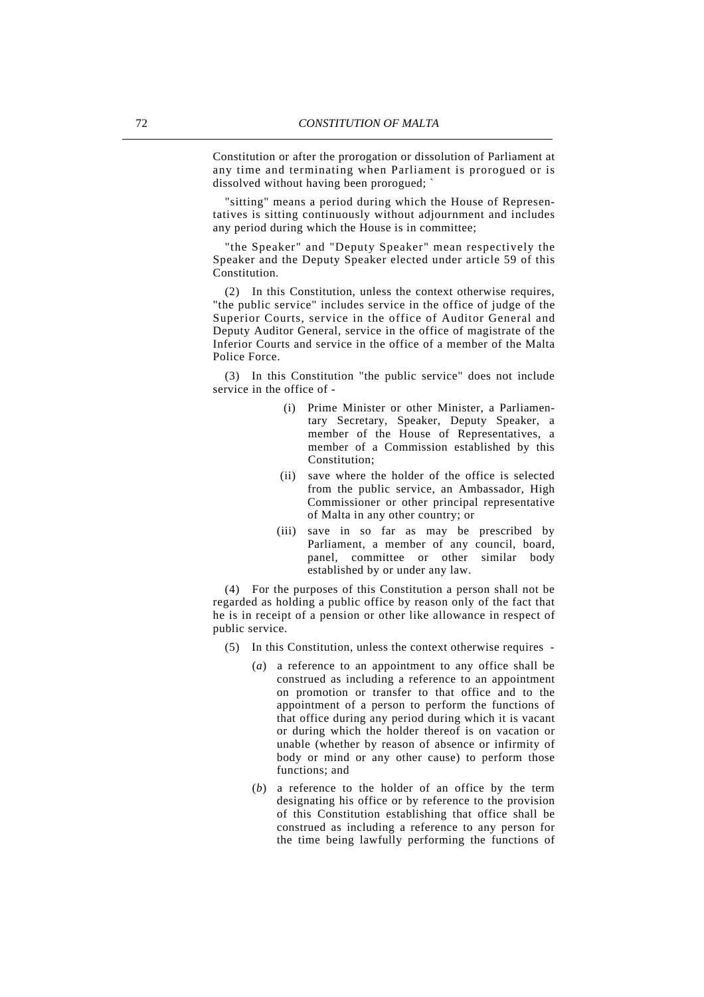Constitution or after the prorogation or dissolution of Parliament at any time and terminating when Parliament is prorogued or is dissolved without having been prorogued; `

"sitting" means a period during which the House of Representatives is sitting continuously without adjournment and includes any period during which the House is in committee;

"the Speaker" and "Deputy Speaker" mean respectively the Speaker and the Deputy Speaker elected under article 59 of this Constitution.

(2) In this Constitution, unless the context otherwise requires, "the public service" includes service in the office of judge of the Superior Courts, service in the office of Auditor General and Deputy Auditor General, service in the office of magistrate of the Inferior Courts and service in the office of a member of the Malta Police Force.

(3) In this Constitution "the public service" does not include service in the office of -

- (i) Prime Minister or other Minister, a Parliamentary Secretary, Speaker, Deputy Speaker, a member of the House of Representatives, a member of a Commission established by this Constitution;
- (ii) save where the holder of the office is selected from the public service, an Ambassador, High Commissioner or other principal representative of Malta in any other country; or
- (iii) save in so far as may be prescribed by Parliament, a member of any council, board, panel, committee or other similar body established by or under any law.

(4) For the purposes of this Constitution a person shall not be regarded as holding a public office by reason only of the fact that he is in receipt of a pension or other like allowance in respect of public service.

- (5) In this Constitution, unless the context otherwise requires
	- (*a*) a reference to an appointment to any office shall be construed as including a reference to an appointment on promotion or transfer to that office and to the appointment of a person to perform the functions of that office during any period during which it is vacant or during which the holder thereof is on vacation or unable (whether by reason of absence or infirmity of body or mind or any other cause) to perform those functions; and
	- (*b*) a reference to the holder of an office by the term designating his office or by reference to the provision of this Constitution establishing that office shall be construed as including a reference to any person for the time being lawfully performing the functions of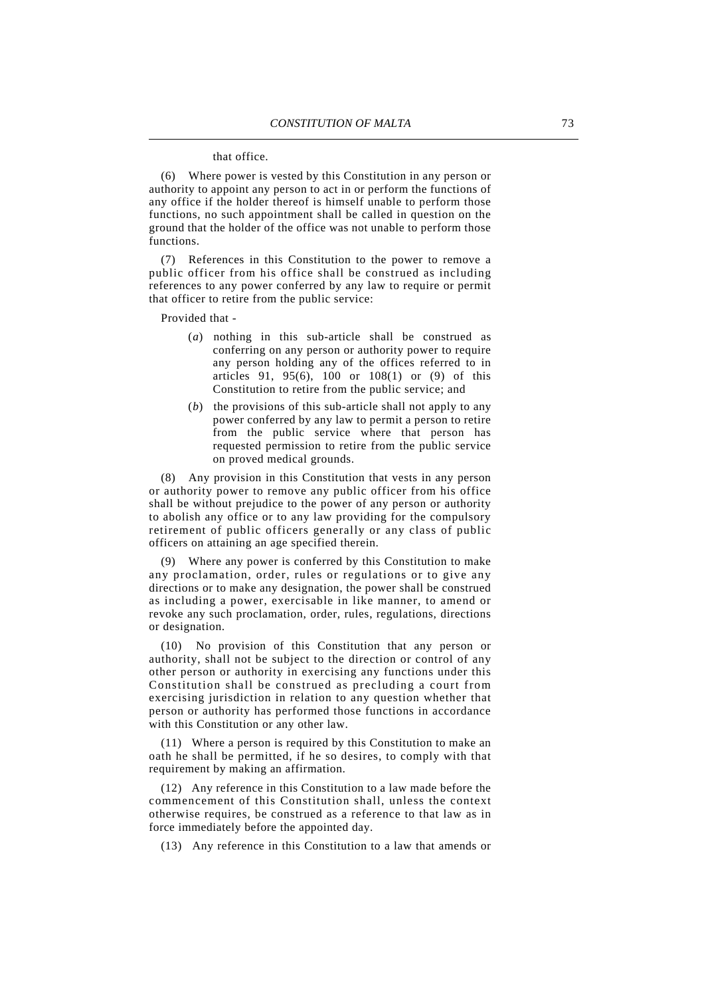#### that office.

(6) Where power is vested by this Constitution in any person or authority to appoint any person to act in or perform the functions of any office if the holder thereof is himself unable to perform those functions, no such appointment shall be called in question on the ground that the holder of the office was not unable to perform those functions.

(7) References in this Constitution to the power to remove a public officer from his office shall be construed as including references to any power conferred by any law to require or permit that officer to retire from the public service:

Provided that -

- (*a*) nothing in this sub-article shall be construed as conferring on any person or authority power to require any person holding any of the offices referred to in articles 91, 95(6), 100 or 108(1) or (9) of this Constitution to retire from the public service; and
- (*b*) the provisions of this sub-article shall not apply to any power conferred by any law to permit a person to retire from the public service where that person has requested permission to retire from the public service on proved medical grounds.

(8) Any provision in this Constitution that vests in any person or authority power to remove any public officer from his office shall be without prejudice to the power of any person or authority to abolish any office or to any law providing for the compulsory retirement of public officers generally or any class of public officers on attaining an age specified therein.

(9) Where any power is conferred by this Constitution to make any proclamation, order, rules or regulations or to give any directions or to make any designation, the power shall be construed as including a power, exercisable in like manner, to amend or revoke any such proclamation, order, rules, regulations, directions or designation.

(10) No provision of this Constitution that any person or authority, shall not be subject to the direction or control of any other person or authority in exercising any functions under this Constitution shall be construed as precluding a court from exercising jurisdiction in relation to any question whether that person or authority has performed those functions in accordance with this Constitution or any other law.

(11) Where a person is required by this Constitution to make an oath he shall be permitted, if he so desires, to comply with that requirement by making an affirmation.

(12) Any reference in this Constitution to a law made before the commencement of this Constitution shall, unless the context otherwise requires, be construed as a reference to that law as in force immediately before the appointed day.

(13) Any reference in this Constitution to a law that amends or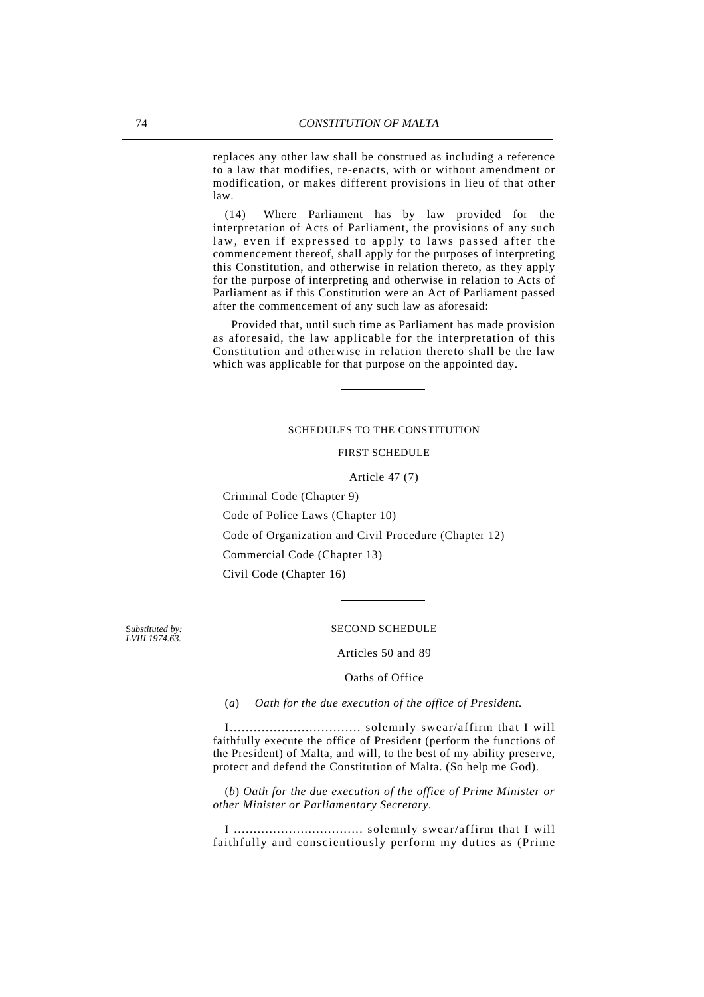replaces any other law shall be construed as including a reference to a law that modifies, re-enacts, with or without amendment or modification, or makes different provisions in lieu of that other law.

(14) Where Parliament has by law provided for the interpretation of Acts of Parliament, the provisions of any such law, even if expressed to apply to laws passed after the commencement thereof, shall apply for the purposes of interpreting this Constitution, and otherwise in relation thereto, as they apply for the purpose of interpreting and otherwise in relation to Acts of Parliament as if this Constitution were an Act of Parliament passed after the commencement of any such law as aforesaid:

 Provided that, until such time as Parliament has made provision as aforesaid, the law applicable for the interpretation of this Constitution and otherwise in relation thereto shall be the law which was applicable for that purpose on the appointed day.

#### SCHEDULES TO THE CONSTITUTION

#### FIRST SCHEDULE

Article 47 (7)

Criminal Code (Chapter 9)

Code of Police Laws (Chapter 10)

Code of Organization and Civil Procedure (Chapter 12)

Commercial Code (Chapter 13)

Civil Code (Chapter 16)

S*ubstituted by: LVIII.1974.63.*

## SECOND SCHEDULE

## Articles 50 and 89

#### Oaths of Office

(*a*) *Oath for the due execution of the office of President.*

I................................. solemnly swear/affirm that I will faithfully execute the office of President (perform the functions of the President) of Malta, and will, to the best of my ability preserve, protect and defend the Constitution of Malta. (So help me God).

(*b*) *Oath for the due execution of the office of Prime Minister or other Minister or Parliamentary Secretary.*

I ................................. solemnly swear/affirm that I will faithfully and conscientiously perform my duties as (Prime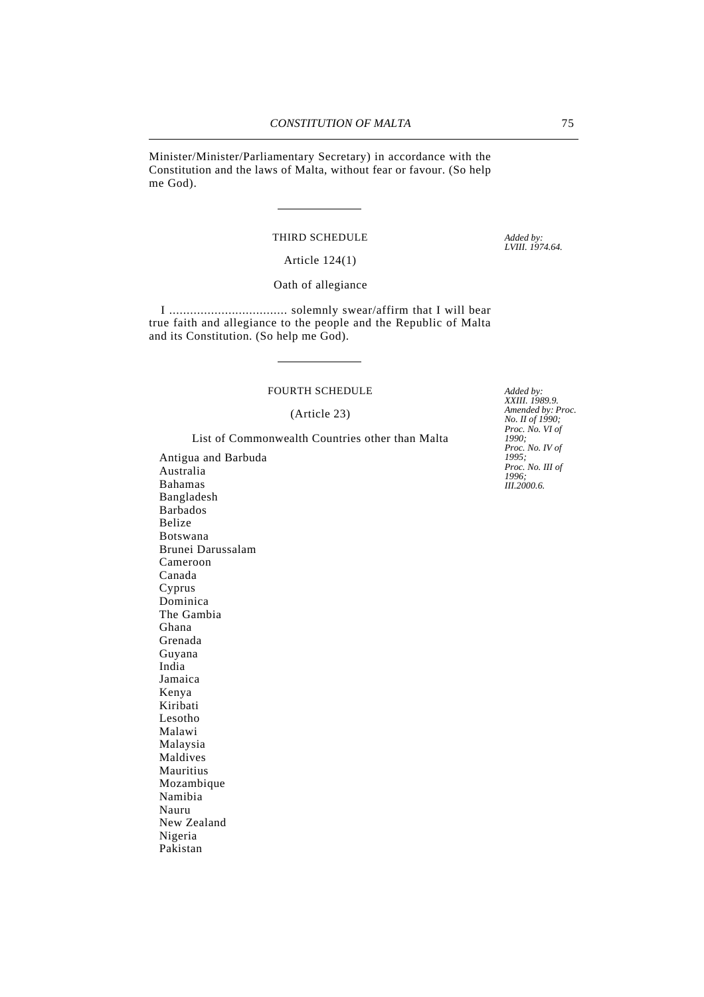Minister/Minister/Parliamentary Secretary) in accordance with the Constitution and the laws of Malta, without fear or favour. (So help me God).

# THIRD SCHEDULE

Article 124(1)

#### Oath of allegiance

I .................................. solemnly swear/affirm that I will bear true faith and allegiance to the people and the Republic of Malta and its Constitution. (So help me God).

## FOURTH SCHEDULE

(Article 23)

List of Commonwealth Countries other than Malta

Antigua and Barbuda Australia Bahamas Bangladesh Barbados Belize Botswana Brunei Darussalam Cameroon Canada Cyprus Dominica The Gambia Ghana Grenada Guyana India Jamaica Kenya Kiribati Lesotho Malawi Malaysia Maldives Mauritius Mozambique Namibia Nauru New Zealand Nigeria Pakistan

*Added by: XXIII. 1989.9. Amended by: Proc. No. II of 1990; Proc. No. VI of 1990; Proc. No. IV of 1995; Proc. No. III of 1996; III.2000.6.*

*Added by: LVIII. 1974.64.*